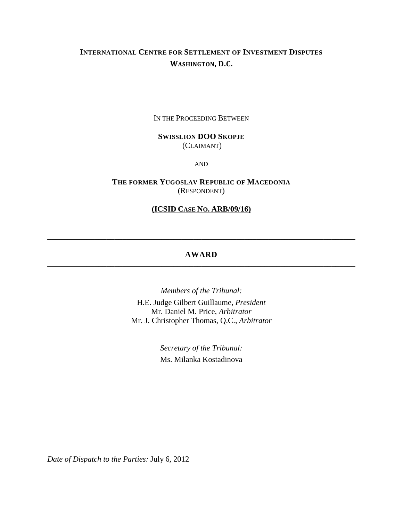# **INTERNATIONAL CENTRE FOR SETTLEMENT OF INVESTMENT DISPUTES WASHINGTON, D.C.**

IN THE PROCEEDING BETWEEN

# **SWISSLION DOO SKOPJE**  (CLAIMANT)

AND

**THE FORMER YUGOSLAV REPUBLIC OF MACEDONIA** (RESPONDENT)

# **(ICSID CASE NO. ARB/09/16)**

# **AWARD** \_\_\_\_\_\_\_\_\_\_\_\_\_\_\_\_\_\_\_\_\_\_\_\_\_\_\_\_\_\_\_\_\_\_\_\_\_\_\_\_\_\_\_\_\_\_\_\_\_\_\_\_\_\_\_\_\_\_\_\_\_\_\_\_\_\_\_\_\_\_\_\_\_\_\_\_\_\_

\_\_\_\_\_\_\_\_\_\_\_\_\_\_\_\_\_\_\_\_\_\_\_\_\_\_\_\_\_\_\_\_\_\_\_\_\_\_\_\_\_\_\_\_\_\_\_\_\_\_\_\_\_\_\_\_\_\_\_\_\_\_\_\_\_\_\_\_\_\_\_\_\_\_\_\_\_\_

*Members of the Tribunal:* H.E. Judge Gilbert Guillaume, *President* Mr. Daniel M. Price, *Arbitrator* Mr. J. Christopher Thomas, Q.C., *Arbitrator*

> *Secretary of the Tribunal:* Ms. Milanka Kostadinova

*Date of Dispatch to the Parties:* July 6, 2012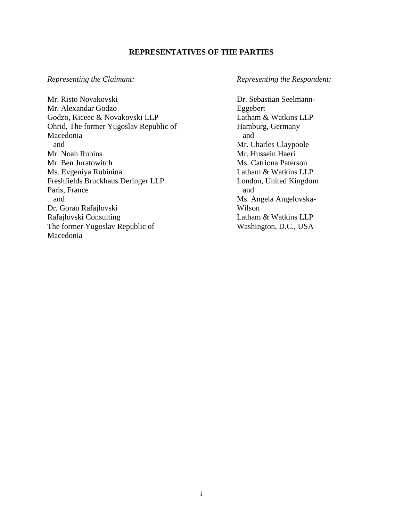# **REPRESENTATIVES OF THE PARTIES**

Mr. Risto Novakovski Mr. Alexandar Godzo Godzo, Kiceec & Novakovski LLP Ohrid, The former Yugoslav Republic of Macedonia and Mr. Noah Rubins Mr. Ben Juratowitch Ms. Evgeniya Rubinina Freshfields Bruckhaus Deringer LLP Paris, France and Dr. Goran Rafajlovski Rafajlovski Consulting The former Yugoslav Republic of Macedonia

#### *Representing the Claimant: Representing the Respondent:*

Dr. Sebastian Seelmann-Eggebert Latham & Watkins LLP Hamburg, Germany and Mr. Charles Claypoole Mr. Hussein Haeri Ms. Catriona Paterson Latham & Watkins LLP London, United Kingdom and Ms. Angela Angelovska-Wilson Latham & Watkins LLP Washington, D.C., USA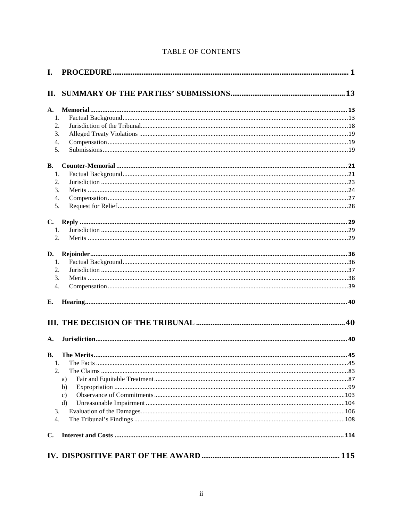| I.            |               |  |
|---------------|---------------|--|
| П.            |               |  |
| A.            |               |  |
| 1.            |               |  |
| 2.<br>3.      |               |  |
|               |               |  |
| 4.            |               |  |
| 5.            |               |  |
| <b>B.</b>     |               |  |
| 1.            |               |  |
| 2.            |               |  |
| 3.            |               |  |
| 4.            |               |  |
| 5.            |               |  |
| $C_{\bullet}$ |               |  |
| 1.            |               |  |
| 2.            |               |  |
| D.            |               |  |
| 1.            |               |  |
| 2.            |               |  |
| 3.            |               |  |
| 4.            |               |  |
| Е.            |               |  |
|               |               |  |
| A.            |               |  |
| <b>B.</b>     |               |  |
|               |               |  |
| 2.            |               |  |
|               | a)            |  |
|               | b)            |  |
|               | $\mathbf{c})$ |  |
|               | $\mathbf{d}$  |  |
| 3.            |               |  |
| 4.            |               |  |
| С.            |               |  |
|               |               |  |
|               |               |  |

# TABLE OF CONTENTS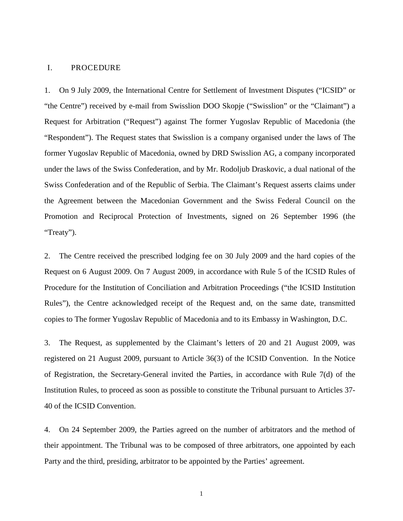#### <span id="page-3-0"></span>I. PROCEDURE

1. On 9 July 2009, the International Centre for Settlement of Investment Disputes ("ICSID" or "the Centre") received by e-mail from Swisslion DOO Skopje ("Swisslion" or the "Claimant") a Request for Arbitration ("Request") against The former Yugoslav Republic of Macedonia (the "Respondent"). The Request states that Swisslion is a company organised under the laws of The former Yugoslav Republic of Macedonia, owned by DRD Swisslion AG, a company incorporated under the laws of the Swiss Confederation, and by Mr. Rodoljub Draskovic, a dual national of the Swiss Confederation and of the Republic of Serbia. The Claimant's Request asserts claims under the Agreement between the Macedonian Government and the Swiss Federal Council on the Promotion and Reciprocal Protection of Investments, signed on 26 September 1996 (the "Treaty").

2. The Centre received the prescribed lodging fee on 30 July 2009 and the hard copies of the Request on 6 August 2009. On 7 August 2009, in accordance with Rule 5 of the ICSID Rules of Procedure for the Institution of Conciliation and Arbitration Proceedings ("the ICSID Institution Rules"), the Centre acknowledged receipt of the Request and, on the same date, transmitted copies to The former Yugoslav Republic of Macedonia and to its Embassy in Washington, D.C.

3. The Request, as supplemented by the Claimant's letters of 20 and 21 August 2009, was registered on 21 August 2009, pursuant to Article 36(3) of the ICSID Convention. In the Notice of Registration, the Secretary-General invited the Parties, in accordance with Rule 7(d) of the Institution Rules, to proceed as soon as possible to constitute the Tribunal pursuant to Articles 37- 40 of the ICSID Convention.

4. On 24 September 2009, the Parties agreed on the number of arbitrators and the method of their appointment. The Tribunal was to be composed of three arbitrators, one appointed by each Party and the third, presiding, arbitrator to be appointed by the Parties' agreement.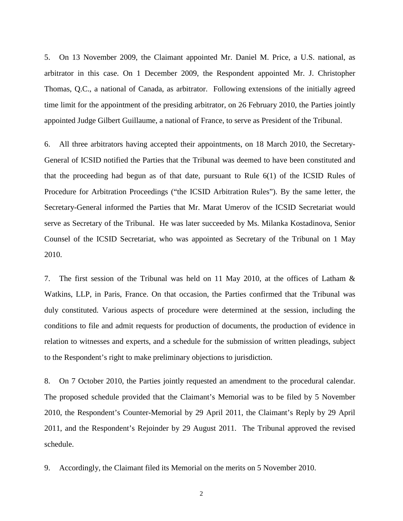5. On 13 November 2009, the Claimant appointed Mr. Daniel M. Price, a U.S. national, as arbitrator in this case. On 1 December 2009, the Respondent appointed Mr. J. Christopher Thomas, Q.C., a national of Canada, as arbitrator. Following extensions of the initially agreed time limit for the appointment of the presiding arbitrator, on 26 February 2010, the Parties jointly appointed Judge Gilbert Guillaume, a national of France, to serve as President of the Tribunal.

6. All three arbitrators having accepted their appointments, on 18 March 2010, the Secretary-General of ICSID notified the Parties that the Tribunal was deemed to have been constituted and that the proceeding had begun as of that date, pursuant to Rule 6(1) of the ICSID Rules of Procedure for Arbitration Proceedings ("the ICSID Arbitration Rules"). By the same letter, the Secretary-General informed the Parties that Mr. Marat Umerov of the ICSID Secretariat would serve as Secretary of the Tribunal. He was later succeeded by Ms. Milanka Kostadinova, Senior Counsel of the ICSID Secretariat, who was appointed as Secretary of the Tribunal on 1 May 2010.

7. The first session of the Tribunal was held on 11 May 2010, at the offices of Latham & Watkins, LLP, in Paris, France. On that occasion, the Parties confirmed that the Tribunal was duly constituted. Various aspects of procedure were determined at the session, including the conditions to file and admit requests for production of documents, the production of evidence in relation to witnesses and experts, and a schedule for the submission of written pleadings, subject to the Respondent's right to make preliminary objections to jurisdiction.

8. On 7 October 2010, the Parties jointly requested an amendment to the procedural calendar. The proposed schedule provided that the Claimant's Memorial was to be filed by 5 November 2010, the Respondent's Counter-Memorial by 29 April 2011, the Claimant's Reply by 29 April 2011, and the Respondent's Rejoinder by 29 August 2011. The Tribunal approved the revised schedule.

9. Accordingly, the Claimant filed its Memorial on the merits on 5 November 2010.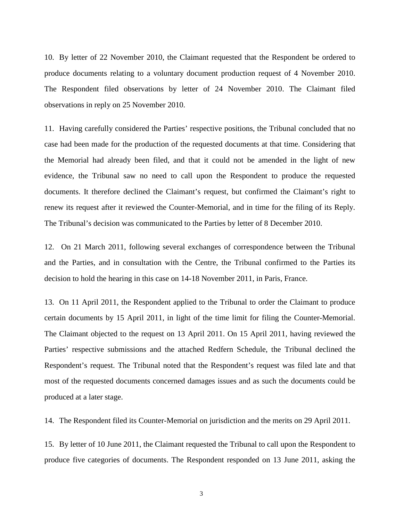10. By letter of 22 November 2010, the Claimant requested that the Respondent be ordered to produce documents relating to a voluntary document production request of 4 November 2010. The Respondent filed observations by letter of 24 November 2010. The Claimant filed observations in reply on 25 November 2010.

11. Having carefully considered the Parties' respective positions, the Tribunal concluded that no case had been made for the production of the requested documents at that time. Considering that the Memorial had already been filed, and that it could not be amended in the light of new evidence, the Tribunal saw no need to call upon the Respondent to produce the requested documents. It therefore declined the Claimant's request, but confirmed the Claimant's right to renew its request after it reviewed the Counter-Memorial, and in time for the filing of its Reply. The Tribunal's decision was communicated to the Parties by letter of 8 December 2010.

12. On 21 March 2011, following several exchanges of correspondence between the Tribunal and the Parties, and in consultation with the Centre, the Tribunal confirmed to the Parties its decision to hold the hearing in this case on 14-18 November 2011, in Paris, France.

13. On 11 April 2011, the Respondent applied to the Tribunal to order the Claimant to produce certain documents by 15 April 2011, in light of the time limit for filing the Counter-Memorial. The Claimant objected to the request on 13 April 2011. On 15 April 2011, having reviewed the Parties' respective submissions and the attached Redfern Schedule, the Tribunal declined the Respondent's request. The Tribunal noted that the Respondent's request was filed late and that most of the requested documents concerned damages issues and as such the documents could be produced at a later stage.

14. The Respondent filed its Counter-Memorial on jurisdiction and the merits on 29 April 2011.

15. By letter of 10 June 2011, the Claimant requested the Tribunal to call upon the Respondent to produce five categories of documents. The Respondent responded on 13 June 2011, asking the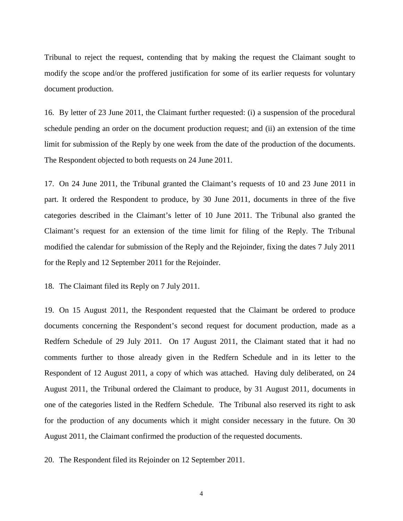Tribunal to reject the request, contending that by making the request the Claimant sought to modify the scope and/or the proffered justification for some of its earlier requests for voluntary document production.

16. By letter of 23 June 2011, the Claimant further requested: (i) a suspension of the procedural schedule pending an order on the document production request; and (ii) an extension of the time limit for submission of the Reply by one week from the date of the production of the documents. The Respondent objected to both requests on 24 June 2011.

17. On 24 June 2011, the Tribunal granted the Claimant's requests of 10 and 23 June 2011 in part. It ordered the Respondent to produce, by 30 June 2011, documents in three of the five categories described in the Claimant's letter of 10 June 2011. The Tribunal also granted the Claimant's request for an extension of the time limit for filing of the Reply. The Tribunal modified the calendar for submission of the Reply and the Rejoinder, fixing the dates 7 July 2011 for the Reply and 12 September 2011 for the Rejoinder.

18. The Claimant filed its Reply on 7 July 2011.

19. On 15 August 2011, the Respondent requested that the Claimant be ordered to produce documents concerning the Respondent's second request for document production, made as a Redfern Schedule of 29 July 2011. On 17 August 2011, the Claimant stated that it had no comments further to those already given in the Redfern Schedule and in its letter to the Respondent of 12 August 2011, a copy of which was attached. Having duly deliberated, on 24 August 2011, the Tribunal ordered the Claimant to produce, by 31 August 2011, documents in one of the categories listed in the Redfern Schedule. The Tribunal also reserved its right to ask for the production of any documents which it might consider necessary in the future. On 30 August 2011, the Claimant confirmed the production of the requested documents.

20. The Respondent filed its Rejoinder on 12 September 2011.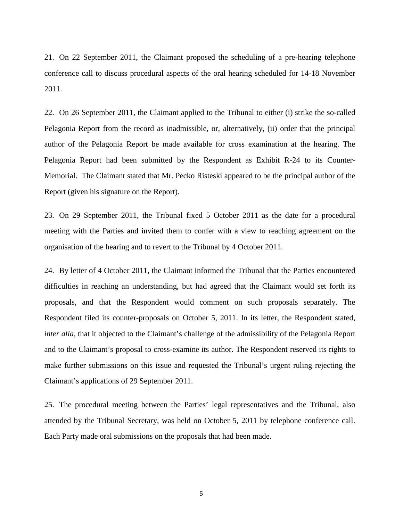21. On 22 September 2011, the Claimant proposed the scheduling of a pre-hearing telephone conference call to discuss procedural aspects of the oral hearing scheduled for 14-18 November 2011.

22. On 26 September 2011, the Claimant applied to the Tribunal to either (i) strike the so-called Pelagonia Report from the record as inadmissible, or, alternatively, (ii) order that the principal author of the Pelagonia Report be made available for cross examination at the hearing. The Pelagonia Report had been submitted by the Respondent as Exhibit R-24 to its Counter-Memorial. The Claimant stated that Mr. Pecko Risteski appeared to be the principal author of the Report (given his signature on the Report).

23. On 29 September 2011, the Tribunal fixed 5 October 2011 as the date for a procedural meeting with the Parties and invited them to confer with a view to reaching agreement on the organisation of the hearing and to revert to the Tribunal by 4 October 2011.

24. By letter of 4 October 2011, the Claimant informed the Tribunal that the Parties encountered difficulties in reaching an understanding, but had agreed that the Claimant would set forth its proposals, and that the Respondent would comment on such proposals separately. The Respondent filed its counter-proposals on October 5, 2011. In its letter, the Respondent stated, *inter alia*, that it objected to the Claimant's challenge of the admissibility of the Pelagonia Report and to the Claimant's proposal to cross-examine its author. The Respondent reserved its rights to make further submissions on this issue and requested the Tribunal's urgent ruling rejecting the Claimant's applications of 29 September 2011.

25. The procedural meeting between the Parties' legal representatives and the Tribunal, also attended by the Tribunal Secretary, was held on October 5, 2011 by telephone conference call. Each Party made oral submissions on the proposals that had been made.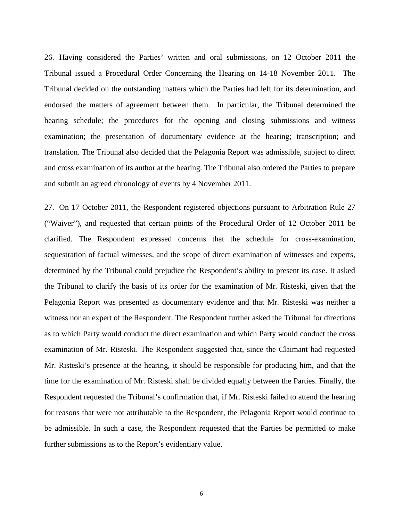26. Having considered the Parties' written and oral submissions, on 12 October 2011 the Tribunal issued a Procedural Order Concerning the Hearing on 14-18 November 2011. The Tribunal decided on the outstanding matters which the Parties had left for its determination, and endorsed the matters of agreement between them. In particular, the Tribunal determined the hearing schedule; the procedures for the opening and closing submissions and witness examination; the presentation of documentary evidence at the hearing; transcription; and translation. The Tribunal also decided that the Pelagonia Report was admissible, subject to direct and cross examination of its author at the hearing. The Tribunal also ordered the Parties to prepare and submit an agreed chronology of events by 4 November 2011.

27. On 17 October 2011, the Respondent registered objections pursuant to Arbitration Rule 27 ("Waiver"), and requested that certain points of the Procedural Order of 12 October 2011 be clarified. The Respondent expressed concerns that the schedule for cross-examination, sequestration of factual witnesses, and the scope of direct examination of witnesses and experts, determined by the Tribunal could prejudice the Respondent's ability to present its case. It asked the Tribunal to clarify the basis of its order for the examination of Mr. Risteski, given that the Pelagonia Report was presented as documentary evidence and that Mr. Risteski was neither a witness nor an expert of the Respondent. The Respondent further asked the Tribunal for directions as to which Party would conduct the direct examination and which Party would conduct the cross examination of Mr. Risteski. The Respondent suggested that, since the Claimant had requested Mr. Risteski's presence at the hearing, it should be responsible for producing him, and that the time for the examination of Mr. Risteski shall be divided equally between the Parties. Finally, the Respondent requested the Tribunal's confirmation that, if Mr. Risteski failed to attend the hearing for reasons that were not attributable to the Respondent, the Pelagonia Report would continue to be admissible. In such a case, the Respondent requested that the Parties be permitted to make further submissions as to the Report's evidentiary value.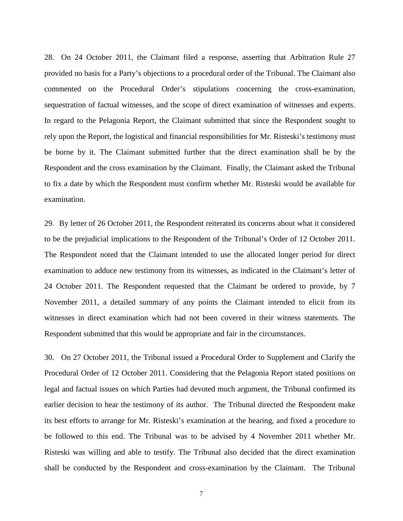28. On 24 October 2011, the Claimant filed a response, asserting that Arbitration Rule 27 provided no basis for a Party's objections to a procedural order of the Tribunal. The Claimant also commented on the Procedural Order's stipulations concerning the cross-examination, sequestration of factual witnesses, and the scope of direct examination of witnesses and experts. In regard to the Pelagonia Report, the Claimant submitted that since the Respondent sought to rely upon the Report, the logistical and financial responsibilities for Mr. Risteski's testimony must be borne by it. The Claimant submitted further that the direct examination shall be by the Respondent and the cross examination by the Claimant. Finally, the Claimant asked the Tribunal to fix a date by which the Respondent must confirm whether Mr. Risteski would be available for examination.

29. By letter of 26 October 2011, the Respondent reiterated its concerns about what it considered to be the prejudicial implications to the Respondent of the Tribunal's Order of 12 October 2011. The Respondent noted that the Claimant intended to use the allocated longer period for direct examination to adduce new testimony from its witnesses, as indicated in the Claimant's letter of 24 October 2011. The Respondent requested that the Claimant be ordered to provide, by 7 November 2011, a detailed summary of any points the Claimant intended to elicit from its witnesses in direct examination which had not been covered in their witness statements. The Respondent submitted that this would be appropriate and fair in the circumstances.

30. On 27 October 2011, the Tribunal issued a Procedural Order to Supplement and Clarify the Procedural Order of 12 October 2011. Considering that the Pelagonia Report stated positions on legal and factual issues on which Parties had devoted much argument, the Tribunal confirmed its earlier decision to hear the testimony of its author. The Tribunal directed the Respondent make its best efforts to arrange for Mr. Risteski's examination at the hearing, and fixed a procedure to be followed to this end. The Tribunal was to be advised by 4 November 2011 whether Mr. Risteski was willing and able to testify. The Tribunal also decided that the direct examination shall be conducted by the Respondent and cross-examination by the Claimant. The Tribunal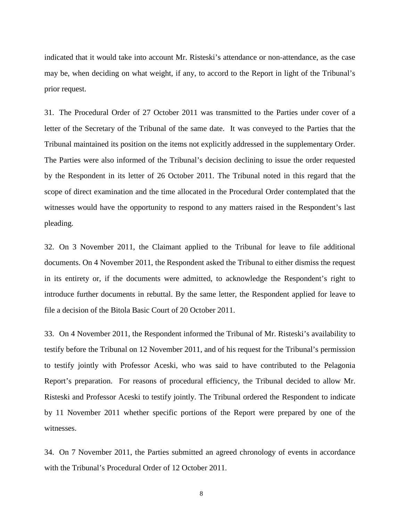indicated that it would take into account Mr. Risteski's attendance or non-attendance, as the case may be, when deciding on what weight, if any, to accord to the Report in light of the Tribunal's prior request.

31. The Procedural Order of 27 October 2011 was transmitted to the Parties under cover of a letter of the Secretary of the Tribunal of the same date. It was conveyed to the Parties that the Tribunal maintained its position on the items not explicitly addressed in the supplementary Order. The Parties were also informed of the Tribunal's decision declining to issue the order requested by the Respondent in its letter of 26 October 2011. The Tribunal noted in this regard that the scope of direct examination and the time allocated in the Procedural Order contemplated that the witnesses would have the opportunity to respond to any matters raised in the Respondent's last pleading.

32. On 3 November 2011, the Claimant applied to the Tribunal for leave to file additional documents. On 4 November 2011, the Respondent asked the Tribunal to either dismiss the request in its entirety or, if the documents were admitted, to acknowledge the Respondent's right to introduce further documents in rebuttal. By the same letter, the Respondent applied for leave to file a decision of the Bitola Basic Court of 20 October 2011.

33. On 4 November 2011, the Respondent informed the Tribunal of Mr. Risteski's availability to testify before the Tribunal on 12 November 2011, and of his request for the Tribunal's permission to testify jointly with Professor Aceski, who was said to have contributed to the Pelagonia Report's preparation. For reasons of procedural efficiency, the Tribunal decided to allow Mr. Risteski and Professor Aceski to testify jointly. The Tribunal ordered the Respondent to indicate by 11 November 2011 whether specific portions of the Report were prepared by one of the witnesses.

34. On 7 November 2011, the Parties submitted an agreed chronology of events in accordance with the Tribunal's Procedural Order of 12 October 2011.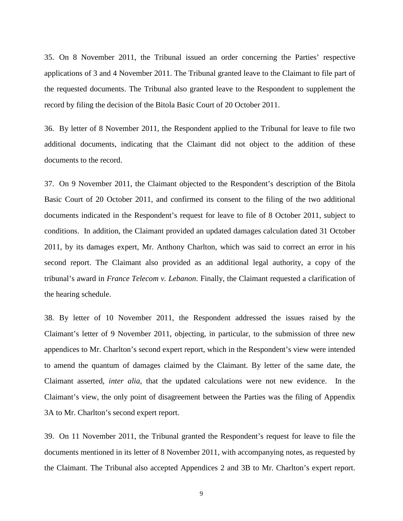35. On 8 November 2011, the Tribunal issued an order concerning the Parties' respective applications of 3 and 4 November 2011. The Tribunal granted leave to the Claimant to file part of the requested documents. The Tribunal also granted leave to the Respondent to supplement the record by filing the decision of the Bitola Basic Court of 20 October 2011.

36. By letter of 8 November 2011, the Respondent applied to the Tribunal for leave to file two additional documents, indicating that the Claimant did not object to the addition of these documents to the record.

37. On 9 November 2011, the Claimant objected to the Respondent's description of the Bitola Basic Court of 20 October 2011, and confirmed its consent to the filing of the two additional documents indicated in the Respondent's request for leave to file of 8 October 2011, subject to conditions. In addition, the Claimant provided an updated damages calculation dated 31 October 2011, by its damages expert, Mr. Anthony Charlton, which was said to correct an error in his second report. The Claimant also provided as an additional legal authority, a copy of the tribunal's award in *France Telecom v. Lebanon*. Finally, the Claimant requested a clarification of the hearing schedule.

38. By letter of 10 November 2011, the Respondent addressed the issues raised by the Claimant's letter of 9 November 2011, objecting, in particular, to the submission of three new appendices to Mr. Charlton's second expert report, which in the Respondent's view were intended to amend the quantum of damages claimed by the Claimant. By letter of the same date, the Claimant asserted, *inter alia*, that the updated calculations were not new evidence. In the Claimant's view, the only point of disagreement between the Parties was the filing of Appendix 3A to Mr. Charlton's second expert report.

39. On 11 November 2011, the Tribunal granted the Respondent's request for leave to file the documents mentioned in its letter of 8 November 2011, with accompanying notes, as requested by the Claimant. The Tribunal also accepted Appendices 2 and 3B to Mr. Charlton's expert report.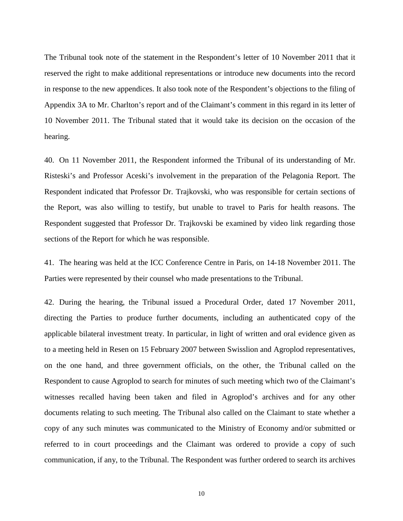The Tribunal took note of the statement in the Respondent's letter of 10 November 2011 that it reserved the right to make additional representations or introduce new documents into the record in response to the new appendices. It also took note of the Respondent's objections to the filing of Appendix 3A to Mr. Charlton's report and of the Claimant's comment in this regard in its letter of 10 November 2011. The Tribunal stated that it would take its decision on the occasion of the hearing.

40. On 11 November 2011, the Respondent informed the Tribunal of its understanding of Mr. Risteski's and Professor Aceski's involvement in the preparation of the Pelagonia Report. The Respondent indicated that Professor Dr. Trajkovski, who was responsible for certain sections of the Report, was also willing to testify, but unable to travel to Paris for health reasons. The Respondent suggested that Professor Dr. Trajkovski be examined by video link regarding those sections of the Report for which he was responsible.

41. The hearing was held at the ICC Conference Centre in Paris, on 14-18 November 2011. The Parties were represented by their counsel who made presentations to the Tribunal.

42. During the hearing, the Tribunal issued a Procedural Order, dated 17 November 2011, directing the Parties to produce further documents, including an authenticated copy of the applicable bilateral investment treaty. In particular, in light of written and oral evidence given as to a meeting held in Resen on 15 February 2007 between Swisslion and Agroplod representatives, on the one hand, and three government officials, on the other, the Tribunal called on the Respondent to cause Agroplod to search for minutes of such meeting which two of the Claimant's witnesses recalled having been taken and filed in Agroplod's archives and for any other documents relating to such meeting. The Tribunal also called on the Claimant to state whether a copy of any such minutes was communicated to the Ministry of Economy and/or submitted or referred to in court proceedings and the Claimant was ordered to provide a copy of such communication, if any, to the Tribunal. The Respondent was further ordered to search its archives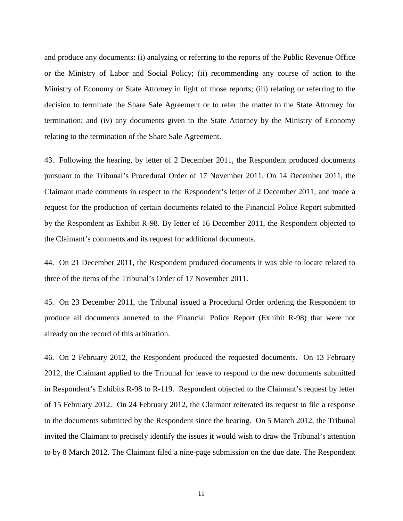and produce any documents: (i) analyzing or referring to the reports of the Public Revenue Office or the Ministry of Labor and Social Policy; (ii) recommending any course of action to the Ministry of Economy or State Attorney in light of those reports; (iii) relating or referring to the decision to terminate the Share Sale Agreement or to refer the matter to the State Attorney for termination; and (iv) any documents given to the State Attorney by the Ministry of Economy relating to the termination of the Share Sale Agreement.

43. Following the hearing, by letter of 2 December 2011, the Respondent produced documents pursuant to the Tribunal's Procedural Order of 17 November 2011. On 14 December 2011, the Claimant made comments in respect to the Respondent's letter of 2 December 2011, and made a request for the production of certain documents related to the Financial Police Report submitted by the Respondent as Exhibit R-98. By letter of 16 December 2011, the Respondent objected to the Claimant's comments and its request for additional documents.

44. On 21 December 2011, the Respondent produced documents it was able to locate related to three of the items of the Tribunal's Order of 17 November 2011.

45. On 23 December 2011, the Tribunal issued a Procedural Order ordering the Respondent to produce all documents annexed to the Financial Police Report (Exhibit R-98) that were not already on the record of this arbitration.

46. On 2 February 2012, the Respondent produced the requested documents. On 13 February 2012, the Claimant applied to the Tribunal for leave to respond to the new documents submitted in Respondent's Exhibits R-98 to R-119. Respondent objected to the Claimant's request by letter of 15 February 2012. On 24 February 2012, the Claimant reiterated its request to file a response to the documents submitted by the Respondent since the hearing. On 5 March 2012, the Tribunal invited the Claimant to precisely identify the issues it would wish to draw the Tribunal's attention to by 8 March 2012. The Claimant filed a nine-page submission on the due date. The Respondent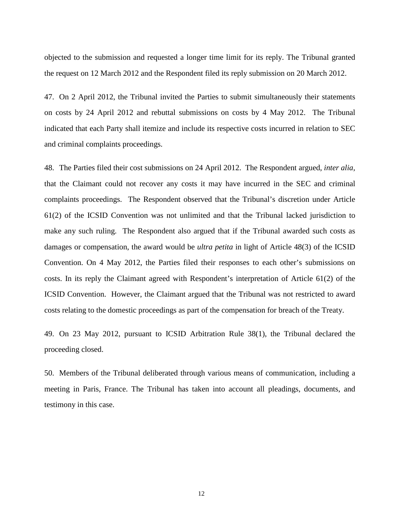objected to the submission and requested a longer time limit for its reply. The Tribunal granted the request on 12 March 2012 and the Respondent filed its reply submission on 20 March 2012.

47. On 2 April 2012, the Tribunal invited the Parties to submit simultaneously their statements on costs by 24 April 2012 and rebuttal submissions on costs by 4 May 2012. The Tribunal indicated that each Party shall itemize and include its respective costs incurred in relation to SEC and criminal complaints proceedings.

48. The Parties filed their cost submissions on 24 April 2012. The Respondent argued, *inter alia,* that the Claimant could not recover any costs it may have incurred in the SEC and criminal complaints proceedings. The Respondent observed that the Tribunal's discretion under Article 61(2) of the ICSID Convention was not unlimited and that the Tribunal lacked jurisdiction to make any such ruling. The Respondent also argued that if the Tribunal awarded such costs as damages or compensation, the award would be *ultra petita* in light of Article 48(3) of the ICSID Convention. On 4 May 2012, the Parties filed their responses to each other's submissions on costs. In its reply the Claimant agreed with Respondent's interpretation of Article 61(2) of the ICSID Convention. However, the Claimant argued that the Tribunal was not restricted to award costs relating to the domestic proceedings as part of the compensation for breach of the Treaty.

49. On 23 May 2012, pursuant to ICSID Arbitration Rule 38(1), the Tribunal declared the proceeding closed.

50. Members of the Tribunal deliberated through various means of communication, including a meeting in Paris, France. The Tribunal has taken into account all pleadings, documents, and testimony in this case.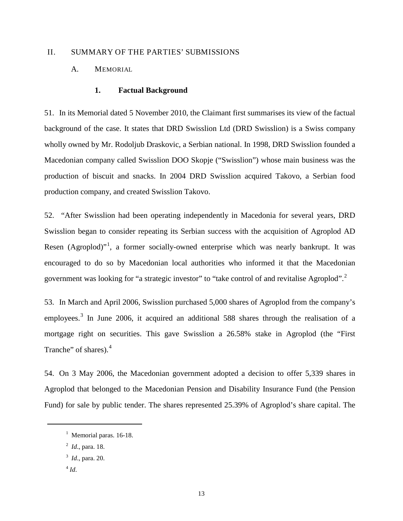# <span id="page-15-1"></span><span id="page-15-0"></span>II. SUMMARY OF THE PARTIES' SUBMISSIONS

# <span id="page-15-2"></span>A. MEMORIAL

#### **1. Factual Background**

51. In its Memorial dated 5 November 2010, the Claimant first summarises its view of the factual background of the case. It states that DRD Swisslion Ltd (DRD Swisslion) is a Swiss company wholly owned by Mr. Rodoljub Draskovic, a Serbian national. In 1998, DRD Swisslion founded a Macedonian company called Swisslion DOO Skopje ("Swisslion") whose main business was the production of biscuit and snacks. In 2004 DRD Swisslion acquired Takovo, a Serbian food production company, and created Swisslion Takovo.

52. "After Swisslion had been operating independently in Macedonia for several years, DRD Swisslion began to consider repeating its Serbian success with the acquisition of Agroplod AD Resen (Agroplod)"<sup>[1](#page-15-3)</sup>, a former socially-owned enterprise which was nearly bankrupt. It was encouraged to do so by Macedonian local authorities who informed it that the Macedonian government was looking for "a strategic investor" to "take control of and revitalise Agroplod".<sup>[2](#page-15-4)</sup>

53. In March and April 2006, Swisslion purchased 5,000 shares of Agroplod from the company's employees.<sup>[3](#page-15-5)</sup> In June 2006, it acquired an additional 588 shares through the realisation of a mortgage right on securities. This gave Swisslion a 26.58% stake in Agroplod (the "First Tranche" of shares).<sup>[4](#page-15-6)</sup>

54. On 3 May 2006, the Macedonian government adopted a decision to offer 5,339 shares in Agroplod that belonged to the Macedonian Pension and Disability Insurance Fund (the Pension Fund) for sale by public tender. The shares represented 25.39% of Agroplod's share capital. The

<span id="page-15-6"></span> $^{4}$  *Id.* 

<span id="page-15-3"></span><sup>&</sup>lt;sup>1</sup> Memorial paras. 16-18.

<span id="page-15-4"></span><sup>2</sup> *Id*., para. 18.

<span id="page-15-5"></span><sup>3</sup> *Id*., para. 20.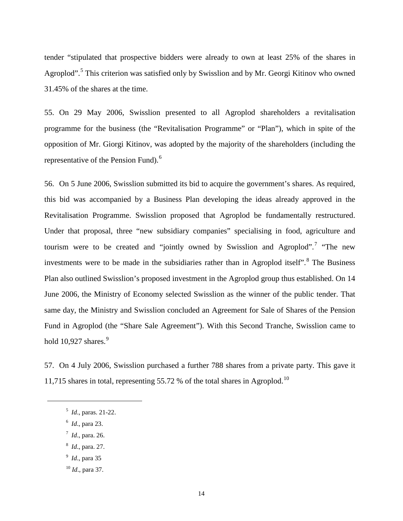tender "stipulated that prospective bidders were already to own at least 25% of the shares in Agroplod".<sup>[5](#page-16-0)</sup> This criterion was satisfied only by Swisslion and by Mr. Georgi Kitinov who owned 31.45% of the shares at the time.

55. On 29 May 2006, Swisslion presented to all Agroplod shareholders a revitalisation programme for the business (the "Revitalisation Programme" or "Plan"), which in spite of the opposition of Mr. Giorgi Kitinov, was adopted by the majority of the shareholders (including the representative of the Pension Fund).<sup>[6](#page-16-1)</sup>

56. On 5 June 2006, Swisslion submitted its bid to acquire the government's shares. As required, this bid was accompanied by a Business Plan developing the ideas already approved in the Revitalisation Programme. Swisslion proposed that Agroplod be fundamentally restructured. Under that proposal, three "new subsidiary companies" specialising in food, agriculture and tourism were to be created and "jointly owned by Swisslion and Agroplod".<sup>[7](#page-16-2)</sup> "The new investments were to be made in the subsidiaries rather than in Agroplod itself<sup>".[8](#page-16-3)</sup> The Business Plan also outlined Swisslion's proposed investment in the Agroplod group thus established. On 14 June 2006, the Ministry of Economy selected Swisslion as the winner of the public tender. That same day, the Ministry and Swisslion concluded an Agreement for Sale of Shares of the Pension Fund in Agroplod (the "Share Sale Agreement"). With this Second Tranche, Swisslion came to hold  $10,927$  $10,927$  $10,927$  shares. $9$ 

<span id="page-16-0"></span>57. On 4 July 2006, Swisslion purchased a further 788 shares from a private party. This gave it 11,715 shares in total, representing 55.72 % of the total shares in Agroplod.<sup>[10](#page-16-5)</sup>

- 5 *Id*., paras. 21-22.
- <span id="page-16-1"></span><sup>6</sup> *Id*., para 23.

- 7 *Id*., para. 26.
- <span id="page-16-3"></span><span id="page-16-2"></span>8 *Id*., para. 27.
- <span id="page-16-4"></span><sup>9</sup> *Id*., para 35
- <span id="page-16-5"></span><sup>10</sup> *Id*., para 37.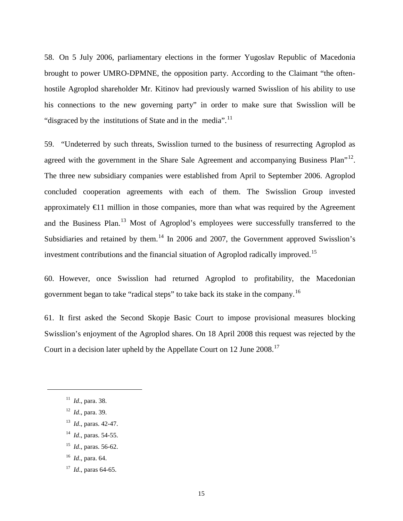58. On 5 July 2006, parliamentary elections in the former Yugoslav Republic of Macedonia brought to power UMRO-DPMNE, the opposition party. According to the Claimant "the oftenhostile Agroplod shareholder Mr. Kitinov had previously warned Swisslion of his ability to use his connections to the new governing party" in order to make sure that Swisslion will be "disgraced by the institutions of State and in the media".<sup>[11](#page-17-0)</sup>

59. "Undeterred by such threats, Swisslion turned to the business of resurrecting Agroplod as agreed with the government in the Share Sale Agreement and accompanying Business Plan<sup>"[12](#page-17-1)</sup>. The three new subsidiary companies were established from April to September 2006. Agroplod concluded cooperation agreements with each of them. The Swisslion Group invested approximately  $\bigoplus$  1 million in those companies, more than what was required by the Agreement and the Business Plan.<sup>[13](#page-17-2)</sup> Most of Agroplod's employees were successfully transferred to the Subsidiaries and retained by them.<sup>[14](#page-17-3)</sup> In 2006 and 2007, the Government approved Swisslion's investment contributions and the financial situation of Agroplod radically improved.<sup>[15](#page-17-4)</sup>

60. However, once Swisslion had returned Agroplod to profitability, the Macedonian government began to take "radical steps" to take back its stake in the company.[16](#page-17-5)

61. It first asked the Second Skopje Basic Court to impose provisional measures blocking Swisslion's enjoyment of the Agroplod shares. On 18 April 2008 this request was rejected by the Court in a decision later upheld by the Appellate Court on 12 June 2008.<sup>[17](#page-17-6)</sup>

- <span id="page-17-3"></span><sup>14</sup> *Id*., paras. 54-55.
- <span id="page-17-4"></span><sup>15</sup> *Id*., paras. 56-62.
- <sup>16</sup> *Id*., para. 64.
- <span id="page-17-6"></span><span id="page-17-5"></span><sup>17</sup> *Id*., paras 64-65.

<span id="page-17-0"></span><sup>11</sup> *Id*., para. 38.

<span id="page-17-1"></span><sup>12</sup> *Id*., para. 39.

<span id="page-17-2"></span><sup>13</sup> *Id*., paras. 42-47.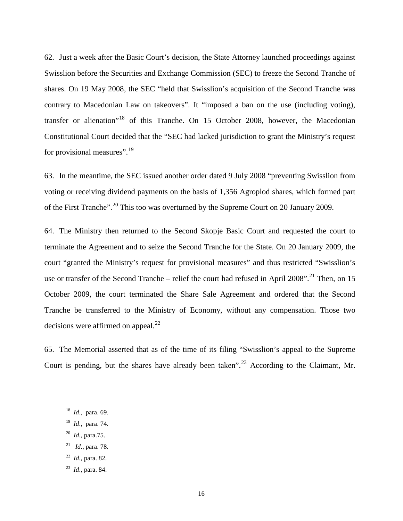62. Just a week after the Basic Court's decision, the State Attorney launched proceedings against Swisslion before the Securities and Exchange Commission (SEC) to freeze the Second Tranche of shares. On 19 May 2008, the SEC "held that Swisslion's acquisition of the Second Tranche was contrary to Macedonian Law on takeovers". It "imposed a ban on the use (including voting), transfer or alienation"[18](#page-18-0) of this Tranche. On 15 October 2008, however, the Macedonian Constitutional Court decided that the "SEC had lacked jurisdiction to grant the Ministry's request for provisional measures".<sup>[19](#page-18-1)</sup>

63. In the meantime, the SEC issued another order dated 9 July 2008 "preventing Swisslion from voting or receiving dividend payments on the basis of 1,356 Agroplod shares, which formed part of the First Tranche".<sup>[20](#page-18-2)</sup> This too was overturned by the Supreme Court on 20 January 2009.

64. The Ministry then returned to the Second Skopje Basic Court and requested the court to terminate the Agreement and to seize the Second Tranche for the State. On 20 January 2009, the court "granted the Ministry's request for provisional measures" and thus restricted "Swisslion's use or transfer of the Second Tranche – relief the court had refused in April 2008".<sup>[21](#page-18-3)</sup> Then, on 15 October 2009, the court terminated the Share Sale Agreement and ordered that the Second Tranche be transferred to the Ministry of Economy, without any compensation. Those two decisions were affirmed on appeal. $^{22}$  $^{22}$  $^{22}$ 

65. The Memorial asserted that as of the time of its filing "Swisslion's appeal to the Supreme Court is pending, but the shares have already been taken".<sup>[23](#page-18-5)</sup> According to the Claimant, Mr.

<span id="page-18-0"></span>18 *Id*., para. 69.

- <span id="page-18-1"></span>19 *Id*., para. 74.
- <span id="page-18-2"></span>20 *Id*., para.75.
- <span id="page-18-3"></span><sup>21</sup> *Id*., para. 78.
- <span id="page-18-4"></span><sup>22</sup> *Id*., para. 82.
- <span id="page-18-5"></span>23 *Id*., para. 84.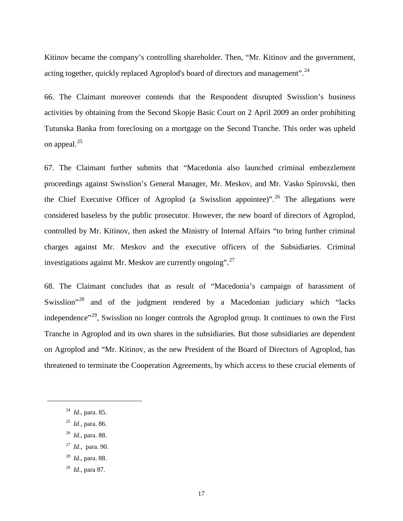Kitinov became the company's controlling shareholder. Then, "Mr. Kitinov and the government, acting together, quickly replaced Agroplod's board of directors and management".<sup>[24](#page-19-0)</sup>

66. The Claimant moreover contends that the Respondent disrupted Swisslion's business activities by obtaining from the Second Skopje Basic Court on 2 April 2009 an order prohibiting Tutunska Banka from foreclosing on a mortgage on the Second Tranche. This order was upheld on appeal.<sup>[25](#page-19-1)</sup>

67. The Claimant further submits that "Macedonia also launched criminal embezzlement proceedings against Swisslion's General Manager, Mr. Meskov, and Mr. Vasko Spirovski, then the Chief Executive Officer of Agroplod (a Swisslion appointee)".<sup>[26](#page-19-2)</sup> The allegations were considered baseless by the public prosecutor. However, the new board of directors of Agroplod, controlled by Mr. Kitinov, then asked the Ministry of Internal Affairs "to bring further criminal charges against Mr. Meskov and the executive officers of the Subsidiaries. Criminal investigations against Mr. Meskov are currently ongoing".<sup>[27](#page-19-3)</sup>

68. The Claimant concludes that as result of "Macedonia's campaign of harassment of Swisslion<sup>"[28](#page-19-4)</sup> and of the judgment rendered by a Macedonian judiciary which "lacks" independence"<sup>[29](#page-19-5)</sup>, Swisslion no longer controls the Agroplod group. It continues to own the First Tranche in Agroplod and its own shares in the subsidiaries. But those subsidiaries are dependent on Agroplod and "Mr. Kitinov, as the new President of the Board of Directors of Agroplod, has threatened to terminate the Cooperation Agreements, by which access to these crucial elements of

<span id="page-19-0"></span>24 *Id*., para. 85.

- <span id="page-19-1"></span><sup>25</sup> *Id*., para. 86.
- 26 *Id*., para. 88.
- <span id="page-19-3"></span><span id="page-19-2"></span>27 *Id*., para. 90.
- <span id="page-19-4"></span>28 *Id*., para. 88.
- <span id="page-19-5"></span>29 *Id*., para 87.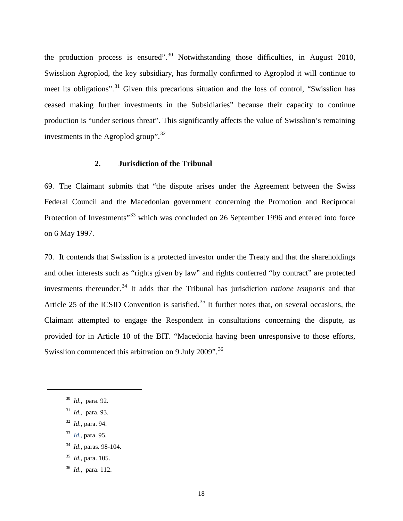the production process is ensured". $30$  Notwithstanding those difficulties, in August 2010, Swisslion Agroplod, the key subsidiary, has formally confirmed to Agroplod it will continue to meet its obligations".<sup>[31](#page-20-2)</sup> Given this precarious situation and the loss of control, "Swisslion has ceased making further investments in the Subsidiaries" because their capacity to continue production is "under serious threat". This significantly affects the value of Swisslion's remaining investments in the Agroplod group".[32](#page-20-3)

#### **2. Jurisdiction of the Tribunal**

<span id="page-20-0"></span>69. The Claimant submits that "the dispute arises under the Agreement between the Swiss Federal Council and the Macedonian government concerning the Promotion and Reciprocal Protection of Investments"<sup>[33](#page-20-4)</sup> which was concluded on 26 September 1996 and entered into force on 6 May 1997.

70. It contends that Swisslion is a protected investor under the Treaty and that the shareholdings and other interests such as "rights given by law" and rights conferred "by contract" are protected investments thereunder. [34](#page-20-5) It adds that the Tribunal has jurisdiction *ratione temporis* and that Article 25 of the ICSID Convention is satisfied.<sup>[35](#page-20-6)</sup> It further notes that, on several occasions, the Claimant attempted to engage the Respondent in consultations concerning the dispute, as provided for in Article 10 of the BIT. "Macedonia having been unresponsive to those efforts, Swisslion commenced this arbitration on 9 July 2009".  $36$ 

- <span id="page-20-4"></span>33 *Id*., para. 95.
- <span id="page-20-5"></span><sup>34</sup> *Id*., paras. 98-104.
- <span id="page-20-6"></span><sup>35</sup> *Id*., para. 105.
- <span id="page-20-7"></span>36 *Id*., para. 112.

<span id="page-20-1"></span><sup>30</sup> *Id*., para. 92.

<span id="page-20-2"></span><sup>31</sup> *Id*., para. 93.

<span id="page-20-3"></span><sup>32</sup> *Id*., para. 94.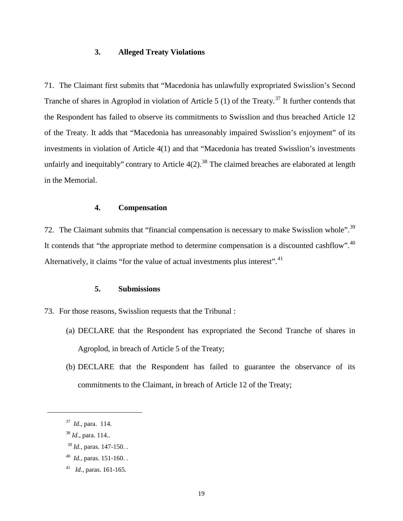#### **3. Alleged Treaty Violations**

<span id="page-21-0"></span>71. The Claimant first submits that "Macedonia has unlawfully expropriated Swisslion's Second Tranche of shares in Agroplod in violation of Article 5 (1) of the Treaty.<sup>[37](#page-21-3)</sup> It further contends that the Respondent has failed to observe its commitments to Swisslion and thus breached Article 12 of the Treaty. It adds that "Macedonia has unreasonably impaired Swisslion's enjoyment" of its investments in violation of Article 4(1) and that "Macedonia has treated Swisslion's investments unfairly and inequitably" contrary to Article  $4(2)$ .<sup>[38](#page-21-4)</sup> The claimed breaches are elaborated at length in the Memorial.

# **4. Compensation**

<span id="page-21-1"></span>72. The Claimant submits that "financial compensation is necessary to make Swisslion whole".<sup>[39](#page-21-5)</sup> It contends that "the appropriate method to determine compensation is a discounted cashflow".<sup>[40](#page-21-6)</sup> Alternatively, it claims "for the value of actual investments plus interest".<sup>[41](#page-21-7)</sup>

#### **5. Submissions**

- <span id="page-21-2"></span>73. For those reasons, Swisslion requests that the Tribunal :
	- (a) DECLARE that the Respondent has expropriated the Second Tranche of shares in Agroplod, in breach of Article 5 of the Treaty;
	- (b) DECLARE that the Respondent has failed to guarantee the observance of its commitments to the Claimant, in breach of Article 12 of the Treaty;

<span id="page-21-3"></span><sup>37</sup> *Id*., para. 114.

<span id="page-21-4"></span><sup>38</sup> *Id.*, para. 114..

<span id="page-21-5"></span><sup>39</sup> *Id.,* paras. 147-150. .

<span id="page-21-6"></span><sup>40</sup> *Id.,* paras. 151-160. .

<span id="page-21-7"></span><sup>41</sup> *Id*., paras. 161-165.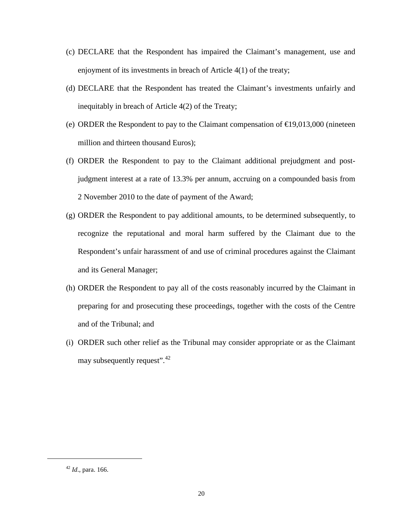- (c) DECLARE that the Respondent has impaired the Claimant's management, use and enjoyment of its investments in breach of Article 4(1) of the treaty;
- (d) DECLARE that the Respondent has treated the Claimant's investments unfairly and inequitably in breach of Article 4(2) of the Treaty;
- (e) ORDER the Respondent to pay to the Claimant compensation of  $\bigoplus$  9,013,000 (nineteen million and thirteen thousand Euros);
- (f) ORDER the Respondent to pay to the Claimant additional prejudgment and postjudgment interest at a rate of 13.3% per annum, accruing on a compounded basis from 2 November 2010 to the date of payment of the Award;
- (g) ORDER the Respondent to pay additional amounts, to be determined subsequently, to recognize the reputational and moral harm suffered by the Claimant due to the Respondent's unfair harassment of and use of criminal procedures against the Claimant and its General Manager;
- (h) ORDER the Respondent to pay all of the costs reasonably incurred by the Claimant in preparing for and prosecuting these proceedings, together with the costs of the Centre and of the Tribunal; and
- (i) ORDER such other relief as the Tribunal may consider appropriate or as the Claimant may subsequently request". $42$

<span id="page-22-0"></span><sup>42</sup> *Id*., para. 166.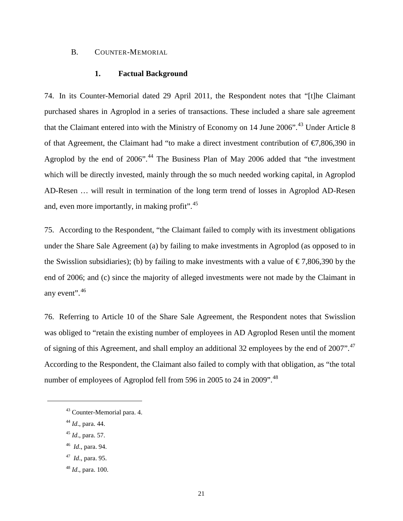#### <span id="page-23-1"></span><span id="page-23-0"></span>B. COUNTER-MEMORIAL

#### **1. Factual Background**

74. In its Counter-Memorial dated 29 April 2011, the Respondent notes that "[t]he Claimant purchased shares in Agroplod in a series of transactions. These included a share sale agreement that the Claimant entered into with the Ministry of Economy on 14 June  $2006$ ".<sup>[43](#page-23-2)</sup> Under Article 8 of that Agreement, the Claimant had "to make a direct investment contribution of  $\epsilon$ 7,806,390 in Agroplod by the end of  $2006$ ".<sup>[44](#page-23-3)</sup> The Business Plan of May  $2006$  added that "the investment" which will be directly invested, mainly through the so much needed working capital, in Agroplod AD-Resen … will result in termination of the long term trend of losses in Agroplod AD-Resen and, even more importantly, in making profit".<sup>[45](#page-23-4)</sup>

75. According to the Respondent, "the Claimant failed to comply with its investment obligations under the Share Sale Agreement (a) by failing to make investments in Agroplod (as opposed to in the Swisslion subsidiaries); (b) by failing to make investments with a value of  $\epsilon$ 7,806,390 by the end of 2006; and (c) since the majority of alleged investments were not made by the Claimant in any event".<sup>[46](#page-23-5)</sup>

76. Referring to Article 10 of the Share Sale Agreement, the Respondent notes that Swisslion was obliged to "retain the existing number of employees in AD Agroplod Resen until the moment of signing of this Agreement, and shall employ an additional 32 employees by the end of 2007".<sup>[47](#page-23-6)</sup> According to the Respondent, the Claimant also failed to comply with that obligation, as "the total number of employees of Agroplod fell from 596 in 2005 to 24 in 2009".<sup>[48](#page-23-7)</sup>

- <sup>45</sup> *Id*., para. 57.
- <span id="page-23-5"></span><span id="page-23-4"></span>46 *Id*., para. 94.
- <span id="page-23-6"></span>47 *Id*., para. 95.

<span id="page-23-2"></span><sup>43</sup> Counter-Memorial para. 4.

<span id="page-23-3"></span><sup>44</sup> *Id*., para. 44.

<span id="page-23-7"></span><sup>48</sup> *Id*., para. 100.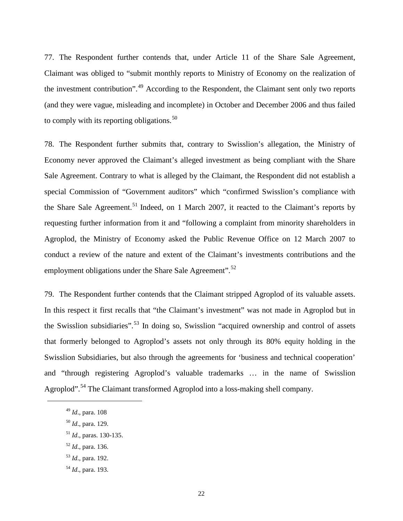77. The Respondent further contends that, under Article 11 of the Share Sale Agreement, Claimant was obliged to "submit monthly reports to Ministry of Economy on the realization of the investment contribution".<sup>[49](#page-24-0)</sup> According to the Respondent, the Claimant sent only two reports (and they were vague, misleading and incomplete) in October and December 2006 and thus failed to comply with its reporting obligations. $50$ 

78. The Respondent further submits that, contrary to Swisslion's allegation, the Ministry of Economy never approved the Claimant's alleged investment as being compliant with the Share Sale Agreement. Contrary to what is alleged by the Claimant, the Respondent did not establish a special Commission of "Government auditors" which "confirmed Swisslion's compliance with the Share Sale Agreement.<sup>[51](#page-24-2)</sup> Indeed, on 1 March 2007, it reacted to the Claimant's reports by requesting further information from it and "following a complaint from minority shareholders in Agroplod, the Ministry of Economy asked the Public Revenue Office on 12 March 2007 to conduct a review of the nature and extent of the Claimant's investments contributions and the employment obligations under the Share Sale Agreement".<sup>[52](#page-24-3)</sup>

79. The Respondent further contends that the Claimant stripped Agroplod of its valuable assets. In this respect it first recalls that "the Claimant's investment" was not made in Agroplod but in the Swisslion subsidiaries".<sup>[53](#page-24-4)</sup> In doing so, Swisslion "acquired ownership and control of assets that formerly belonged to Agroplod's assets not only through its 80% equity holding in the Swisslion Subsidiaries, but also through the agreements for 'business and technical cooperation' and "through registering Agroplod's valuable trademarks … in the name of Swisslion Agroplod".<sup>[54](#page-24-5)</sup> The Claimant transformed Agroplod into a loss-making shell company.

- <span id="page-24-3"></span><sup>52</sup> *Id*., para. 136.
- <span id="page-24-4"></span><sup>53</sup> *Id*., para. 192.
- <span id="page-24-5"></span><sup>54</sup> *Id*., para. 193.

<span id="page-24-0"></span><sup>49</sup> *Id*., para. 108

<span id="page-24-1"></span><sup>50</sup> *Id*., para. 129.

<span id="page-24-2"></span><sup>51</sup> *Id*., paras. 130-135.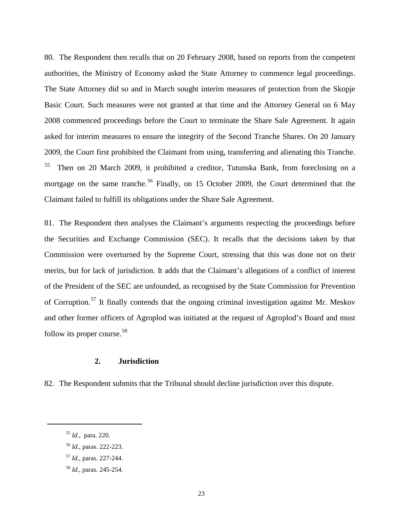80. The Respondent then recalls that on 20 February 2008, based on reports from the competent authorities, the Ministry of Economy asked the State Attorney to commence legal proceedings. The State Attorney did so and in March sought interim measures of protection from the Skopje Basic Court. Such measures were not granted at that time and the Attorney General on 6 May 2008 commenced proceedings before the Court to terminate the Share Sale Agreement. It again asked for interim measures to ensure the integrity of the Second Tranche Shares. On 20 January 2009, the Court first prohibited the Claimant from using, transferring and alienating this Tranche. [55](#page-25-1) Then on 20 March 2009, it prohibited a creditor, Tutunska Bank, from foreclosing on a mortgage on the same tranche.<sup>[56](#page-25-2)</sup> Finally, on 15 October 2009, the Court determined that the Claimant failed to fulfill its obligations under the Share Sale Agreement.

81. The Respondent then analyses the Claimant's arguments respecting the proceedings before the Securities and Exchange Commission (SEC). It recalls that the decisions taken by that Commission were overturned by the Supreme Court, stressing that this was done not on their merits, but for lack of jurisdiction. It adds that the Claimant's allegations of a conflict of interest of the President of the SEC are unfounded, as recognised by the State Commission for Prevention of Corruption.<sup>[57](#page-25-3)</sup> It finally contends that the ongoing criminal investigation against Mr. Meskov and other former officers of Agroplod was initiated at the request of Agroplod's Board and must follow its proper course.<sup>[58](#page-25-4)</sup>

#### **2. Jurisdiction**

<span id="page-25-0"></span>82. The Respondent submits that the Tribunal should decline jurisdiction over this dispute.

<span id="page-25-1"></span><sup>55</sup> *Id*., para. 220.

<span id="page-25-2"></span><sup>56</sup> *Id*., paras. 222-223.

<span id="page-25-3"></span><sup>57</sup> *Id*., paras. 227-244.

<span id="page-25-4"></span><sup>58</sup> *Id*., paras. 245-254.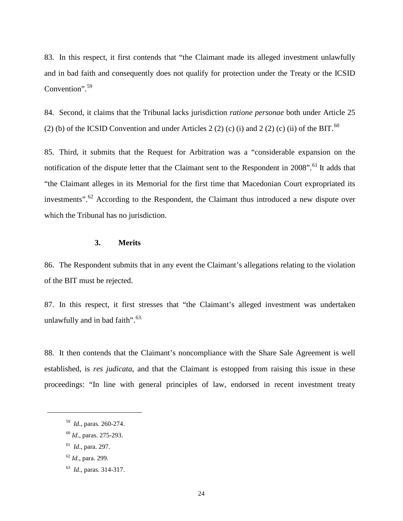83. In this respect, it first contends that "the Claimant made its alleged investment unlawfully and in bad faith and consequently does not qualify for protection under the Treaty or the ICSID Convention".<sup>[59](#page-26-1)</sup>

84. Second, it claims that the Tribunal lacks jurisdiction *ratione personae* both under Article 25 (2) (b) of the ICSID Convention and under Articles 2 (2) (c) (i) and 2 (2) (c) (ii) of the BIT.<sup>[60](#page-26-2)</sup>

85. Third, it submits that the Request for Arbitration was a "considerable expansion on the notification of the dispute letter that the Claimant sent to the Respondent in 2008".<sup>[61](#page-26-3)</sup> It adds that "the Claimant alleges in its Memorial for the first time that Macedonian Court expropriated its investments".<sup>[62](#page-26-4)</sup> According to the Respondent, the Claimant thus introduced a new dispute over which the Tribunal has no jurisdiction.

#### **3. Merits**

<span id="page-26-0"></span>86. The Respondent submits that in any event the Claimant's allegations relating to the violation of the BIT must be rejected.

87. In this respect, it first stresses that "the Claimant's alleged investment was undertaken unlawfully and in bad faith". $63$ .

88. It then contends that the Claimant's noncompliance with the Share Sale Agreement is well established, is *res judicata*, and that the Claimant is estopped from raising this issue in these proceedings: "In line with general principles of law, endorsed in recent investment treaty

<sup>59</sup> *Id*., paras. 260-274.

<span id="page-26-2"></span><span id="page-26-1"></span><sup>60</sup> *Id*., paras. 275-293.

<span id="page-26-3"></span><sup>61</sup> *Id*., para. 297.

<span id="page-26-4"></span><sup>62</sup> *Id*., para. 299.

<span id="page-26-5"></span><sup>63</sup> *Id*., paras. 314-317.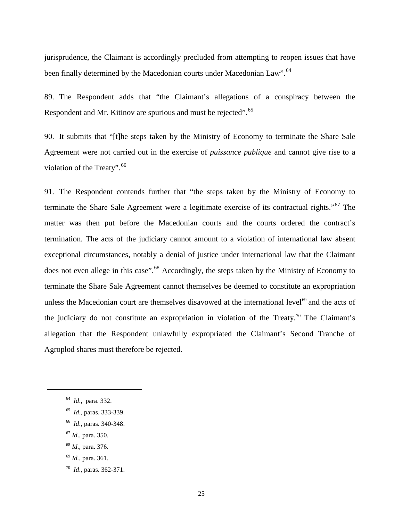jurisprudence, the Claimant is accordingly precluded from attempting to reopen issues that have been finally determined by the Macedonian courts under Macedonian Law".<sup>[64](#page-27-0)</sup>

89. The Respondent adds that "the Claimant's allegations of a conspiracy between the Respondent and Mr. Kitinov are spurious and must be rejected".<sup>[65](#page-27-1)</sup>

90. It submits that "[t]he steps taken by the Ministry of Economy to terminate the Share Sale Agreement were not carried out in the exercise of *puissance publique* and cannot give rise to a violation of the Treaty".<sup>[66](#page-27-2)</sup>

91. The Respondent contends further that "the steps taken by the Ministry of Economy to terminate the Share Sale Agreement were a legitimate exercise of its contractual rights."<sup>[67](#page-27-3)</sup> The matter was then put before the Macedonian courts and the courts ordered the contract's termination. The acts of the judiciary cannot amount to a violation of international law absent exceptional circumstances, notably a denial of justice under international law that the Claimant does not even allege in this case".<sup>[68](#page-27-4)</sup> Accordingly, the steps taken by the Ministry of Economy to terminate the Share Sale Agreement cannot themselves be deemed to constitute an expropriation unless the Macedonian court are themselves disavowed at the international level<sup>[69](#page-27-5)</sup> and the acts of the judiciary do not constitute an expropriation in violation of the Treaty.<sup>[70](#page-27-6)</sup> The Claimant's allegation that the Respondent unlawfully expropriated the Claimant's Second Tranche of Agroplod shares must therefore be rejected.

- <span id="page-27-5"></span><sup>69</sup> *Id.*, para. 361.
- <span id="page-27-6"></span>70 *Id*., paras. 362-371.

<span id="page-27-0"></span><sup>64</sup> *Id*., para. 332.

<span id="page-27-1"></span><sup>65</sup> *Id*., paras. 333-339.

<span id="page-27-2"></span><sup>66</sup> *Id*., paras. 340-348.

<span id="page-27-3"></span><sup>67</sup> *Id*., para. 350.

<span id="page-27-4"></span><sup>68</sup> *Id*., para. 376.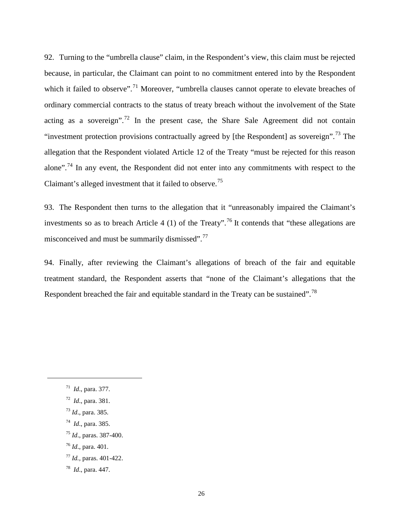92. Turning to the "umbrella clause" claim, in the Respondent's view, this claim must be rejected because, in particular, the Claimant can point to no commitment entered into by the Respondent which it failed to observe".<sup>[71](#page-28-0)</sup> Moreover, "umbrella clauses cannot operate to elevate breaches of ordinary commercial contracts to the status of treaty breach without the involvement of the State acting as a sovereign".<sup>[72](#page-28-1)</sup> In the present case, the Share Sale Agreement did not contain "investment protection provisions contractually agreed by [the Respondent] as sovereign".<sup>[73](#page-28-2)</sup> The allegation that the Respondent violated Article 12 of the Treaty "must be rejected for this reason alone".<sup>[74](#page-28-3)</sup> In any event, the Respondent did not enter into any commitments with respect to the Claimant's alleged investment that it failed to observe.<sup>[75](#page-28-4)</sup>

93. The Respondent then turns to the allegation that it "unreasonably impaired the Claimant's investments so as to breach Article 4 (1) of the Treaty".<sup>[76](#page-28-5)</sup> It contends that "these allegations are misconceived and must be summarily dismissed".[77](#page-28-6)

94. Finally, after reviewing the Claimant's allegations of breach of the fair and equitable treatment standard, the Respondent asserts that "none of the Claimant's allegations that the Respondent breached the fair and equitable standard in the Treaty can be sustained".<sup>[78](#page-28-7)</sup>

- <span id="page-28-2"></span><sup>73</sup> *Id*., para. 385.
- <span id="page-28-3"></span>74 *Id*., para. 385.
- <span id="page-28-4"></span><sup>75</sup> *Id*., paras. 387-400.
- <span id="page-28-5"></span><sup>76</sup> *Id*., para. 401.
- <span id="page-28-6"></span><sup>77</sup> *Id.,* paras. 401-422.
- <span id="page-28-7"></span>78 *Id*., para. 447.

<span id="page-28-0"></span><sup>71</sup> *Id*., para. 377.

<span id="page-28-1"></span><sup>72</sup> *Id*., para. 381.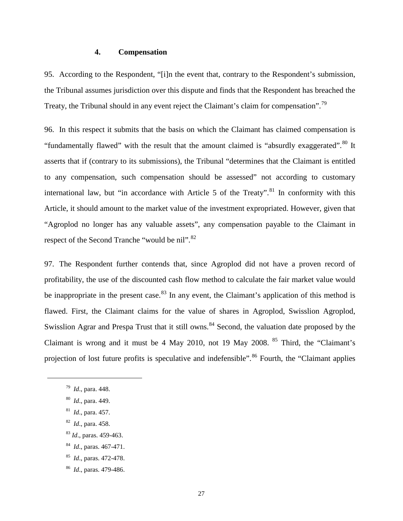#### **4. Compensation**

<span id="page-29-0"></span>95. According to the Respondent, "[i]n the event that, contrary to the Respondent's submission, the Tribunal assumes jurisdiction over this dispute and finds that the Respondent has breached the Treaty, the Tribunal should in any event reject the Claimant's claim for compensation".<sup>[79](#page-29-1)</sup>

96. In this respect it submits that the basis on which the Claimant has claimed compensation is "fundamentally flawed" with the result that the amount claimed is "absurdly exaggerated".<sup>[80](#page-29-2)</sup> It asserts that if (contrary to its submissions), the Tribunal "determines that the Claimant is entitled to any compensation, such compensation should be assessed" not according to customary international law, but "in accordance with Article 5 of the Treaty".<sup>[81](#page-29-3)</sup> In conformity with this Article, it should amount to the market value of the investment expropriated. However, given that "Agroplod no longer has any valuable assets", any compensation payable to the Claimant in respect of the Second Tranche "would be nil".<sup>[82](#page-29-4)</sup>

97. The Respondent further contends that, since Agroplod did not have a proven record of profitability, the use of the discounted cash flow method to calculate the fair market value would be inappropriate in the present case.<sup>[83](#page-29-5)</sup> In any event, the Claimant's application of this method is flawed. First, the Claimant claims for the value of shares in Agroplod, Swisslion Agroplod, Swisslion Agrar and Prespa Trust that it still owns.<sup>[84](#page-29-6)</sup> Second, the valuation date proposed by the Claimant is wrong and it must be 4 May 2010, not 19 May 2008.  $85$  Third, the "Claimant's projection of lost future profits is speculative and indefensible".<sup>[86](#page-29-8)</sup> Fourth, the "Claimant applies

<span id="page-29-1"></span><sup>79</sup> *Id*., para. 448.

<span id="page-29-2"></span><sup>80</sup> *Id*., para. 449.

<span id="page-29-3"></span><sup>81</sup> *Id*., para. 457.

<span id="page-29-4"></span><sup>82</sup> *Id*., para. 458.

<span id="page-29-5"></span><sup>83</sup> *Id*., paras. 459-463.

<span id="page-29-6"></span><sup>84</sup> *Id*., paras. 467-471.

<span id="page-29-7"></span><sup>85</sup> *Id*., paras. 472-478.

<span id="page-29-8"></span><sup>86</sup> *Id*., paras. 479-486.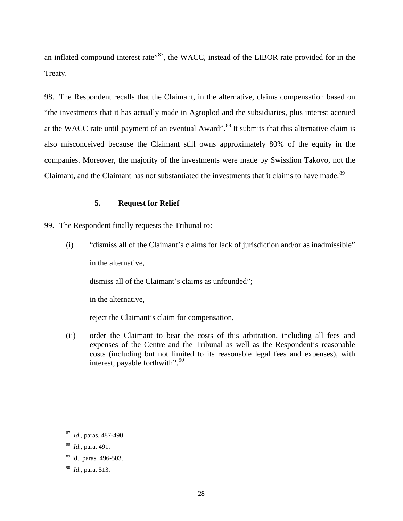an inflated compound interest rate<sup> $87$ </sup>, the WACC, instead of the LIBOR rate provided for in the Treaty.

98. The Respondent recalls that the Claimant, in the alternative, claims compensation based on "the investments that it has actually made in Agroplod and the subsidiaries, plus interest accrued at the WACC rate until payment of an eventual Award".<sup>[88](#page-30-2)</sup> It submits that this alternative claim is also misconceived because the Claimant still owns approximately 80% of the equity in the companies. Moreover, the majority of the investments were made by Swisslion Takovo, not the Claimant, and the Claimant has not substantiated the investments that it claims to have made.<sup>[89](#page-30-3)</sup>

# **5. Request for Relief**

<span id="page-30-0"></span>99. The Respondent finally requests the Tribunal to:

(i) "dismiss all of the Claimant's claims for lack of jurisdiction and/or as inadmissible" in the alternative,

dismiss all of the Claimant's claims as unfounded";

in the alternative,

reject the Claimant's claim for compensation,

(ii) order the Claimant to bear the costs of this arbitration, including all fees and expenses of the Centre and the Tribunal as well as the Respondent's reasonable costs (including but not limited to its reasonable legal fees and expenses), with interest, payable forthwith".<sup>[90](#page-30-4)</sup>

<span id="page-30-1"></span><sup>87</sup> *Id*., paras. 487-490.

<span id="page-30-2"></span><sup>88</sup> *Id*., para. 491.

<span id="page-30-3"></span><sup>89</sup> Id., paras. 496-503.

<span id="page-30-4"></span><sup>90</sup> *Id*., para. 513.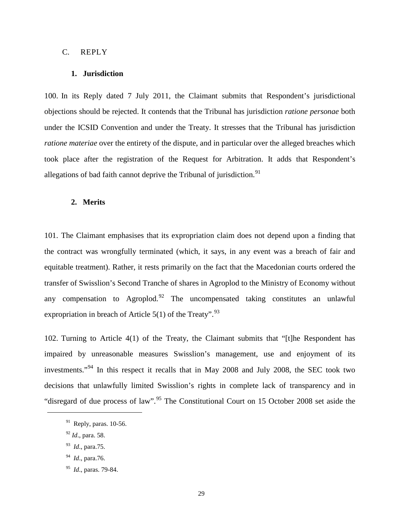#### <span id="page-31-1"></span><span id="page-31-0"></span>C. REPLY

#### **1. Jurisdiction**

100. In its Reply dated 7 July 2011, the Claimant submits that Respondent's jurisdictional objections should be rejected. It contends that the Tribunal has jurisdiction *ratione personae* both under the ICSID Convention and under the Treaty. It stresses that the Tribunal has jurisdiction *ratione materiae* over the entirety of the dispute, and in particular over the alleged breaches which took place after the registration of the Request for Arbitration. It adds that Respondent's allegations of bad faith cannot deprive the Tribunal of jurisdiction.<sup>[91](#page-31-3)</sup>

#### <span id="page-31-2"></span>**2. Merits**

101. The Claimant emphasises that its expropriation claim does not depend upon a finding that the contract was wrongfully terminated (which, it says, in any event was a breach of fair and equitable treatment). Rather, it rests primarily on the fact that the Macedonian courts ordered the transfer of Swisslion's Second Tranche of shares in Agroplod to the Ministry of Economy without any compensation to Agroplod.<sup>[92](#page-31-4)</sup> The uncompensated taking constitutes an unlawful expropriation in breach of Article  $5(1)$  of the Treaty".<sup>[93](#page-31-5)</sup>

102. Turning to Article 4(1) of the Treaty, the Claimant submits that "[t]he Respondent has impaired by unreasonable measures Swisslion's management, use and enjoyment of its investments."[94](#page-31-6) In this respect it recalls that in May 2008 and July 2008, the SEC took two decisions that unlawfully limited Swisslion's rights in complete lack of transparency and in "disregard of due process of law".<sup>[95](#page-31-7)</sup> The Constitutional Court on 15 October 2008 set aside the

<span id="page-31-4"></span><sup>92</sup> *Id*., para. 58.

<span id="page-31-3"></span> $91$  Reply, paras. 10-56.

<span id="page-31-5"></span><sup>93</sup> *Id*., para.75.

<span id="page-31-6"></span><sup>94</sup> *Id*., para.76.

<span id="page-31-7"></span><sup>95</sup> *Id*., paras. 79-84.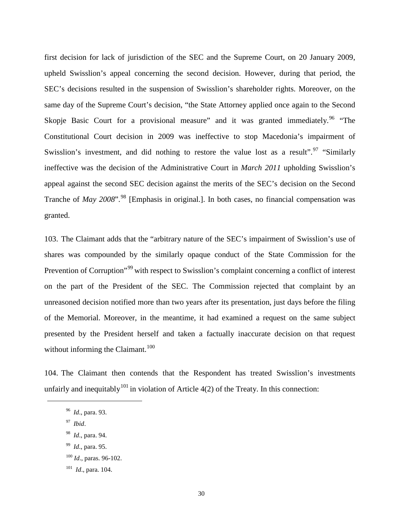first decision for lack of jurisdiction of the SEC and the Supreme Court, on 20 January 2009, upheld Swisslion's appeal concerning the second decision. However, during that period, the SEC's decisions resulted in the suspension of Swisslion's shareholder rights. Moreover, on the same day of the Supreme Court's decision, "the State Attorney applied once again to the Second Skopje Basic Court for a provisional measure" and it was granted immediately. <sup>[96](#page-32-0)</sup> "The Constitutional Court decision in 2009 was ineffective to stop Macedonia's impairment of Swisslion's investment, and did nothing to restore the value lost as a result".<sup>[97](#page-32-1)</sup> "Similarly" ineffective was the decision of the Administrative Court in *March 2011* upholding Swisslion's appeal against the second SEC decision against the merits of the SEC's decision on the Second Tranche of *May 2008*".<sup>[98](#page-32-2)</sup> [Emphasis in original.]. In both cases, no financial compensation was granted.

103. The Claimant adds that the "arbitrary nature of the SEC's impairment of Swisslion's use of shares was compounded by the similarly opaque conduct of the State Commission for the Prevention of Corruption"<sup>[99](#page-32-3)</sup> with respect to Swisslion's complaint concerning a conflict of interest on the part of the President of the SEC. The Commission rejected that complaint by an unreasoned decision notified more than two years after its presentation, just days before the filing of the Memorial. Moreover, in the meantime, it had examined a request on the same subject presented by the President herself and taken a factually inaccurate decision on that request without informing the Claimant. $100$ 

<span id="page-32-0"></span>104. The Claimant then contends that the Respondent has treated Swisslion's investments unfairly and inequitably  $101$  in violation of Article 4(2) of the Treaty. In this connection:

97 *Ibid*.

- <span id="page-32-2"></span><span id="page-32-1"></span>98 *Id*., para. 94.
- <span id="page-32-3"></span>99 *Id*., para. 95.
- <span id="page-32-4"></span><sup>100</sup> *Id*., paras. 96-102.
- <span id="page-32-5"></span>101 *Id*., para. 104.

<sup>96</sup> *Id*., para. 93.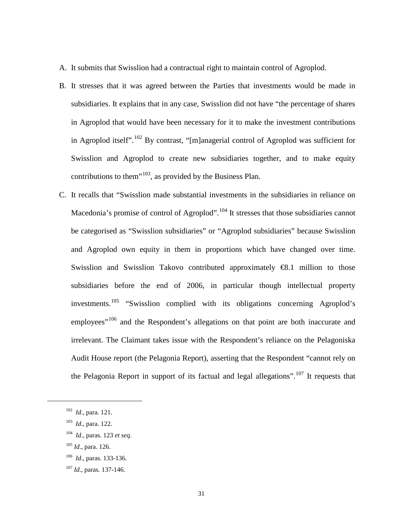- A. It submits that Swisslion had a contractual right to maintain control of Agroplod.
- B. It stresses that it was agreed between the Parties that investments would be made in subsidiaries. It explains that in any case, Swisslion did not have "the percentage of shares in Agroplod that would have been necessary for it to make the investment contributions in Agroplod itself".<sup>[102](#page-33-0)</sup> By contrast, "[m]anagerial control of Agroplod was sufficient for Swisslion and Agroplod to create new subsidiaries together, and to make equity contributions to them<sup> $103$ </sup>, as provided by the Business Plan.
- C. It recalls that "Swisslion made substantial investments in the subsidiaries in reliance on Macedonia's promise of control of Agroplod".<sup>[104](#page-33-2)</sup> It stresses that those subsidiaries cannot be categorised as "Swisslion subsidiaries" or "Agroplod subsidiaries" because Swisslion and Agroplod own equity in them in proportions which have changed over time. Swisslion and Swisslion Takovo contributed approximately **€8.1** million to those subsidiaries before the end of 2006, in particular though intellectual property investments.[105](#page-33-3) "Swisslion complied with its obligations concerning Agroplod's employees"<sup>[106](#page-33-4)</sup> and the Respondent's allegations on that point are both inaccurate and irrelevant. The Claimant takes issue with the Respondent's reliance on the Pelagoniska Audit House report (the Pelagonia Report), asserting that the Respondent "cannot rely on the Pelagonia Report in support of its factual and legal allegations".<sup>[107](#page-33-5)</sup> It requests that

<span id="page-33-2"></span><span id="page-33-1"></span><span id="page-33-0"></span> $\overline{a}$ 

<span id="page-33-3"></span><sup>105</sup> *Id*., para. 126.

<sup>102</sup> *Id*., para. 121.

<sup>103</sup> *Id*., para. 122.

<sup>104</sup> *Id*., paras. 123 *et seq*.

<span id="page-33-4"></span><sup>106</sup> *Id*., paras. 133-136.

<span id="page-33-5"></span><sup>107</sup> *Id*., paras. 137-146.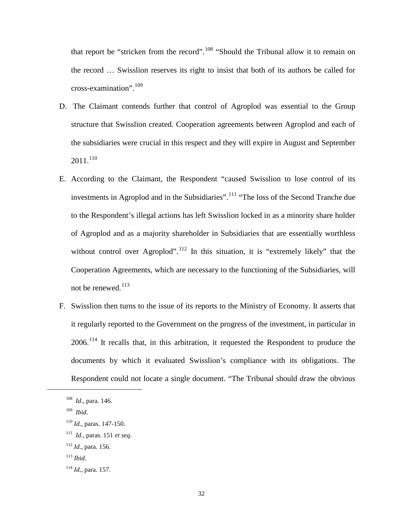that report be "stricken from the record".<sup>[108](#page-34-0)</sup> "Should the Tribunal allow it to remain on the record … Swisslion reserves its right to insist that both of its authors be called for cross-examination". $109$ 

- D. The Claimant contends further that control of Agroplod was essential to the Group structure that Swisslion created. Cooperation agreements between Agroplod and each of the subsidiaries were crucial in this respect and they will expire in August and September  $2011.<sup>110</sup>$  $2011.<sup>110</sup>$  $2011.<sup>110</sup>$
- E. According to the Claimant, the Respondent "caused Swisslion to lose control of its investments in Agroplod and in the Subsidiaries".<sup>[111](#page-34-3)</sup> "The loss of the Second Tranche due to the Respondent's illegal actions has left Swisslion locked in as a minority share holder of Agroplod and as a majority shareholder in Subsidiaries that are essentially worthless without control over Agroplod".<sup>[112](#page-34-4)</sup> In this situation, it is "extremely likely" that the Cooperation Agreements, which are necessary to the functioning of the Subsidiaries, will not be renewed.<sup>[113](#page-34-5)</sup>
- F. Swisslion then turns to the issue of its reports to the Ministry of Economy. It asserts that it regularly reported to the Government on the progress of the investment, in particular in 2006.<sup>[114](#page-34-6)</sup> It recalls that, in this arbitration, it requested the Respondent to produce the documents by which it evaluated Swisslion's compliance with its obligations. The Respondent could not locate a single document. "The Tribunal should draw the obvious

- <span id="page-34-4"></span><sup>112</sup> *Id*., para. 156.
- <span id="page-34-5"></span><sup>113</sup> *Ibid*.

<span id="page-34-0"></span><sup>108</sup> *Id*., para. 146.

<span id="page-34-1"></span><sup>109</sup> *Ibid*.

<span id="page-34-2"></span><sup>110</sup> *Id*., paras. 147-150.

<span id="page-34-3"></span><sup>111</sup> *Id*., paras. 151 *et seq*.

<span id="page-34-6"></span><sup>114</sup> *Id*., para. 157.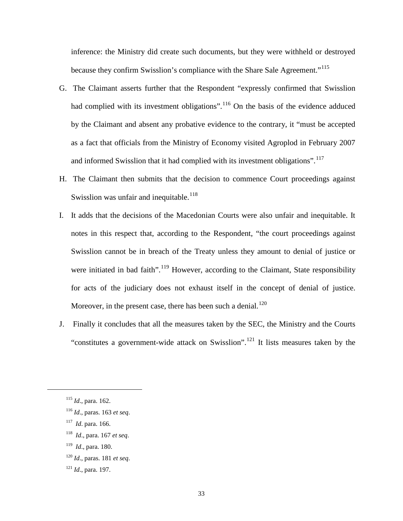inference: the Ministry did create such documents, but they were withheld or destroyed because they confirm Swisslion's compliance with the Share Sale Agreement."<sup>[115](#page-35-0)</sup>

- G. The Claimant asserts further that the Respondent "expressly confirmed that Swisslion had complied with its investment obligations".<sup>[116](#page-35-1)</sup> On the basis of the evidence adduced by the Claimant and absent any probative evidence to the contrary, it "must be accepted as a fact that officials from the Ministry of Economy visited Agroplod in February 2007 and informed Swisslion that it had complied with its investment obligations".<sup>[117](#page-35-2)</sup>
- H. The Claimant then submits that the decision to commence Court proceedings against Swisslion was unfair and inequitable.<sup>[118](#page-35-3)</sup>
- I. It adds that the decisions of the Macedonian Courts were also unfair and inequitable. It notes in this respect that, according to the Respondent, "the court proceedings against Swisslion cannot be in breach of the Treaty unless they amount to denial of justice or were initiated in bad faith".<sup>[119](#page-35-4)</sup> However, according to the Claimant, State responsibility for acts of the judiciary does not exhaust itself in the concept of denial of justice. Moreover, in the present case, there has been such a denial.<sup>[120](#page-35-5)</sup>
- J. Finally it concludes that all the measures taken by the SEC, the Ministry and the Courts "constitutes a government-wide attack on Swisslion".<sup>[121](#page-35-6)</sup> It lists measures taken by the

<span id="page-35-2"></span><span id="page-35-1"></span><span id="page-35-0"></span> $\overline{a}$ 

<span id="page-35-4"></span>119 *Id*., para. 180.

<span id="page-35-6"></span><sup>121</sup> *Id*., para. 197.

<sup>115</sup> *Id*., para. 162.

<sup>116</sup> *Id*., paras. 163 *et seq*.

<sup>117</sup> *Id*. para. 166.

<span id="page-35-3"></span><sup>118</sup> *Id*., para. 167 *et seq*.

<span id="page-35-5"></span><sup>120</sup> *Id*., paras. 181 *et seq*.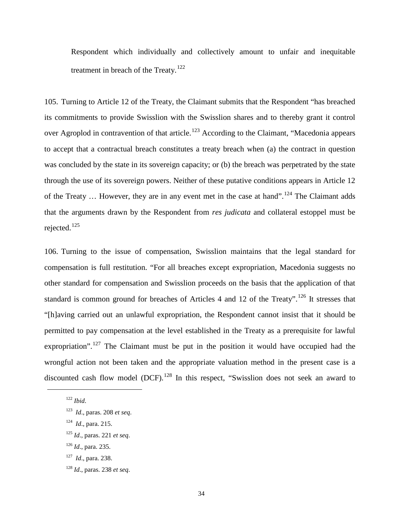Respondent which individually and collectively amount to unfair and inequitable treatment in breach of the Treaty.<sup>[122](#page-36-0)</sup>

105. Turning to Article 12 of the Treaty, the Claimant submits that the Respondent "has breached its commitments to provide Swisslion with the Swisslion shares and to thereby grant it control over Agroplod in contravention of that article.<sup>[123](#page-36-1)</sup> According to the Claimant, "Macedonia appears to accept that a contractual breach constitutes a treaty breach when (a) the contract in question was concluded by the state in its sovereign capacity; or (b) the breach was perpetrated by the state through the use of its sovereign powers. Neither of these putative conditions appears in Article 12 of the Treaty  $\ldots$  However, they are in any event met in the case at hand".<sup>[124](#page-36-2)</sup> The Claimant adds that the arguments drawn by the Respondent from *res judicata* and collateral estoppel must be rejected.[125](#page-36-3)

106. Turning to the issue of compensation, Swisslion maintains that the legal standard for compensation is full restitution. "For all breaches except expropriation, Macedonia suggests no other standard for compensation and Swisslion proceeds on the basis that the application of that standard is common ground for breaches of Articles 4 and 12 of the Treaty".<sup>[126](#page-36-4)</sup> It stresses that "[h]aving carried out an unlawful expropriation, the Respondent cannot insist that it should be permitted to pay compensation at the level established in the Treaty as a prerequisite for lawful expropriation".<sup>[127](#page-36-5)</sup> The Claimant must be put in the position it would have occupied had the wrongful action not been taken and the appropriate valuation method in the present case is a discounted cash flow model  $(DCF)$ .<sup>[128](#page-36-6)</sup> In this respect, "Swisslion does not seek an award to

<span id="page-36-0"></span> $122$  *Ibid.* 

<span id="page-36-1"></span><sup>123</sup> *Id*., paras. 208 *et seq*.

<span id="page-36-2"></span><sup>124</sup> *Id*., para. 215.

<span id="page-36-3"></span><sup>125</sup> *Id*., paras. 221 *et seq*.

<span id="page-36-4"></span><sup>126</sup> *Id*., para. 235.

<span id="page-36-5"></span><sup>127</sup> *Id*., para. 238.

<span id="page-36-6"></span><sup>128</sup> *Id*., paras. 238 *et seq*.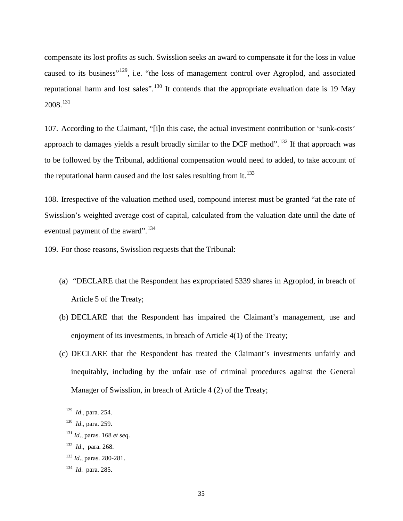compensate its lost profits as such. Swisslion seeks an award to compensate it for the loss in value caused to its business"<sup>129</sup>, i.e. "the loss of management control over Agroplod, and associated reputational harm and lost sales".<sup>[130](#page-37-1)</sup> It contends that the appropriate evaluation date is 19 May 2008.[131](#page-37-2)

107. According to the Claimant, "[i]n this case, the actual investment contribution or 'sunk-costs' approach to damages yields a result broadly similar to the DCF method".<sup>[132](#page-37-3)</sup> If that approach was to be followed by the Tribunal, additional compensation would need to added, to take account of the reputational harm caused and the lost sales resulting from it. $133$ 

108. Irrespective of the valuation method used, compound interest must be granted "at the rate of Swisslion's weighted average cost of capital, calculated from the valuation date until the date of eventual payment of the award".<sup>[134](#page-37-5)</sup>

109. For those reasons, Swisslion requests that the Tribunal:

- (a) "DECLARE that the Respondent has expropriated 5339 shares in Agroplod, in breach of Article 5 of the Treaty;
- (b) DECLARE that the Respondent has impaired the Claimant's management, use and enjoyment of its investments, in breach of Article 4(1) of the Treaty;
- (c) DECLARE that the Respondent has treated the Claimant's investments unfairly and inequitably, including by the unfair use of criminal procedures against the General Manager of Swisslion, in breach of Article 4 (2) of the Treaty;

<span id="page-37-2"></span><span id="page-37-1"></span><span id="page-37-0"></span> $\overline{a}$ 

<span id="page-37-3"></span>132 *Id*., para. 268.

<sup>129</sup> *Id*., para. 254.

<sup>130</sup> *Id*., para. 259.

<sup>131</sup> *Id*., paras. 168 *et seq*.

<span id="page-37-4"></span><sup>133</sup> *Id*., paras. 280-281.

<span id="page-37-5"></span><sup>134</sup> *Id*. para. 285.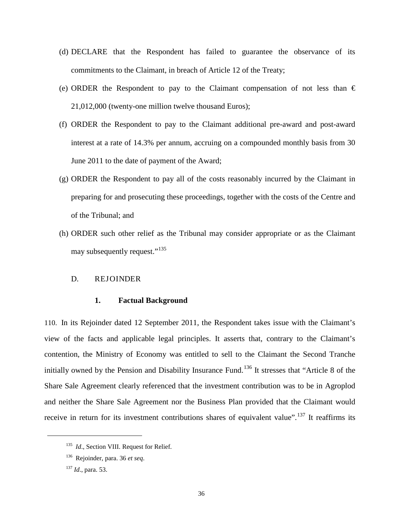- (d) DECLARE that the Respondent has failed to guarantee the observance of its commitments to the Claimant, in breach of Article 12 of the Treaty;
- (e) ORDER the Respondent to pay to the Claimant compensation of not less than  $\epsilon$ 21,012,000 (twenty-one million twelve thousand Euros);
- (f) ORDER the Respondent to pay to the Claimant additional pre-award and post-award interest at a rate of 14.3% per annum, accruing on a compounded monthly basis from 30 June 2011 to the date of payment of the Award;
- (g) ORDER the Respondent to pay all of the costs reasonably incurred by the Claimant in preparing for and prosecuting these proceedings, together with the costs of the Centre and of the Tribunal; and
- (h) ORDER such other relief as the Tribunal may consider appropriate or as the Claimant may subsequently request."<sup>[135](#page-38-0)</sup>

# D. REJOINDER

### **1. Factual Background**

110. In its Rejoinder dated 12 September 2011, the Respondent takes issue with the Claimant's view of the facts and applicable legal principles. It asserts that, contrary to the Claimant's contention, the Ministry of Economy was entitled to sell to the Claimant the Second Tranche initially owned by the Pension and Disability Insurance Fund.<sup>[136](#page-38-1)</sup> It stresses that "Article 8 of the Share Sale Agreement clearly referenced that the investment contribution was to be in Agroplod and neither the Share Sale Agreement nor the Business Plan provided that the Claimant would receive in return for its investment contributions shares of equivalent value".<sup>[137](#page-38-2)</sup> It reaffirms its

<span id="page-38-0"></span><sup>&</sup>lt;sup>135</sup> *Id.*, Section VIII. Request for Relief.

<span id="page-38-1"></span><sup>136</sup> Rejoinder, para. 36 *et seq*.

<span id="page-38-2"></span><sup>137</sup> *Id*., para. 53.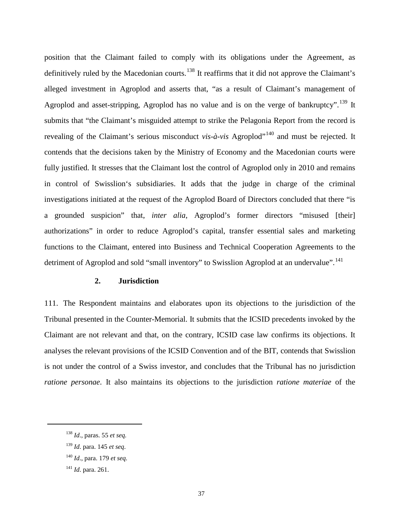position that the Claimant failed to comply with its obligations under the Agreement, as definitively ruled by the Macedonian courts.<sup>[138](#page-39-0)</sup> It reaffirms that it did not approve the Claimant's alleged investment in Agroplod and asserts that, "as a result of Claimant's management of Agroplod and asset-stripping, Agroplod has no value and is on the verge of bankruptcy".<sup>[139](#page-39-1)</sup> It submits that "the Claimant's misguided attempt to strike the Pelagonia Report from the record is revealing of the Claimant's serious misconduct *vis-à-vis* Agroplod"<sup>[140](#page-39-2)</sup> and must be rejected. It contends that the decisions taken by the Ministry of Economy and the Macedonian courts were fully justified. It stresses that the Claimant lost the control of Agroplod only in 2010 and remains in control of Swisslion's subsidiaries. It adds that the judge in charge of the criminal investigations initiated at the request of the Agroplod Board of Directors concluded that there "is a grounded suspicion" that, *inter alia*, Agroplod's former directors "misused [their] authorizations" in order to reduce Agroplod's capital, transfer essential sales and marketing functions to the Claimant, entered into Business and Technical Cooperation Agreements to the detriment of Agroplod and sold "small inventory" to Swisslion Agroplod at an undervalue".<sup>[141](#page-39-3)</sup>

# **2. Jurisdiction**

111. The Respondent maintains and elaborates upon its objections to the jurisdiction of the Tribunal presented in the Counter-Memorial. It submits that the ICSID precedents invoked by the Claimant are not relevant and that, on the contrary, ICSID case law confirms its objections. It analyses the relevant provisions of the ICSID Convention and of the BIT, contends that Swisslion is not under the control of a Swiss investor, and concludes that the Tribunal has no jurisdiction *ratione personae*. It also maintains its objections to the jurisdiction *ratione materiae* of the

<span id="page-39-0"></span><sup>138</sup> *Id*., paras. 55 *et seq.*

<span id="page-39-1"></span><sup>139</sup> *Id*. para. 145 *et seq*.

<span id="page-39-2"></span><sup>140</sup> *Id*., para. 179 *et seq.*

<span id="page-39-3"></span><sup>141</sup> *Id*. para. 261.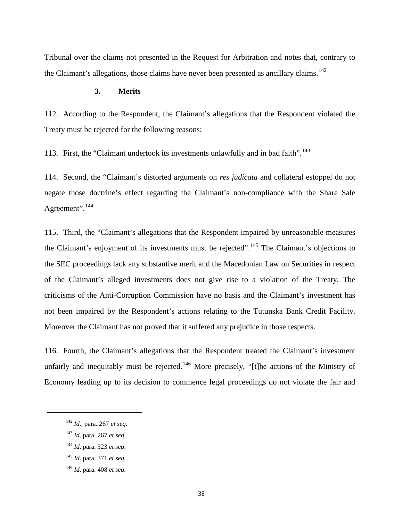Tribunal over the claims not presented in the Request for Arbitration and notes that, contrary to the Claimant's allegations, those claims have never been presented as ancillary claims.<sup>[142](#page-40-0)</sup>

## **3. Merits**

112. According to the Respondent, the Claimant's allegations that the Respondent violated the Treaty must be rejected for the following reasons:

113. First, the "Claimant undertook its investments unlawfully and in bad faith". $143$ 

114. Second, the "Claimant's distorted arguments on *res judicata* and collateral estoppel do not negate those doctrine's effect regarding the Claimant's non-compliance with the Share Sale Agreement".<sup>[144](#page-40-2)</sup>

115. Third, the "Claimant's allegations that the Respondent impaired by unreasonable measures the Claimant's enjoyment of its investments must be rejected".<sup>[145](#page-40-3)</sup> The Claimant's objections to the SEC proceedings lack any substantive merit and the Macedonian Law on Securities in respect of the Claimant's alleged investments does not give rise to a violation of the Treaty. The criticisms of the Anti-Corruption Commission have no basis and the Claimant's investment has not been impaired by the Respondent's actions relating to the Tutunska Bank Credit Facility. Moreover the Claimant has not proved that it suffered any prejudice in those respects.

116. Fourth, the Claimant's allegations that the Respondent treated the Claimant's investment unfairly and inequitably must be rejected.<sup>[146](#page-40-4)</sup> More precisely, "[t]he actions of the Ministry of Economy leading up to its decision to commence legal proceedings do not violate the fair and

<span id="page-40-0"></span><sup>142</sup> *Id*., para. 267 *et seq*.

<span id="page-40-1"></span><sup>143</sup> *Id*. para. 267 *et seq*.

<span id="page-40-2"></span><sup>144</sup> *Id*. para. 323 *et seq*.

<span id="page-40-3"></span><sup>145</sup> *Id*. para. 371 *et seq.*

<span id="page-40-4"></span><sup>146</sup> *Id*. para. 408 *et seq.*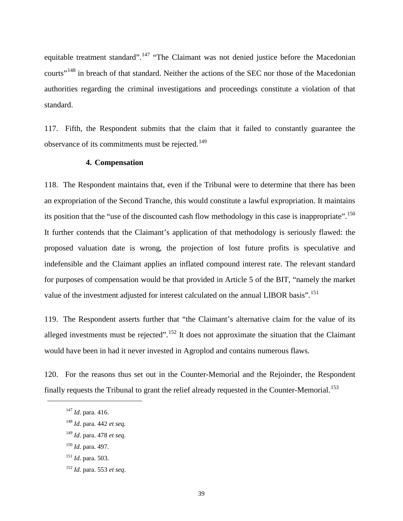equitable treatment standard".<sup>[147](#page-41-0)</sup> "The Claimant was not denied justice before the Macedonian courts"<sup>[148](#page-41-1)</sup> in breach of that standard. Neither the actions of the SEC nor those of the Macedonian authorities regarding the criminal investigations and proceedings constitute a violation of that standard.

117. Fifth, the Respondent submits that the claim that it failed to constantly guarantee the observance of its commitments must be rejected.<sup>[149](#page-41-2)</sup>

## **4. Compensation**

118. The Respondent maintains that, even if the Tribunal were to determine that there has been an expropriation of the Second Tranche, this would constitute a lawful expropriation. It maintains its position that the "use of the discounted cash flow methodology in this case is inappropriate".<sup>[150](#page-41-3)</sup> It further contends that the Claimant's application of that methodology is seriously flawed: the proposed valuation date is wrong, the projection of lost future profits is speculative and indefensible and the Claimant applies an inflated compound interest rate. The relevant standard for purposes of compensation would be that provided in Article 5 of the BIT, "namely the market value of the investment adjusted for interest calculated on the annual LIBOR basis".<sup>[151](#page-41-4)</sup>

119. The Respondent asserts further that "the Claimant's alternative claim for the value of its alleged investments must be rejected".<sup>[152](#page-41-5)</sup> It does not approximate the situation that the Claimant would have been in had it never invested in Agroplod and contains numerous flaws.

<span id="page-41-0"></span>120. For the reasons thus set out in the Counter-Memorial and the Rejoinder, the Respondent finally requests the Tribunal to grant the relief already requested in the Counter-Memorial.<sup>[153](#page-41-2)</sup>

- <span id="page-41-3"></span><sup>150</sup> *Id*. para. 497.
- <span id="page-41-4"></span><sup>151</sup> *Id*. para. 503.
- <span id="page-41-5"></span><sup>152</sup> *Id*. para. 553 *et seq*.

<sup>147</sup> *Id*. para. 416.

<span id="page-41-1"></span><sup>148</sup> *Id*. para. 442 *et seq.*

<span id="page-41-2"></span><sup>149</sup> *Id*. para. 478 *et seq*.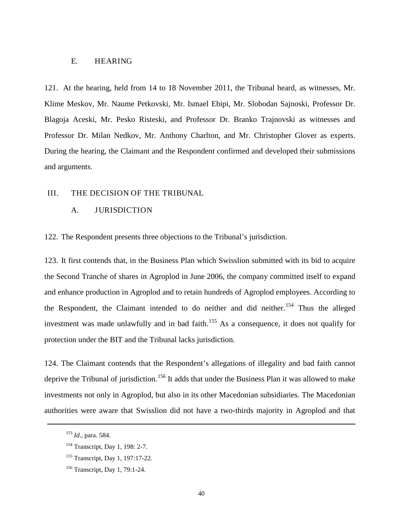#### E. HEARING

121. At the hearing, held from 14 to 18 November 2011, the Tribunal heard, as witnesses, Mr. Klime Meskov, Mr. Naume Petkovski, Mr. Ismael Ebipi, Mr. Slobodan Sajnoski, Professor Dr. Blagoja Aceski, Mr. Pesko Risteski, and Professor Dr. Branko Trajnovski as witnesses and Professor Dr. Milan Nedkov, Mr. Anthony Charlton, and Mr. Christopher Glover as experts. During the hearing, the Claimant and the Respondent confirmed and developed their submissions and arguments.

#### III. THE DECISION OF THE TRIBUNAL

### A. JURISDICTION

122. The Respondent presents three objections to the Tribunal's jurisdiction.

123. It first contends that, in the Business Plan which Swisslion submitted with its bid to acquire the Second Tranche of shares in Agroplod in June 2006, the company committed itself to expand and enhance production in Agroplod and to retain hundreds of Agroplod employees. According to the Respondent, the Claimant intended to do neither and did neither.<sup>[154](#page-42-0)</sup> Thus the alleged investment was made unlawfully and in bad faith.<sup>[155](#page-42-1)</sup> As a consequence, it does not qualify for protection under the BIT and the Tribunal lacks jurisdiction.

124. The Claimant contends that the Respondent's allegations of illegality and bad faith cannot deprive the Tribunal of jurisdiction.<sup>[156](#page-42-2)</sup> It adds that under the Business Plan it was allowed to make investments not only in Agroplod, but also in its other Macedonian subsidiaries. The Macedonian authorities were aware that Swisslion did not have a two-thirds majority in Agroplod and that

<sup>153</sup> *Id*., para. 584.

<span id="page-42-0"></span><sup>154</sup> Transcript, Day 1, 198: 2-7.

<span id="page-42-1"></span><sup>155</sup> Transcript, Day 1, 197:17-22.

<span id="page-42-2"></span><sup>156</sup> Transcript, Day 1, 79:1-24.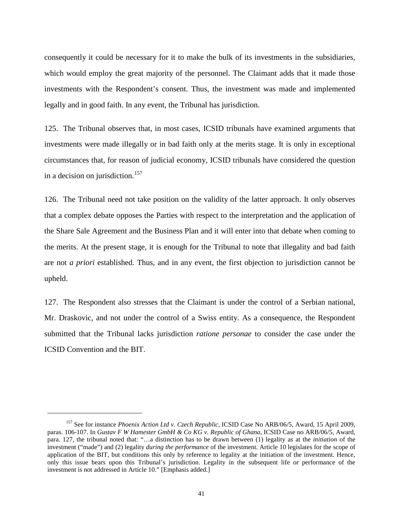consequently it could be necessary for it to make the bulk of its investments in the subsidiaries, which would employ the great majority of the personnel. The Claimant adds that it made those investments with the Respondent's consent. Thus, the investment was made and implemented legally and in good faith. In any event, the Tribunal has jurisdiction.

125. The Tribunal observes that, in most cases, ICSID tribunals have examined arguments that investments were made illegally or in bad faith only at the merits stage. It is only in exceptional circumstances that, for reason of judicial economy, ICSID tribunals have considered the question in a decision on jurisdiction.<sup>[157](#page-43-0)</sup>

126. The Tribunal need not take position on the validity of the latter approach. It only observes that a complex debate opposes the Parties with respect to the interpretation and the application of the Share Sale Agreement and the Business Plan and it will enter into that debate when coming to the merits. At the present stage, it is enough for the Tribunal to note that illegality and bad faith are not *a priori* established. Thus, and in any event, the first objection to jurisdiction cannot be upheld.

127. The Respondent also stresses that the Claimant is under the control of a Serbian national, Mr. Draskovic, and not under the control of a Swiss entity. As a consequence, the Respondent submitted that the Tribunal lacks jurisdiction *ratione personae* to consider the case under the ICSID Convention and the BIT.

<span id="page-43-0"></span><sup>157</sup> See for instance *Phoenix Action Ltd v. Czech Republic*, ICSID Case No ARB/06/5, Award, 15 April 2009, paras. 106-107. In *Gustav F W Hamester GmbH & Co KG v. Republic of Ghana*, ICSID Case no ARB/06/5, Award, para. 127, the tribunal noted that: "…a distinction has to be drawn between (1) legality as at the *initiation* of the investment ("made") and (2) legality *during the performance* of the investment. Article 10 legislates for the scope of application of the BIT, but conditions this only by reference to legality at the initiation of the investment. Hence, only this issue bears upon this Tribunal's jurisdiction. Legality in the subsequent life or performance of the investment is not addressed in Article 10." [Emphasis added.]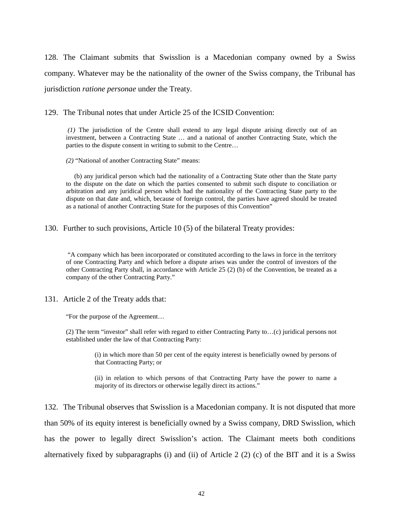128. The Claimant submits that Swisslion is a Macedonian company owned by a Swiss company. Whatever may be the nationality of the owner of the Swiss company, the Tribunal has jurisdiction *ratione personae* under the Treaty*.*

129. The Tribunal notes that under Article 25 of the ICSID Convention:

*(1)* The jurisdiction of the Centre shall extend to any legal dispute arising directly out of an investment, between a Contracting State … and a national of another Contracting State, which the parties to the dispute consent in writing to submit to the Centre…

*(2)* "National of another Contracting State" means:

 (b) any juridical person which had the nationality of a Contracting State other than the State party to the dispute on the date on which the parties consented to submit such dispute to conciliation or arbitration and any juridical person which had the nationality of the Contracting State party to the dispute on that date and, which, because of foreign control, the parties have agreed should be treated as a national of another Contracting State for the purposes of this Convention"

130. Further to such provisions, Article 10 (5) of the bilateral Treaty provides:

"A company which has been incorporated or constituted according to the laws in force in the territory of one Contracting Party and which before a dispute arises was under the control of investors of the other Contracting Party shall, in accordance with Article 25 (2) (b) of the Convention, be treated as a company of the other Contracting Party."

131. Article 2 of the Treaty adds that:

"For the purpose of the Agreement…

(2) The term "investor" shall refer with regard to either Contracting Party to…(c) juridical persons not established under the law of that Contracting Party:

> (i) in which more than 50 per cent of the equity interest is beneficially owned by persons of that Contracting Party; or

> (ii) in relation to which persons of that Contracting Party have the power to name a majority of its directors or otherwise legally direct its actions."

132. The Tribunal observes that Swisslion is a Macedonian company. It is not disputed that more than 50% of its equity interest is beneficially owned by a Swiss company, DRD Swisslion, which has the power to legally direct Swisslion's action. The Claimant meets both conditions alternatively fixed by subparagraphs (i) and (ii) of Article 2 (2) (c) of the BIT and it is a Swiss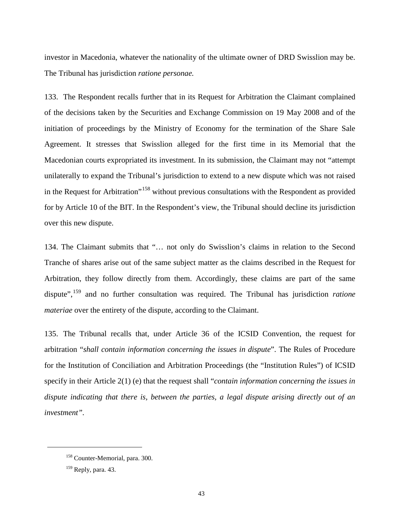investor in Macedonia, whatever the nationality of the ultimate owner of DRD Swisslion may be. The Tribunal has jurisdiction *ratione personae.*

133. The Respondent recalls further that in its Request for Arbitration the Claimant complained of the decisions taken by the Securities and Exchange Commission on 19 May 2008 and of the initiation of proceedings by the Ministry of Economy for the termination of the Share Sale Agreement. It stresses that Swisslion alleged for the first time in its Memorial that the Macedonian courts expropriated its investment. In its submission, the Claimant may not "attempt unilaterally to expand the Tribunal's jurisdiction to extend to a new dispute which was not raised in the Request for Arbitration"<sup>[158](#page-45-0)</sup> without previous consultations with the Respondent as provided for by Article 10 of the BIT. In the Respondent's view, the Tribunal should decline its jurisdiction over this new dispute.

134. The Claimant submits that "… not only do Swisslion's claims in relation to the Second Tranche of shares arise out of the same subject matter as the claims described in the Request for Arbitration, they follow directly from them. Accordingly, these claims are part of the same dispute", [159](#page-45-1) and no further consultation was required. The Tribunal has jurisdiction *ratione materiae* over the entirety of the dispute, according to the Claimant.

135. The Tribunal recalls that, under Article 36 of the ICSID Convention, the request for arbitration "*shall contain information concerning the issues in dispute*". The Rules of Procedure for the Institution of Conciliation and Arbitration Proceedings (the "Institution Rules") of ICSID specify in their Article 2(1) (e) that the request shall "*contain information concerning the issues in dispute indicating that there is, between the parties, a legal dispute arising directly out of an investment".*

<span id="page-45-0"></span><sup>158</sup> Counter-Memorial, para. 300.

<span id="page-45-1"></span> $159$  Reply, para. 43.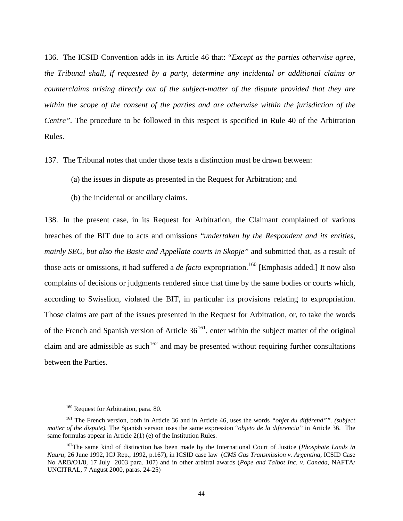136. The ICSID Convention adds in its Article 46 that: "*Except as the parties otherwise agree, the Tribunal shall, if requested by a party, determine any incidental or additional claims or counterclaims arising directly out of the subject-matter of the dispute provided that they are*  within the scope of the consent of the parties and are otherwise within the jurisdiction of the *Centre".* The procedure to be followed in this respect is specified in Rule 40 of the Arbitration Rules.

- 137. The Tribunal notes that under those texts a distinction must be drawn between:
	- (a) the issues in dispute as presented in the Request for Arbitration; and
	- (b) the incidental or ancillary claims.

138. In the present case, in its Request for Arbitration, the Claimant complained of various breaches of the BIT due to acts and omissions "*undertaken by the Respondent and its entities, mainly SEC, but also the Basic and Appellate courts in Skopje"* and submitted that, as a result of those acts or omissions, it had suffered a *de facto* expropriation.<sup>[160](#page-46-0)</sup> [Emphasis added.] It now also complains of decisions or judgments rendered since that time by the same bodies or courts which, according to Swisslion, violated the BIT, in particular its provisions relating to expropriation. Those claims are part of the issues presented in the Request for Arbitration, or, to take the words of the French and Spanish version of Article  $36^{161}$ , enter within the subject matter of the original claim and are admissible as such<sup>[162](#page-46-2)</sup> and may be presented without requiring further consultations between the Parties.

<sup>&</sup>lt;sup>160</sup> Request for Arbitration, para. 80.

<span id="page-46-1"></span><span id="page-46-0"></span><sup>161</sup> The French version, both in Article 36 and in Article 46, uses the words *"objet du différend"". (subject matter of the dispute).* The Spanish version uses the same expression "*objeto de la diferencia"* in Article 36. The same formulas appear in Article 2(1) (e) of the Institution Rules.

<span id="page-46-2"></span><sup>162</sup>The same kind of distinction has been made by the International Court of Justice (*Phosphate Lands in Nauru*, 26 June 1992, ICJ Rep., 1992, p.167), in ICSID case law (*CMS Gas Transmission v. Argentina,* ICSID Case No ARB/O1/8, 17 July 2003 para. 107) and in other arbitral awards (*Pope and Talbot Inc. v. Canada*, NAFTA/ UNCITRAL, 7 August 2000, paras. 24-25)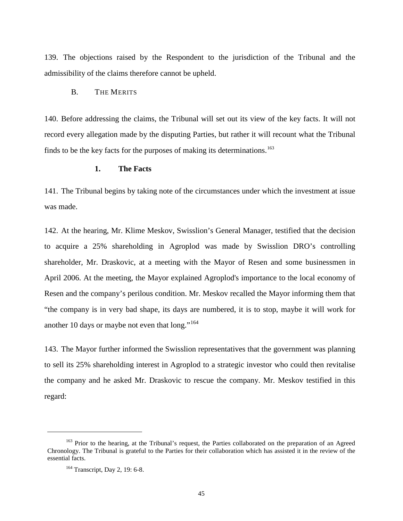139. The objections raised by the Respondent to the jurisdiction of the Tribunal and the admissibility of the claims therefore cannot be upheld.

## B. THE MERITS

140. Before addressing the claims, the Tribunal will set out its view of the key facts. It will not record every allegation made by the disputing Parties, but rather it will recount what the Tribunal finds to be the key facts for the purposes of making its determinations.<sup>[163](#page-47-0)</sup>

#### **1. The Facts**

141. The Tribunal begins by taking note of the circumstances under which the investment at issue was made.

142. At the hearing, Mr. Klime Meskov, Swisslion's General Manager, testified that the decision to acquire a 25% shareholding in Agroplod was made by Swisslion DRO's controlling shareholder, Mr. Draskovic, at a meeting with the Mayor of Resen and some businessmen in April 2006. At the meeting, the Mayor explained Agroplod's importance to the local economy of Resen and the company's perilous condition. Mr. Meskov recalled the Mayor informing them that "the company is in very bad shape, its days are numbered, it is to stop, maybe it will work for another 10 days or maybe not even that  $long.^{164}$  $long.^{164}$  $long.^{164}$ 

143. The Mayor further informed the Swisslion representatives that the government was planning to sell its 25% shareholding interest in Agroplod to a strategic investor who could then revitalise the company and he asked Mr. Draskovic to rescue the company. Mr. Meskov testified in this regard:

<span id="page-47-1"></span><span id="page-47-0"></span><sup>&</sup>lt;sup>163</sup> Prior to the hearing, at the Tribunal's request, the Parties collaborated on the preparation of an Agreed Chronology. The Tribunal is grateful to the Parties for their collaboration which has assisted it in the review of the essential facts.

<sup>164</sup> Transcript, Day 2, 19: 6-8.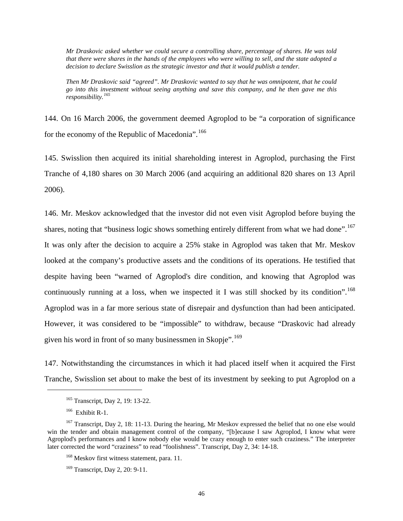*Mr Draskovic asked whether we could secure a controlling share, percentage of shares. He was told that there were shares in the hands of the employees who were willing to sell, and the state adopted a decision to declare Swisslion as the strategic investor and that it would publish a tender.*

*Then Mr Draskovic said "agreed". Mr Draskovic wanted to say that he was omnipotent, that he could go into this investment without seeing anything and save this company, and he then gave me this responsibility.[165](#page-48-0)*

144. On 16 March 2006, the government deemed Agroplod to be "a corporation of significance for the economy of the Republic of Macedonia".<sup>[166](#page-48-1)</sup>

145. Swisslion then acquired its initial shareholding interest in Agroplod, purchasing the First Tranche of 4,180 shares on 30 March 2006 (and acquiring an additional 820 shares on 13 April 2006).

146. Mr. Meskov acknowledged that the investor did not even visit Agroplod before buying the shares, noting that "business logic shows something entirely different from what we had done".<sup>[167](#page-48-2)</sup> It was only after the decision to acquire a 25% stake in Agroplod was taken that Mr. Meskov looked at the company's productive assets and the conditions of its operations. He testified that despite having been "warned of Agroplod's dire condition, and knowing that Agroplod was continuously running at a loss, when we inspected it I was still shocked by its condition".<sup>[168](#page-48-3)</sup> Agroplod was in a far more serious state of disrepair and dysfunction than had been anticipated. However, it was considered to be "impossible" to withdraw, because "Draskovic had already given his word in front of so many businessmen in Skopje".<sup>[169](#page-48-4)</sup>

147. Notwithstanding the circumstances in which it had placed itself when it acquired the First Tranche, Swisslion set about to make the best of its investment by seeking to put Agroplod on a

<sup>165</sup> Transcript, Day 2, 19: 13-22.

 $166$  Exhibit R-1.

<span id="page-48-4"></span><span id="page-48-3"></span><span id="page-48-2"></span><span id="page-48-1"></span><span id="page-48-0"></span><sup>&</sup>lt;sup>167</sup> Transcript, Day 2, 18: 11-13. During the hearing, Mr Meskov expressed the belief that no one else would win the tender and obtain management control of the company, "[b]ecause I saw Agroplod, I know what were Agroplod's performances and I know nobody else would be crazy enough to enter such craziness." The interpreter later corrected the word "craziness" to read "foolishness". Transcript, Day 2, 34: 14-18.

<sup>&</sup>lt;sup>168</sup> Meskov first witness statement, para. 11.

<sup>&</sup>lt;sup>169</sup> Transcript, Day 2, 20: 9-11.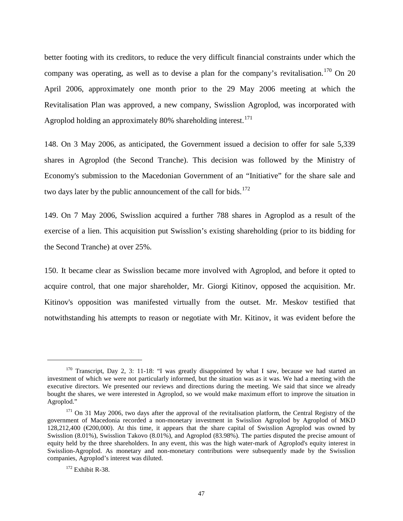better footing with its creditors, to reduce the very difficult financial constraints under which the company was operating, as well as to devise a plan for the company's revitalisation.<sup>[170](#page-49-0)</sup> On 20 April 2006, approximately one month prior to the 29 May 2006 meeting at which the Revitalisation Plan was approved, a new company, Swisslion Agroplod, was incorporated with Agroplod holding an approximately 80% shareholding interest.<sup>[171](#page-49-1)</sup>

148. On 3 May 2006, as anticipated, the Government issued a decision to offer for sale 5,339 shares in Agroplod (the Second Tranche). This decision was followed by the Ministry of Economy's submission to the Macedonian Government of an "Initiative" for the share sale and two days later by the public announcement of the call for bids.<sup>[172](#page-49-2)</sup>

149. On 7 May 2006, Swisslion acquired a further 788 shares in Agroplod as a result of the exercise of a lien. This acquisition put Swisslion's existing shareholding (prior to its bidding for the Second Tranche) at over 25%.

150. It became clear as Swisslion became more involved with Agroplod, and before it opted to acquire control, that one major shareholder, Mr. Giorgi Kitinov, opposed the acquisition. Mr. Kitinov's opposition was manifested virtually from the outset. Mr. Meskov testified that notwithstanding his attempts to reason or negotiate with Mr. Kitinov, it was evident before the

<span id="page-49-0"></span><sup>&</sup>lt;sup>170</sup> Transcript, Day 2, 3: 11-18: "I was greatly disappointed by what I saw, because we had started an investment of which we were not particularly informed, but the situation was as it was. We had a meeting with the executive directors. We presented our reviews and directions during the meeting. We said that since we already bought the shares, we were interested in Agroplod, so we would make maximum effort to improve the situation in Agroplod."

<span id="page-49-1"></span><sup>&</sup>lt;sup>171</sup> On 31 May 2006, two days after the approval of the revitalisation platform, the Central Registry of the government of Macedonia recorded a non-monetary investment in Swisslion Agroplod by Agroplod of MKD 128,212,400 (€200,000). At this time, it appears that the share capital of Swisslion Agroplod was owned by Swisslion (8.01%), Swisslion Takovo (8.01%), and Agroplod (83.98%). The parties disputed the precise amount of equity held by the three shareholders. In any event, this was the high water-mark of Agroplod's equity interest in Swisslion-Agroplod. As monetary and non-monetary contributions were subsequently made by the Swisslion companies, Agroplod's interest was diluted.

<span id="page-49-2"></span><sup>&</sup>lt;sup>172</sup> Exhibit R-38.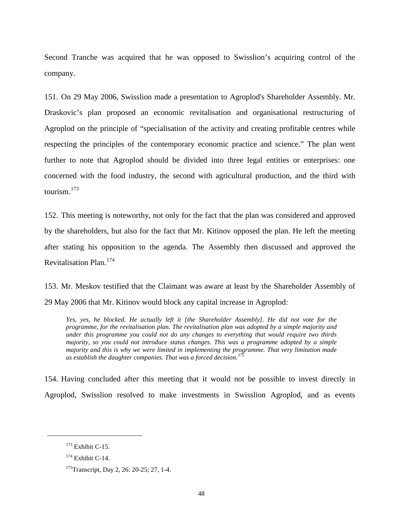Second Tranche was acquired that he was opposed to Swisslion's acquiring control of the company.

151. On 29 May 2006, Swisslion made a presentation to Agroplod's Shareholder Assembly. Mr. Draskovic's plan proposed an economic revitalisation and organisational restructuring of Agroplod on the principle of "specialisation of the activity and creating profitable centres while respecting the principles of the contemporary economic practice and science." The plan went further to note that Agroplod should be divided into three legal entities or enterprises: one concerned with the food industry, the second with agricultural production, and the third with tourism. $173$ 

152. This meeting is noteworthy, not only for the fact that the plan was considered and approved by the shareholders, but also for the fact that Mr. Kitinov opposed the plan. He left the meeting after stating his opposition to the agenda. The Assembly then discussed and approved the Revitalisation Plan.[174](#page-50-1)

153. Mr. Meskov testified that the Claimant was aware at least by the Shareholder Assembly of 29 May 2006 that Mr. Kitinov would block any capital increase in Agroplod:

*Yes, yes, he blocked. He actually left it [the Shareholder Assembly]. He did not vote for the programme, for the revitalisation plan. The revitalisation plan was adopted by a simple majority and under this programme you could not do any changes to everything that would require two thirds majority, so you could not introduce status changes. This was a programme adopted by a simple majority and this is why we were limited in implementing the programme. That very limitation made us establish the daughter companies. That was a forced decision.[175](#page-50-2)*

154. Having concluded after this meeting that it would not be possible to invest directly in Agroplod, Swisslion resolved to make investments in Swisslion Agroplod, and as events

<span id="page-50-0"></span> $173$  Exhibit C-15.

<span id="page-50-1"></span> $174$  Exhibit C-14.

<span id="page-50-2"></span><sup>&</sup>lt;sup>175</sup>Transcript, Day 2, 26: 20-25; 27, 1-4.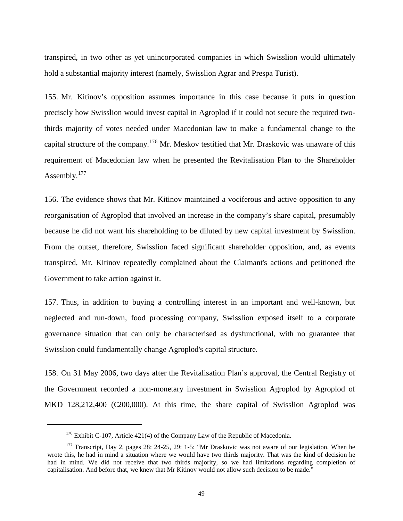transpired, in two other as yet unincorporated companies in which Swisslion would ultimately hold a substantial majority interest (namely, Swisslion Agrar and Prespa Turist).

155. Mr. Kitinov's opposition assumes importance in this case because it puts in question precisely how Swisslion would invest capital in Agroplod if it could not secure the required twothirds majority of votes needed under Macedonian law to make a fundamental change to the capital structure of the company.<sup>[176](#page-51-0)</sup> Mr. Meskov testified that Mr. Draskovic was unaware of this requirement of Macedonian law when he presented the Revitalisation Plan to the Shareholder Assembly.<sup>[177](#page-51-1)</sup>

156. The evidence shows that Mr. Kitinov maintained a vociferous and active opposition to any reorganisation of Agroplod that involved an increase in the company's share capital, presumably because he did not want his shareholding to be diluted by new capital investment by Swisslion. From the outset, therefore, Swisslion faced significant shareholder opposition, and, as events transpired, Mr. Kitinov repeatedly complained about the Claimant's actions and petitioned the Government to take action against it.

157. Thus, in addition to buying a controlling interest in an important and well-known, but neglected and run-down, food processing company, Swisslion exposed itself to a corporate governance situation that can only be characterised as dysfunctional, with no guarantee that Swisslion could fundamentally change Agroplod's capital structure.

158. On 31 May 2006, two days after the Revitalisation Plan's approval, the Central Registry of the Government recorded a non-monetary investment in Swisslion Agroplod by Agroplod of MKD 128,212,400 ( $\in \{200,000\}$ ). At this time, the share capital of Swisslion Agroplod was

 $176$  Exhibit C-107, Article 421(4) of the Company Law of the Republic of Macedonia.

<span id="page-51-1"></span><span id="page-51-0"></span><sup>&</sup>lt;sup>177</sup> Transcript, Day 2, pages 28: 24-25, 29: 1-5: "Mr Draskovic was not aware of our legislation. When he wrote this, he had in mind a situation where we would have two thirds majority. That was the kind of decision he had in mind. We did not receive that two thirds majority, so we had limitations regarding completion of capitalisation. And before that, we knew that Mr Kitinov would not allow such decision to be made."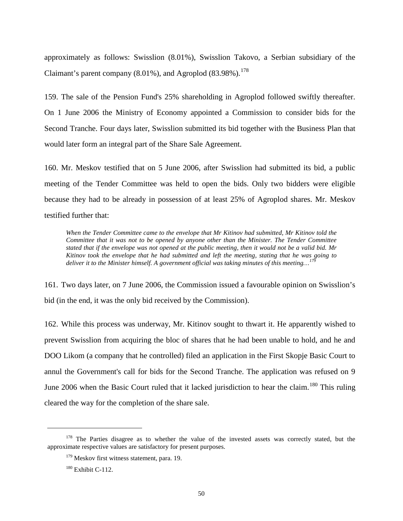approximately as follows: Swisslion (8.01%), Swisslion Takovo, a Serbian subsidiary of the Claimant's parent company  $(8.01\%)$ , and Agroplod  $(83.98\%)$ .<sup>[178](#page-52-0)</sup>

159. The sale of the Pension Fund's 25% shareholding in Agroplod followed swiftly thereafter. On 1 June 2006 the Ministry of Economy appointed a Commission to consider bids for the Second Tranche. Four days later, Swisslion submitted its bid together with the Business Plan that would later form an integral part of the Share Sale Agreement.

160. Mr. Meskov testified that on 5 June 2006, after Swisslion had submitted its bid, a public meeting of the Tender Committee was held to open the bids. Only two bidders were eligible because they had to be already in possession of at least 25% of Agroplod shares. Mr. Meskov testified further that:

*When the Tender Committee came to the envelope that Mr Kitinov had submitted, Mr Kitinov told the Committee that it was not to be opened by anyone other than the Minister. The Tender Committee stated that if the envelope was not opened at the public meeting, then it would not be a valid bid. Mr Kitinov took the envelope that he had submitted and left the meeting, stating that he was going to deliver it to the Minister himself. A government official was taking minutes of this meeting...*<sup>1</sup>

161. Two days later, on 7 June 2006, the Commission issued a favourable opinion on Swisslion's bid (in the end, it was the only bid received by the Commission).

162. While this process was underway, Mr. Kitinov sought to thwart it. He apparently wished to prevent Swisslion from acquiring the bloc of shares that he had been unable to hold, and he and DOO Likom (a company that he controlled) filed an application in the First Skopje Basic Court to annul the Government's call for bids for the Second Tranche. The application was refused on 9 June 2006 when the Basic Court ruled that it lacked jurisdiction to hear the claim.<sup>[180](#page-52-2)</sup> This ruling cleared the way for the completion of the share sale.

<span id="page-52-2"></span><span id="page-52-1"></span><span id="page-52-0"></span><sup>&</sup>lt;sup>178</sup> The Parties disagree as to whether the value of the invested assets was correctly stated, but the approximate respective values are satisfactory for present purposes.

 $179$  Meskov first witness statement, para. 19.

<sup>&</sup>lt;sup>180</sup> Exhibit C-112.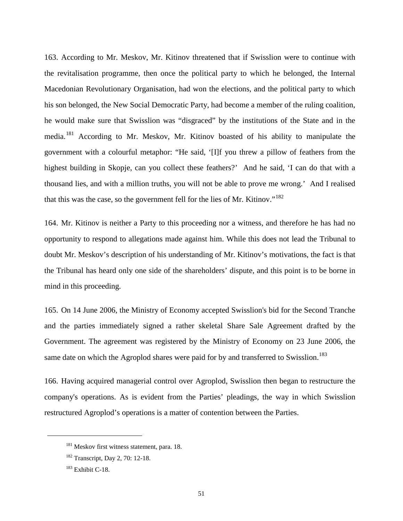163. According to Mr. Meskov, Mr. Kitinov threatened that if Swisslion were to continue with the revitalisation programme, then once the political party to which he belonged, the Internal Macedonian Revolutionary Organisation, had won the elections, and the political party to which his son belonged, the New Social Democratic Party, had become a member of the ruling coalition, he would make sure that Swisslion was "disgraced" by the institutions of the State and in the media.<sup>[181](#page-53-0)</sup> According to Mr. Meskov, Mr. Kitinov boasted of his ability to manipulate the government with a colourful metaphor: "He said, '[I]f you threw a pillow of feathers from the highest building in Skopje, can you collect these feathers?' And he said, 'I can do that with a thousand lies, and with a million truths, you will not be able to prove me wrong.' And I realised that this was the case, so the government fell for the lies of Mr. Kitinov."<sup>[182](#page-53-1)</sup>

164. Mr. Kitinov is neither a Party to this proceeding nor a witness, and therefore he has had no opportunity to respond to allegations made against him. While this does not lead the Tribunal to doubt Mr. Meskov's description of his understanding of Mr. Kitinov's motivations, the fact is that the Tribunal has heard only one side of the shareholders' dispute, and this point is to be borne in mind in this proceeding.

165. On 14 June 2006, the Ministry of Economy accepted Swisslion's bid for the Second Tranche and the parties immediately signed a rather skeletal Share Sale Agreement drafted by the Government. The agreement was registered by the Ministry of Economy on 23 June 2006, the same date on which the Agroplod shares were paid for by and transferred to Swisslion.<sup>[183](#page-53-2)</sup>

166. Having acquired managerial control over Agroplod, Swisslion then began to restructure the company's operations. As is evident from the Parties' pleadings, the way in which Swisslion restructured Agroplod's operations is a matter of contention between the Parties.

<span id="page-53-0"></span><sup>&</sup>lt;sup>181</sup> Meskov first witness statement, para. 18.

<span id="page-53-1"></span><sup>&</sup>lt;sup>182</sup> Transcript, Day 2, 70: 12-18.

<span id="page-53-2"></span><sup>&</sup>lt;sup>183</sup> Exhibit C-18.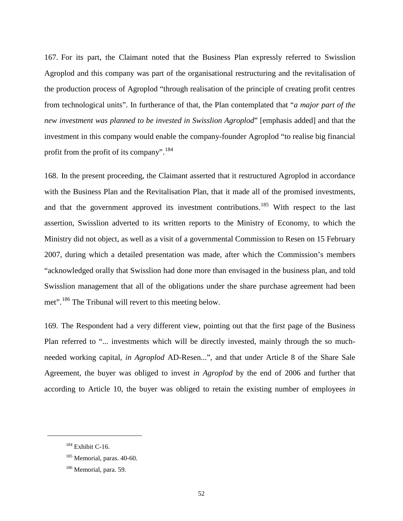167. For its part, the Claimant noted that the Business Plan expressly referred to Swisslion Agroplod and this company was part of the organisational restructuring and the revitalisation of the production process of Agroplod "through realisation of the principle of creating profit centres from technological units". In furtherance of that, the Plan contemplated that "*a major part of the new investment was planned to be invested in Swisslion Agroplod*" [emphasis added] and that the investment in this company would enable the company-founder Agroplod "to realise big financial profit from the profit of its company".<sup>[184](#page-54-0)</sup>

168. In the present proceeding, the Claimant asserted that it restructured Agroplod in accordance with the Business Plan and the Revitalisation Plan, that it made all of the promised investments, and that the government approved its investment contributions.<sup>[185](#page-54-1)</sup> With respect to the last assertion, Swisslion adverted to its written reports to the Ministry of Economy, to which the Ministry did not object, as well as a visit of a governmental Commission to Resen on 15 February 2007, during which a detailed presentation was made, after which the Commission's members "acknowledged orally that Swisslion had done more than envisaged in the business plan, and told Swisslion management that all of the obligations under the share purchase agreement had been met".<sup>[186](#page-54-2)</sup> The Tribunal will revert to this meeting below.

169. The Respondent had a very different view, pointing out that the first page of the Business Plan referred to "... investments which will be directly invested, mainly through the so muchneeded working capital, *in Agroplod* AD-Resen...", and that under Article 8 of the Share Sale Agreement, the buyer was obliged to invest *in Agroplod* by the end of 2006 and further that according to Article 10, the buyer was obliged to retain the existing number of employees *in* 

<span id="page-54-0"></span> $184$  Exhibit C-16.

<span id="page-54-1"></span> $185$  Memorial, paras, 40-60.

<span id="page-54-2"></span><sup>&</sup>lt;sup>186</sup> Memorial, para. 59.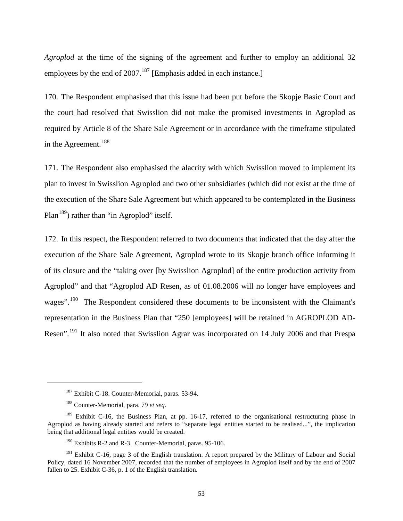*Agroplod* at the time of the signing of the agreement and further to employ an additional 32 employees by the end of 2007.<sup>[187](#page-55-0)</sup> [Emphasis added in each instance.]

170. The Respondent emphasised that this issue had been put before the Skopje Basic Court and the court had resolved that Swisslion did not make the promised investments in Agroplod as required by Article 8 of the Share Sale Agreement or in accordance with the timeframe stipulated in the Agreement.<sup>[188](#page-55-1)</sup>

171. The Respondent also emphasised the alacrity with which Swisslion moved to implement its plan to invest in Swisslion Agroplod and two other subsidiaries (which did not exist at the time of the execution of the Share Sale Agreement but which appeared to be contemplated in the Business Plan<sup>[189](#page-55-2)</sup>) rather than "in Agroplod" itself.

172. In this respect, the Respondent referred to two documents that indicated that the day after the execution of the Share Sale Agreement, Agroplod wrote to its Skopje branch office informing it of its closure and the "taking over [by Swisslion Agroplod] of the entire production activity from Agroplod" and that "Agroplod AD Resen, as of 01.08.2006 will no longer have employees and wages".<sup>190</sup> The Respondent considered these documents to be inconsistent with the Claimant's representation in the Business Plan that "250 [employees] will be retained in AGROPLOD AD-Resen".<sup>[191](#page-55-4)</sup> It also noted that Swisslion Agrar was incorporated on 14 July 2006 and that Prespa

<sup>&</sup>lt;sup>187</sup> Exhibit C-18. Counter-Memorial, paras. 53-94.

<sup>188</sup> Counter-Memorial, para. 79 *et seq.*

<span id="page-55-2"></span><span id="page-55-1"></span><span id="page-55-0"></span><sup>&</sup>lt;sup>189</sup> Exhibit C-16, the Business Plan, at pp. 16-17, referred to the organisational restructuring phase in Agroplod as having already started and refers to "separate legal entities started to be realised...", the implication being that additional legal entities would be created.

 $190$  Exhibits R-2 and R-3. Counter-Memorial, paras. 95-106.

<span id="page-55-4"></span><span id="page-55-3"></span><sup>&</sup>lt;sup>191</sup> Exhibit C-16, page 3 of the English translation. A report prepared by the Military of Labour and Social Policy, dated 16 November 2007, recorded that the number of employees in Agroplod itself and by the end of 2007 fallen to 25. Exhibit C-36, p. 1 of the English translation.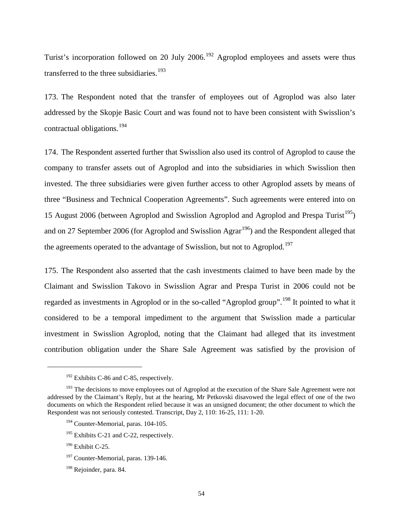Turist's incorporation followed on 20 July 2006.<sup>[192](#page-56-0)</sup> Agroplod employees and assets were thus transferred to the three subsidiaries.<sup>[193](#page-56-1)</sup>

173. The Respondent noted that the transfer of employees out of Agroplod was also later addressed by the Skopje Basic Court and was found not to have been consistent with Swisslion's contractual obligations.<sup>[194](#page-56-2)</sup>

174. The Respondent asserted further that Swisslion also used its control of Agroplod to cause the company to transfer assets out of Agroplod and into the subsidiaries in which Swisslion then invested. The three subsidiaries were given further access to other Agroplod assets by means of three "Business and Technical Cooperation Agreements". Such agreements were entered into on 15 August 2006 (between Agroplod and Swisslion Agroplod and Agroplod and Prespa Turist<sup>[195](#page-56-3)</sup>) and on 27 September 2006 (for Agroplod and Swisslion Agrar<sup>196</sup>) and the Respondent alleged that the agreements operated to the advantage of Swisslion, but not to Agroplod.<sup>[197](#page-56-5)</sup>

175. The Respondent also asserted that the cash investments claimed to have been made by the Claimant and Swisslion Takovo in Swisslion Agrar and Prespa Turist in 2006 could not be regarded as investments in Agroplod or in the so-called "Agroplod group".<sup>[198](#page-56-6)</sup> It pointed to what it considered to be a temporal impediment to the argument that Swisslion made a particular investment in Swisslion Agroplod, noting that the Claimant had alleged that its investment contribution obligation under the Share Sale Agreement was satisfied by the provision of

 $192$  Exhibits C-86 and C-85, respectively.

<span id="page-56-2"></span><span id="page-56-1"></span><span id="page-56-0"></span><sup>&</sup>lt;sup>193</sup> The decisions to move employees out of Agroplod at the execution of the Share Sale Agreement were not addressed by the Claimant's Reply, but at the hearing, Mr Petkovski disavowed the legal effect of one of the two documents on which the Respondent relied because it was an unsigned document; the other document to which the Respondent was not seriously contested. Transcript, Day 2, 110: 16-25, 111: 1-20.

<sup>&</sup>lt;sup>194</sup> Counter-Memorial, paras. 104-105.

<span id="page-56-3"></span><sup>&</sup>lt;sup>195</sup> Exhibits C-21 and C-22, respectively.

<span id="page-56-4"></span> $196$  Exhibit C-25.

<span id="page-56-5"></span><sup>&</sup>lt;sup>197</sup> Counter-Memorial, paras. 139-146.

<span id="page-56-6"></span><sup>&</sup>lt;sup>198</sup> Rejoinder, para. 84.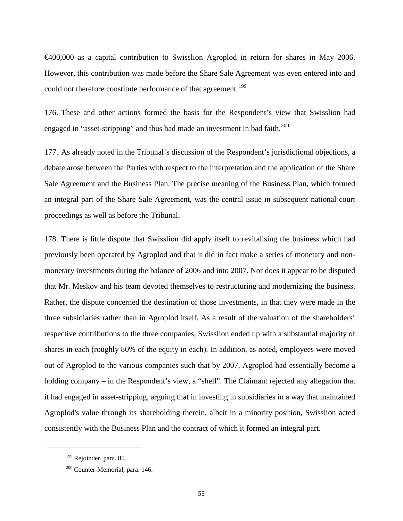€400,000 as a capital contribution to Swisslion Agroplod in return for shares in May 2006. However, this contribution was made before the Share Sale Agreement was even entered into and could not therefore constitute performance of that agreement.<sup>[199](#page-57-0)</sup>

176. These and other actions formed the basis for the Respondent's view that Swisslion had engaged in "asset-stripping" and thus had made an investment in bad faith.<sup>[200](#page-57-1)</sup>

177. As already noted in the Tribunal's discussion of the Respondent's jurisdictional objections, a debate arose between the Parties with respect to the interpretation and the application of the Share Sale Agreement and the Business Plan. The precise meaning of the Business Plan, which formed an integral part of the Share Sale Agreement, was the central issue in subsequent national court proceedings as well as before the Tribunal.

178. There is little dispute that Swisslion did apply itself to revitalising the business which had previously been operated by Agroplod and that it did in fact make a series of monetary and nonmonetary investments during the balance of 2006 and into 2007. Nor does it appear to be disputed that Mr. Meskov and his team devoted themselves to restructuring and modernizing the business. Rather, the dispute concerned the destination of those investments, in that they were made in the three subsidiaries rather than in Agroplod itself. As a result of the valuation of the shareholders' respective contributions to the three companies, Swisslion ended up with a substantial majority of shares in each (roughly 80% of the equity in each). In addition, as noted, employees were moved out of Agroplod to the various companies such that by 2007, Agroplod had essentially become a holding company – in the Respondent's view, a "shell". The Claimant rejected any allegation that it had engaged in asset-stripping, arguing that in investing in subsidiaries in a way that maintained Agroplod's value through its shareholding therein, albeit in a minority position, Swisslion acted consistently with the Business Plan and the contract of which it formed an integral part.

<span id="page-57-0"></span><sup>&</sup>lt;sup>199</sup> Rejoinder, para. 85.

<span id="page-57-1"></span><sup>&</sup>lt;sup>200</sup> Counter-Memorial, para. 146.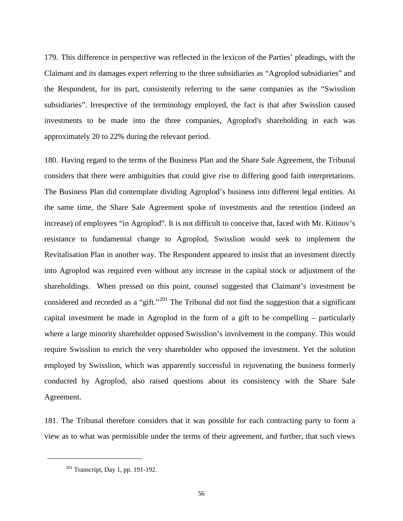179. This difference in perspective was reflected in the lexicon of the Parties' pleadings, with the Claimant and its damages expert referring to the three subsidiaries as "Agroplod subsidiaries" and the Respondent, for its part, consistently referring to the same companies as the "Swisslion subsidiaries". Irrespective of the terminology employed, the fact is that after Swisslion caused investments to be made into the three companies, Agroplod's shareholding in each was approximately 20 to 22% during the relevant period.

180. Having regard to the terms of the Business Plan and the Share Sale Agreement, the Tribunal considers that there were ambiguities that could give rise to differing good faith interpretations. The Business Plan did contemplate dividing Agroplod's business into different legal entities. At the same time, the Share Sale Agreement spoke of investments and the retention (indeed an increase) of employees "in Agroplod". It is not difficult to conceive that, faced with Mr. Kitinov's resistance to fundamental change to Agroplod, Swisslion would seek to implement the Revitalisation Plan in another way. The Respondent appeared to insist that an investment directly into Agroplod was required even without any increase in the capital stock or adjustment of the shareholdings. When pressed on this point, counsel suggested that Claimant's investment be considered and recorded as a "gift."<sup>[201](#page-58-0)</sup> The Tribunal did not find the suggestion that a significant capital investment be made in Agroplod in the form of a gift to be compelling – particularly where a large minority shareholder opposed Swisslion's involvement in the company. This would require Swisslion to enrich the very shareholder who opposed the investment. Yet the solution employed by Swisslion, which was apparently successful in rejuvenating the business formerly conducted by Agroplod, also raised questions about its consistency with the Share Sale Agreement.

181. The Tribunal therefore considers that it was possible for each contracting party to form a view as to what was permissible under the terms of their agreement, and further, that such views

<span id="page-58-0"></span><sup>&</sup>lt;sup>201</sup> Transcript, Day 1, pp. 191-192.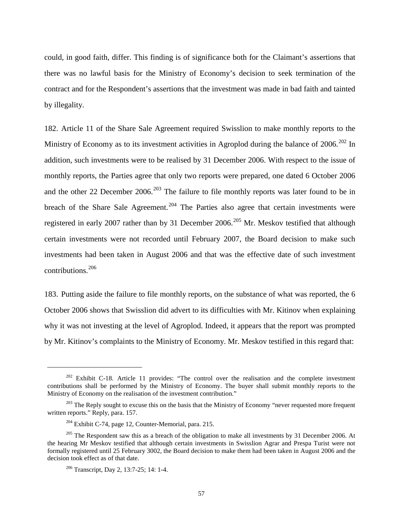could, in good faith, differ. This finding is of significance both for the Claimant's assertions that there was no lawful basis for the Ministry of Economy's decision to seek termination of the contract and for the Respondent's assertions that the investment was made in bad faith and tainted by illegality.

182. Article 11 of the Share Sale Agreement required Swisslion to make monthly reports to the Ministry of Economy as to its investment activities in Agroplod during the balance of 2006.<sup>[202](#page-59-0)</sup> In addition, such investments were to be realised by 31 December 2006. With respect to the issue of monthly reports, the Parties agree that only two reports were prepared, one dated 6 October 2006 and the other 22 December 2006.<sup>[203](#page-59-1)</sup> The failure to file monthly reports was later found to be in breach of the Share Sale Agreement.<sup>[204](#page-59-2)</sup> The Parties also agree that certain investments were registered in early 2007 rather than by 31 December 2006.<sup>[205](#page-59-3)</sup> Mr. Meskov testified that although certain investments were not recorded until February 2007, the Board decision to make such investments had been taken in August 2006 and that was the effective date of such investment contributions.<sup>[206](#page-59-4)</sup>

183. Putting aside the failure to file monthly reports, on the substance of what was reported, the 6 October 2006 shows that Swisslion did advert to its difficulties with Mr. Kitinov when explaining why it was not investing at the level of Agroplod. Indeed, it appears that the report was prompted by Mr. Kitinov's complaints to the Ministry of Economy. Mr. Meskov testified in this regard that:

<span id="page-59-0"></span> $202$  Exhibit C-18. Article 11 provides: "The control over the realisation and the complete investment contributions shall be performed by the Ministry of Economy. The buyer shall submit monthly reports to the Ministry of Economy on the realisation of the investment contribution."

<span id="page-59-1"></span> $203$  The Reply sought to excuse this on the basis that the Ministry of Economy "never requested more frequent written reports." Reply, para. 157.

<sup>204</sup> Exhibit C-74, page 12, Counter-Memorial, para. 215.

<span id="page-59-4"></span><span id="page-59-3"></span><span id="page-59-2"></span><sup>&</sup>lt;sup>205</sup> The Respondent saw this as a breach of the obligation to make all investments by 31 December 2006. At the hearing Mr Meskov testified that although certain investments in Swisslion Agrar and Prespa Turist were not formally registered until 25 February 3002, the Board decision to make them had been taken in August 2006 and the decision took effect as of that date.

<sup>206</sup> Transcript, Day 2, 13:7-25; 14: 1-4.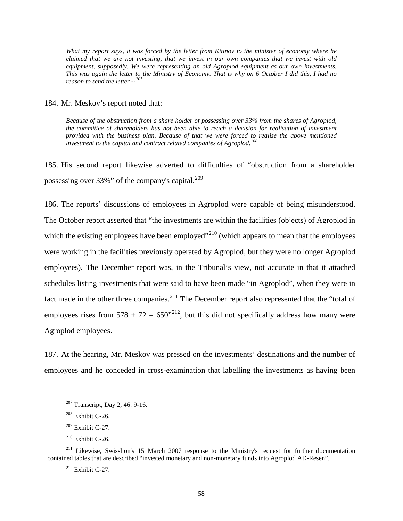*What my report says, it was forced by the letter from Kitinov to the minister of economy where he claimed that we are not investing, that we invest in our own companies that we invest with old equipment, supposedly. We were representing an old Agroplod equipment as our own investments. This was again the letter to the Ministry of Economy. That is why on 6 October I did this, I had no reason to send the letter --[207](#page-60-0)*

184. Mr. Meskov's report noted that:

*Because of the obstruction from a share holder of possessing over 33% from the shares of Agroplod, the committee of shareholders has not been able to reach a decision for realisation of investment provided with the business plan. Because of that we were forced to realise the above mentioned investment to the capital and contract related companies of Agroplod.[208](#page-60-1)*

185. His second report likewise adverted to difficulties of "obstruction from a shareholder possessing over 33%" of the company's capital.<sup>[209](#page-60-2)</sup>

186. The reports' discussions of employees in Agroplod were capable of being misunderstood. The October report asserted that "the investments are within the facilities (objects) of Agroplod in which the existing employees have been employed"<sup>[210](#page-60-3)</sup> (which appears to mean that the employees were working in the facilities previously operated by Agroplod, but they were no longer Agroplod employees). The December report was, in the Tribunal's view, not accurate in that it attached schedules listing investments that were said to have been made "in Agroplod", when they were in fact made in the other three companies.<sup>[211](#page-60-4)</sup> The December report also represented that the "total of employees rises from  $578 + 72 = 650^{3212}$  $578 + 72 = 650^{3212}$  $578 + 72 = 650^{3212}$ , but this did not specifically address how many were Agroplod employees.

187. At the hearing, Mr. Meskov was pressed on the investments' destinations and the number of employees and he conceded in cross-examination that labelling the investments as having been

<span id="page-60-1"></span><span id="page-60-0"></span> $\overline{a}$ 

<sup>212</sup> Exhibit C-27.

<sup>&</sup>lt;sup>207</sup> Transcript, Day 2, 46: 9-16.

 $208$  Exhibit C-26.

 $209$  Exhibit C-27.

 $210$  Exhibit C-26.

<span id="page-60-5"></span><span id="page-60-4"></span><span id="page-60-3"></span><span id="page-60-2"></span><sup>&</sup>lt;sup>211</sup> Likewise, Swisslion's 15 March 2007 response to the Ministry's request for further documentation contained tables that are described "invested monetary and non-monetary funds into Agroplod AD-Resen".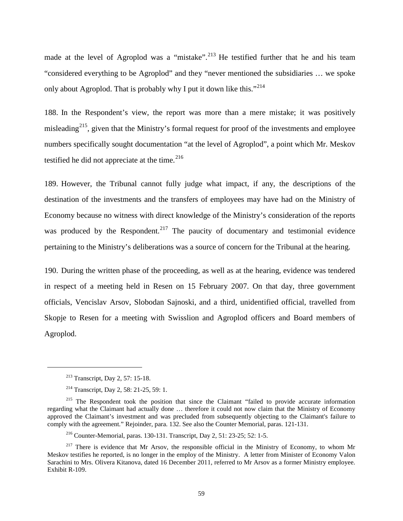made at the level of Agroplod was a "mistake".<sup>[213](#page-61-0)</sup> He testified further that he and his team "considered everything to be Agroplod" and they "never mentioned the subsidiaries … we spoke only about Agroplod. That is probably why I put it down like this."<sup>[214](#page-61-1)</sup>

188. In the Respondent's view, the report was more than a mere mistake; it was positively misleading<sup>215</sup>, given that the Ministry's formal request for proof of the investments and employee numbers specifically sought documentation "at the level of Agroplod", a point which Mr. Meskov testified he did not appreciate at the time. $216$ 

189. However, the Tribunal cannot fully judge what impact, if any, the descriptions of the destination of the investments and the transfers of employees may have had on the Ministry of Economy because no witness with direct knowledge of the Ministry's consideration of the reports was produced by the Respondent.<sup>[217](#page-61-4)</sup> The paucity of documentary and testimonial evidence pertaining to the Ministry's deliberations was a source of concern for the Tribunal at the hearing.

190. During the written phase of the proceeding, as well as at the hearing, evidence was tendered in respect of a meeting held in Resen on 15 February 2007. On that day, three government officials, Vencislav Arsov, Slobodan Sajnoski, and a third, unidentified official, travelled from Skopje to Resen for a meeting with Swisslion and Agroplod officers and Board members of Agroplod.

<sup>213</sup> Transcript, Day 2, 57: 15-18.

<sup>214</sup> Transcript, Day 2, 58: 21-25, 59: 1.

<span id="page-61-2"></span><span id="page-61-1"></span><span id="page-61-0"></span><sup>&</sup>lt;sup>215</sup> The Respondent took the position that since the Claimant "failed to provide accurate information regarding what the Claimant had actually done … therefore it could not now claim that the Ministry of Economy approved the Claimant's investment and was precluded from subsequently objecting to the Claimant's failure to comply with the agreement." Rejoinder, para. 132. See also the Counter Memorial, paras. 121-131.

<sup>216</sup> Counter-Memorial, paras. 130-131. Transcript, Day 2, 51: 23-25; 52: 1-5.

<span id="page-61-4"></span><span id="page-61-3"></span> $217$  There is evidence that Mr Arsov, the responsible official in the Ministry of Economy, to whom Mr Meskov testifies he reported, is no longer in the employ of the Ministry. A letter from Minister of Economy Valon Sarachini to Mrs. Olivera Kitanova, dated 16 December 2011, referred to Mr Arsov as a former Ministry employee. Exhibit R-109.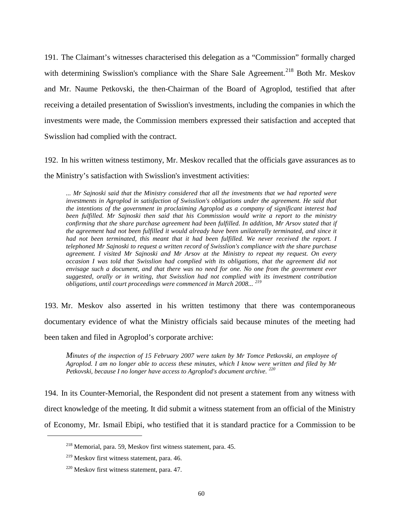191. The Claimant's witnesses characterised this delegation as a "Commission" formally charged with determining Swisslion's compliance with the Share Sale Agreement.<sup>[218](#page-62-0)</sup> Both Mr. Meskov and Mr. Naume Petkovski, the then-Chairman of the Board of Agroplod, testified that after receiving a detailed presentation of Swisslion's investments, including the companies in which the investments were made, the Commission members expressed their satisfaction and accepted that Swisslion had complied with the contract.

192. In his written witness testimony, Mr. Meskov recalled that the officials gave assurances as to the Ministry's satisfaction with Swisslion's investment activities:

*... Mr Sajnoski said that the Ministry considered that all the investments that we had reported were investments in Agroplod in satisfaction of Swisslion's obligations under the agreement. He said that the intentions of the government in proclaiming Agroplod as a company of significant interest had been fulfilled. Mr Sajnoski then said that his Commission would write a report to the ministry confirming that the share purchase agreement had been fulfilled. In addition, Mr Arsov stated that if the agreement had not been fulfilled it would already have been unilaterally terminated, and since it*  had not been terminated, this meant that it had been fulfilled. We never received the report. I *telephoned Mr Sajnoski to request a written record of Swisslion's compliance with the share purchase agreement. I visited Mr Sajnoski and Mr Arsov at the Ministry to repeat my request. On every occasion I was told that Swisslion had complied with its obligations, that the agreement did not envisage such a document, and that there was no need for one. No one from the government ever suggested, orally or in writing, that Swisslion had not complied with its investment contribution obligations, until court proceedings were commenced in March 2008... [219](#page-62-1)*

193. Mr. Meskov also asserted in his written testimony that there was contemporaneous documentary evidence of what the Ministry officials said because minutes of the meeting had been taken and filed in Agroplod's corporate archive:

*Minutes of the inspection of 15 February 2007 were taken by Mr Tomce Petkovski, an employee of Agroplod. I am no longer able to access these minutes, which I know were written and filed by Mr Petkovski, because I no longer have access to Agroplod's document archive. [220](#page-62-2)*

194. In its Counter-Memorial, the Respondent did not present a statement from any witness with direct knowledge of the meeting. It did submit a witness statement from an official of the Ministry of Economy, Mr. Ismail Ebipi, who testified that it is standard practice for a Commission to be

<span id="page-62-0"></span><sup>218</sup> Memorial, para. 59, Meskov first witness statement, para. 45.

<span id="page-62-1"></span> $219$  Meskov first witness statement, para. 46.

<span id="page-62-2"></span><sup>220</sup> Meskov first witness statement, para. 47.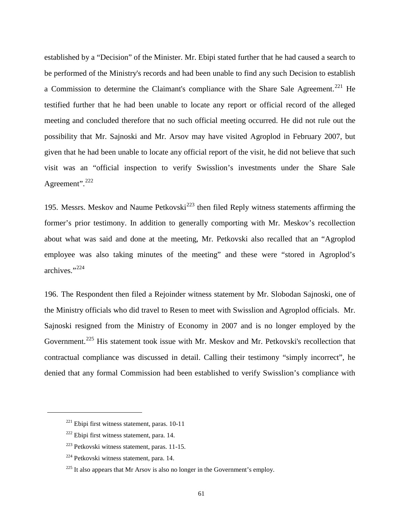established by a "Decision" of the Minister. Mr. Ebipi stated further that he had caused a search to be performed of the Ministry's records and had been unable to find any such Decision to establish a Commission to determine the Claimant's compliance with the Share Sale Agreement.<sup>[221](#page-63-0)</sup> He testified further that he had been unable to locate any report or official record of the alleged meeting and concluded therefore that no such official meeting occurred. He did not rule out the possibility that Mr. Sajnoski and Mr. Arsov may have visited Agroplod in February 2007, but given that he had been unable to locate any official report of the visit, he did not believe that such visit was an "official inspection to verify Swisslion's investments under the Share Sale Agreement".<sup>[222](#page-63-1)</sup>

195. Messrs. Meskov and Naume Petkovski<sup>[223](#page-63-2)</sup> then filed Reply witness statements affirming the former's prior testimony. In addition to generally comporting with Mr. Meskov's recollection about what was said and done at the meeting, Mr. Petkovski also recalled that an "Agroplod employee was also taking minutes of the meeting" and these were "stored in Agroplod's archives."[224](#page-63-3)

196. The Respondent then filed a Rejoinder witness statement by Mr. Slobodan Sajnoski, one of the Ministry officials who did travel to Resen to meet with Swisslion and Agroplod officials. Mr. Sajnoski resigned from the Ministry of Economy in 2007 and is no longer employed by the Government.<sup>[225](#page-63-4)</sup> His statement took issue with Mr. Meskov and Mr. Petkovski's recollection that contractual compliance was discussed in detail. Calling their testimony "simply incorrect", he denied that any formal Commission had been established to verify Swisslion's compliance with

<span id="page-63-0"></span> $^{221}$  Ebipi first witness statement, paras. 10-11

<span id="page-63-1"></span> $222$  Ebipi first witness statement, para. 14.

<span id="page-63-2"></span> $223$  Petkovski witness statement, paras. 11-15.

<span id="page-63-3"></span><sup>224</sup> Petkovski witness statement, para. 14.

<span id="page-63-4"></span> $225$  It also appears that Mr Arsov is also no longer in the Government's employ.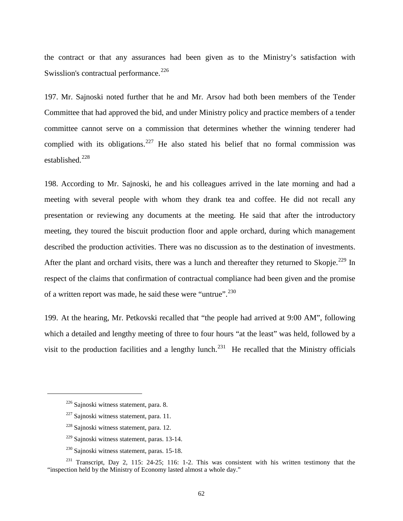the contract or that any assurances had been given as to the Ministry's satisfaction with Swisslion's contractual performance.<sup>[226](#page-64-0)</sup>

197. Mr. Sajnoski noted further that he and Mr. Arsov had both been members of the Tender Committee that had approved the bid, and under Ministry policy and practice members of a tender committee cannot serve on a commission that determines whether the winning tenderer had complied with its obligations.<sup>[227](#page-64-1)</sup> He also stated his belief that no formal commission was established.<sup>[228](#page-64-2)</sup>

198. According to Mr. Sajnoski, he and his colleagues arrived in the late morning and had a meeting with several people with whom they drank tea and coffee. He did not recall any presentation or reviewing any documents at the meeting. He said that after the introductory meeting, they toured the biscuit production floor and apple orchard, during which management described the production activities. There was no discussion as to the destination of investments. After the plant and orchard visits, there was a lunch and thereafter they returned to Skopje.<sup>[229](#page-64-3)</sup> In respect of the claims that confirmation of contractual compliance had been given and the promise of a written report was made, he said these were "untrue".<sup>[230](#page-64-4)</sup>

199. At the hearing, Mr. Petkovski recalled that "the people had arrived at 9:00 AM", following which a detailed and lengthy meeting of three to four hours "at the least" was held, followed by a visit to the production facilities and a lengthy lunch.<sup>[231](#page-64-5)</sup> He recalled that the Ministry officials

<span id="page-64-0"></span><sup>226</sup> Sajnoski witness statement, para. 8.

 $227$  Sajnoski witness statement, para. 11.

<sup>&</sup>lt;sup>228</sup> Sainoski witness statement, para. 12.

<sup>229</sup> Sajnoski witness statement, paras. 13-14.

<sup>230</sup> Sajnoski witness statement, paras. 15-18.

<span id="page-64-5"></span><span id="page-64-4"></span><span id="page-64-3"></span><span id="page-64-2"></span><span id="page-64-1"></span><sup>&</sup>lt;sup>231</sup> Transcript, Day 2, 115: 24-25; 116: 1-2. This was consistent with his written testimony that the "inspection held by the Ministry of Economy lasted almost a whole day."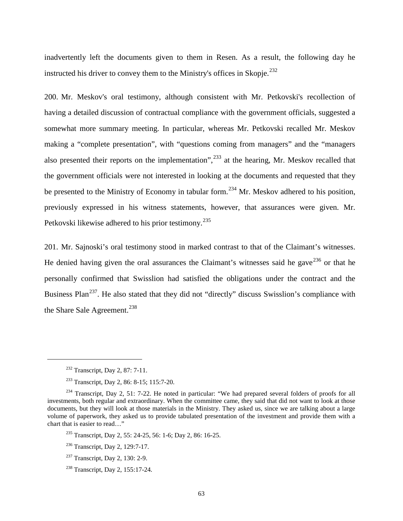inadvertently left the documents given to them in Resen. As a result, the following day he instructed his driver to convey them to the Ministry's offices in Skopje.<sup>[232](#page-65-0)</sup>

200. Mr. Meskov's oral testimony, although consistent with Mr. Petkovski's recollection of having a detailed discussion of contractual compliance with the government officials, suggested a somewhat more summary meeting. In particular, whereas Mr. Petkovski recalled Mr. Meskov making a "complete presentation", with "questions coming from managers" and the "managers also presented their reports on the implementation",  $^{233}$  $^{233}$  $^{233}$  at the hearing, Mr. Meskov recalled that the government officials were not interested in looking at the documents and requested that they be presented to the Ministry of Economy in tabular form.<sup>[234](#page-65-2)</sup> Mr. Meskov adhered to his position, previously expressed in his witness statements, however, that assurances were given. Mr. Petkovski likewise adhered to his prior testimony.<sup>[235](#page-65-3)</sup>

201. Mr. Sajnoski's oral testimony stood in marked contrast to that of the Claimant's witnesses. He denied having given the oral assurances the Claimant's witnesses said he gave<sup>[236](#page-65-4)</sup> or that he personally confirmed that Swisslion had satisfied the obligations under the contract and the Business Plan<sup>237</sup>. He also stated that they did not "directly" discuss Swisslion's compliance with the Share Sale Agreement.<sup>[238](#page-65-6)</sup>

<sup>&</sup>lt;sup>232</sup> Transcript, Day 2, 87: 7-11.

<sup>233</sup> Transcript, Day 2, 86: 8-15; 115:7-20.

<span id="page-65-3"></span><span id="page-65-2"></span><span id="page-65-1"></span><span id="page-65-0"></span><sup>&</sup>lt;sup>234</sup> Transcript, Day 2, 51: 7-22. He noted in particular: "We had prepared several folders of proofs for all investments, both regular and extraordinary. When the committee came, they said that did not want to look at those documents, but they will look at those materials in the Ministry. They asked us, since we are talking about a large volume of paperwork, they asked us to provide tabulated presentation of the investment and provide them with a chart that is easier to read..."

<sup>&</sup>lt;sup>235</sup> Transcript, Day 2, 55: 24-25, 56: 1-6; Day 2, 86: 16-25.

<span id="page-65-4"></span><sup>236</sup> Transcript, Day 2, 129:7-17.

<span id="page-65-5"></span><sup>237</sup> Transcript, Day 2, 130: 2-9.

<span id="page-65-6"></span><sup>238</sup> Transcript, Day 2, 155:17-24.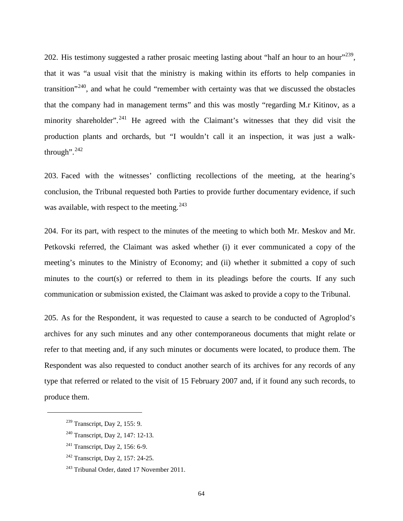202. His testimony suggested a rather prosaic meeting lasting about "half an hour to an hour"<sup>[239](#page-66-0)</sup>, that it was "a usual visit that the ministry is making within its efforts to help companies in transition"<sup>240</sup>, and what he could "remember with certainty was that we discussed the obstacles that the company had in management terms" and this was mostly "regarding M.r Kitinov, as a minority shareholder".<sup>[241](#page-66-2)</sup> He agreed with the Claimant's witnesses that they did visit the production plants and orchards, but "I wouldn't call it an inspection, it was just a walkthrough".  $242$ 

203. Faced with the witnesses' conflicting recollections of the meeting, at the hearing's conclusion, the Tribunal requested both Parties to provide further documentary evidence, if such was available, with respect to the meeting.<sup>[243](#page-66-4)</sup>

204. For its part, with respect to the minutes of the meeting to which both Mr. Meskov and Mr. Petkovski referred, the Claimant was asked whether (i) it ever communicated a copy of the meeting's minutes to the Ministry of Economy; and (ii) whether it submitted a copy of such minutes to the court(s) or referred to them in its pleadings before the courts. If any such communication or submission existed, the Claimant was asked to provide a copy to the Tribunal.

205. As for the Respondent, it was requested to cause a search to be conducted of Agroplod's archives for any such minutes and any other contemporaneous documents that might relate or refer to that meeting and, if any such minutes or documents were located, to produce them. The Respondent was also requested to conduct another search of its archives for any records of any type that referred or related to the visit of 15 February 2007 and, if it found any such records, to produce them.

<span id="page-66-0"></span> $239$  Transcript, Day 2, 155: 9.

<span id="page-66-1"></span><sup>240</sup> Transcript, Day 2, 147: 12-13.

<span id="page-66-2"></span><sup>241</sup> Transcript, Day 2, 156: 6-9.

<span id="page-66-3"></span><sup>&</sup>lt;sup>242</sup> Transcript, Day 2, 157: 24-25.

<span id="page-66-4"></span><sup>&</sup>lt;sup>243</sup> Tribunal Order, dated 17 November 2011.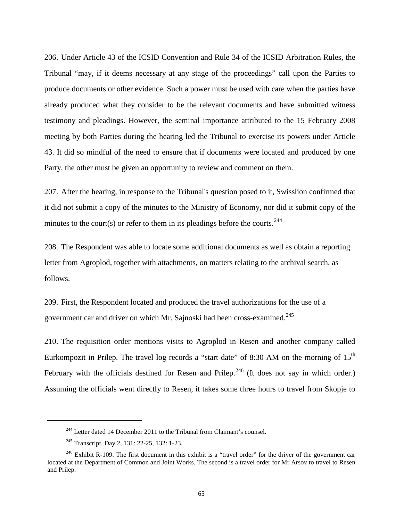206. Under Article 43 of the ICSID Convention and Rule 34 of the ICSID Arbitration Rules, the Tribunal "may, if it deems necessary at any stage of the proceedings" call upon the Parties to produce documents or other evidence. Such a power must be used with care when the parties have already produced what they consider to be the relevant documents and have submitted witness testimony and pleadings. However, the seminal importance attributed to the 15 February 2008 meeting by both Parties during the hearing led the Tribunal to exercise its powers under Article 43. It did so mindful of the need to ensure that if documents were located and produced by one Party, the other must be given an opportunity to review and comment on them.

207. After the hearing, in response to the Tribunal's question posed to it, Swisslion confirmed that it did not submit a copy of the minutes to the Ministry of Economy, nor did it submit copy of the minutes to the court(s) or refer to them in its pleadings before the courts.<sup>[244](#page-67-0)</sup>

208. The Respondent was able to locate some additional documents as well as obtain a reporting letter from Agroplod, together with attachments, on matters relating to the archival search, as follows.

209. First, the Respondent located and produced the travel authorizations for the use of a government car and driver on which Mr. Sajnoski had been cross-examined.<sup>[245](#page-67-1)</sup>

210. The requisition order mentions visits to Agroplod in Resen and another company called Eurkompozit in Prilep. The travel log records a "start date" of 8:30 AM on the morning of  $15<sup>th</sup>$ February with the officials destined for Resen and Prilep.<sup>[246](#page-67-2)</sup> (It does not say in which order.) Assuming the officials went directly to Resen, it takes some three hours to travel from Skopje to

 $244$  Letter dated 14 December 2011 to the Tribunal from Claimant's counsel.

<sup>245</sup> Transcript, Day 2, 131: 22-25, 132: 1-23.

<span id="page-67-2"></span><span id="page-67-1"></span><span id="page-67-0"></span> $246$  Exhibit R-109. The first document in this exhibit is a "travel order" for the driver of the government car located at the Department of Common and Joint Works. The second is a travel order for Mr Arsov to travel to Resen and Prilep.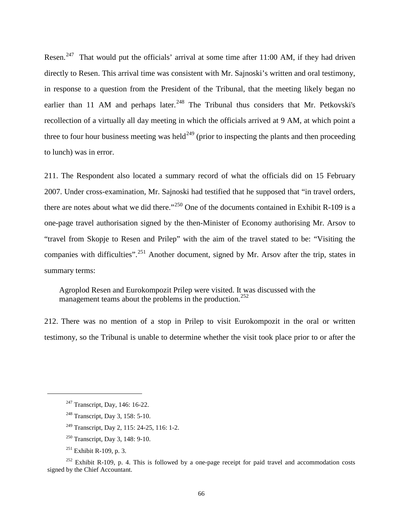Resen.<sup>247</sup> That would put the officials' arrival at some time after 11:00 AM, if they had driven directly to Resen. This arrival time was consistent with Mr. Sajnoski's written and oral testimony, in response to a question from the President of the Tribunal, that the meeting likely began no earlier than 11 AM and perhaps later.<sup>[248](#page-68-1)</sup> The Tribunal thus considers that Mr. Petkovski's recollection of a virtually all day meeting in which the officials arrived at 9 AM, at which point a three to four hour business meeting was held<sup>[249](#page-68-2)</sup> (prior to inspecting the plants and then proceeding to lunch) was in error.

211. The Respondent also located a summary record of what the officials did on 15 February 2007. Under cross-examination, Mr. Sajnoski had testified that he supposed that "in travel orders, there are notes about what we did there."<sup>[250](#page-68-3)</sup> One of the documents contained in Exhibit R-109 is a one-page travel authorisation signed by the then-Minister of Economy authorising Mr. Arsov to "travel from Skopje to Resen and Prilep" with the aim of the travel stated to be: "Visiting the companies with difficulties".<sup>[251](#page-68-4)</sup> Another document, signed by Mr. Arsov after the trip, states in summary terms:

Agroplod Resen and Eurokompozit Prilep were visited. It was discussed with the management teams about the problems in the production.<sup>[252](#page-68-5)</sup>

212. There was no mention of a stop in Prilep to visit Eurokompozit in the oral or written testimony, so the Tribunal is unable to determine whether the visit took place prior to or after the

- <sup>249</sup> Transcript, Day 2, 115: 24-25, 116: 1-2.
- <sup>250</sup> Transcript, Day 3, 148: 9-10.
- $251$  Exhibit R-109, p. 3.

<span id="page-68-0"></span><sup>&</sup>lt;sup>247</sup> Transcript, Day, 146: 16-22.

<sup>248</sup> Transcript, Day 3, 158: 5-10.

<span id="page-68-5"></span><span id="page-68-4"></span><span id="page-68-3"></span><span id="page-68-2"></span><span id="page-68-1"></span> $252$  Exhibit R-109, p. 4. This is followed by a one-page receipt for paid travel and accommodation costs signed by the Chief Accountant.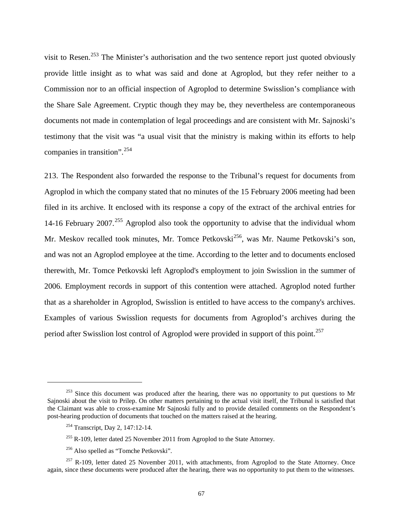visit to Resen.<sup>[253](#page-69-0)</sup> The Minister's authorisation and the two sentence report just quoted obviously provide little insight as to what was said and done at Agroplod, but they refer neither to a Commission nor to an official inspection of Agroplod to determine Swisslion's compliance with the Share Sale Agreement. Cryptic though they may be, they nevertheless are contemporaneous documents not made in contemplation of legal proceedings and are consistent with Mr. Sajnoski's testimony that the visit was "a usual visit that the ministry is making within its efforts to help companies in transition".<sup>[254](#page-69-1)</sup>

213. The Respondent also forwarded the response to the Tribunal's request for documents from Agroplod in which the company stated that no minutes of the 15 February 2006 meeting had been filed in its archive. It enclosed with its response a copy of the extract of the archival entries for 14-16 February 2007.<sup>[255](#page-69-2)</sup> Agroplod also took the opportunity to advise that the individual whom Mr. Meskov recalled took minutes, Mr. Tomce Petkovski<sup>[256](#page-69-3)</sup>, was Mr. Naume Petkovski's son, and was not an Agroplod employee at the time. According to the letter and to documents enclosed therewith, Mr. Tomce Petkovski left Agroplod's employment to join Swisslion in the summer of 2006. Employment records in support of this contention were attached. Agroplod noted further that as a shareholder in Agroplod, Swisslion is entitled to have access to the company's archives. Examples of various Swisslion requests for documents from Agroplod's archives during the period after Swisslion lost control of Agroplod were provided in support of this point.<sup>[257](#page-69-4)</sup>

<span id="page-69-0"></span> $253$  Since this document was produced after the hearing, there was no opportunity to put questions to Mr Sajnoski about the visit to Prilep. On other matters pertaining to the actual visit itself, the Tribunal is satisfied that the Claimant was able to cross-examine Mr Sajnoski fully and to provide detailed comments on the Respondent's post-hearing production of documents that touched on the matters raised at the hearing.

<sup>254</sup> Transcript, Day 2, 147:12-14.

 $255$  R-109, letter dated 25 November 2011 from Agroplod to the State Attorney.

<sup>256</sup> Also spelled as "Tomche Petkovski".

<span id="page-69-4"></span><span id="page-69-3"></span><span id="page-69-2"></span><span id="page-69-1"></span> $257$  R-109, letter dated 25 November 2011, with attachments, from Agroplod to the State Attorney. Once again, since these documents were produced after the hearing, there was no opportunity to put them to the witnesses.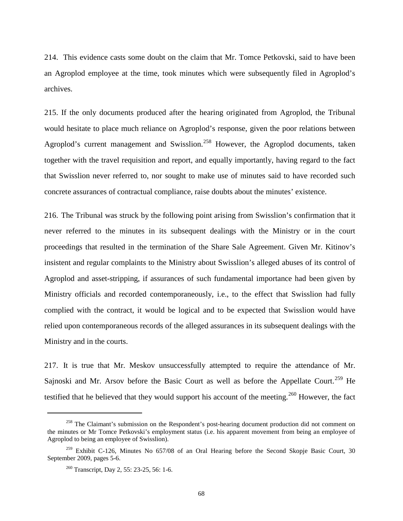214. This evidence casts some doubt on the claim that Mr. Tomce Petkovski, said to have been an Agroplod employee at the time, took minutes which were subsequently filed in Agroplod's archives.

215. If the only documents produced after the hearing originated from Agroplod, the Tribunal would hesitate to place much reliance on Agroplod's response, given the poor relations between Agroplod's current management and Swisslion.<sup>[258](#page-70-0)</sup> However, the Agroplod documents, taken together with the travel requisition and report, and equally importantly, having regard to the fact that Swisslion never referred to, nor sought to make use of minutes said to have recorded such concrete assurances of contractual compliance, raise doubts about the minutes' existence.

216. The Tribunal was struck by the following point arising from Swisslion's confirmation that it never referred to the minutes in its subsequent dealings with the Ministry or in the court proceedings that resulted in the termination of the Share Sale Agreement. Given Mr. Kitinov's insistent and regular complaints to the Ministry about Swisslion's alleged abuses of its control of Agroplod and asset-stripping, if assurances of such fundamental importance had been given by Ministry officials and recorded contemporaneously, i.e., to the effect that Swisslion had fully complied with the contract, it would be logical and to be expected that Swisslion would have relied upon contemporaneous records of the alleged assurances in its subsequent dealings with the Ministry and in the courts.

217. It is true that Mr. Meskov unsuccessfully attempted to require the attendance of Mr. Sajnoski and Mr. Arsov before the Basic Court as well as before the Appellate Court.<sup>[259](#page-70-1)</sup> He testified that he believed that they would support his account of the meeting.<sup>[260](#page-70-2)</sup> However, the fact

<span id="page-70-0"></span><sup>&</sup>lt;sup>258</sup> The Claimant's submission on the Respondent's post-hearing document production did not comment on the minutes or Mr Tomce Petkovski's employment status (i.e. his apparent movement from being an employee of Agroplod to being an employee of Swisslion).

<span id="page-70-2"></span><span id="page-70-1"></span><sup>&</sup>lt;sup>259</sup> Exhibit C-126, Minutes No 657/08 of an Oral Hearing before the Second Skopje Basic Court, 30 September 2009, pages 5-6.

<sup>260</sup> Transcript, Day 2, 55: 23-25, 56: 1-6.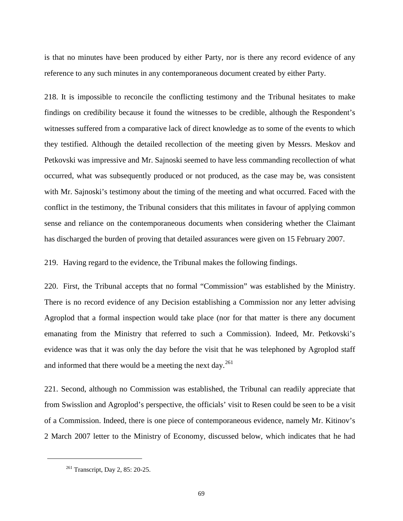is that no minutes have been produced by either Party, nor is there any record evidence of any reference to any such minutes in any contemporaneous document created by either Party.

218. It is impossible to reconcile the conflicting testimony and the Tribunal hesitates to make findings on credibility because it found the witnesses to be credible, although the Respondent's witnesses suffered from a comparative lack of direct knowledge as to some of the events to which they testified. Although the detailed recollection of the meeting given by Messrs. Meskov and Petkovski was impressive and Mr. Sajnoski seemed to have less commanding recollection of what occurred, what was subsequently produced or not produced, as the case may be, was consistent with Mr. Sajnoski's testimony about the timing of the meeting and what occurred. Faced with the conflict in the testimony, the Tribunal considers that this militates in favour of applying common sense and reliance on the contemporaneous documents when considering whether the Claimant has discharged the burden of proving that detailed assurances were given on 15 February 2007.

219. Having regard to the evidence, the Tribunal makes the following findings.

220. First, the Tribunal accepts that no formal "Commission" was established by the Ministry. There is no record evidence of any Decision establishing a Commission nor any letter advising Agroplod that a formal inspection would take place (nor for that matter is there any document emanating from the Ministry that referred to such a Commission). Indeed, Mr. Petkovski's evidence was that it was only the day before the visit that he was telephoned by Agroplod staff and informed that there would be a meeting the next day. $^{261}$  $^{261}$  $^{261}$ 

221. Second, although no Commission was established, the Tribunal can readily appreciate that from Swisslion and Agroplod's perspective, the officials' visit to Resen could be seen to be a visit of a Commission. Indeed, there is one piece of contemporaneous evidence, namely Mr. Kitinov's 2 March 2007 letter to the Ministry of Economy, discussed below, which indicates that he had

<span id="page-71-0"></span><sup>261</sup> Transcript, Day 2, 85: 20-25.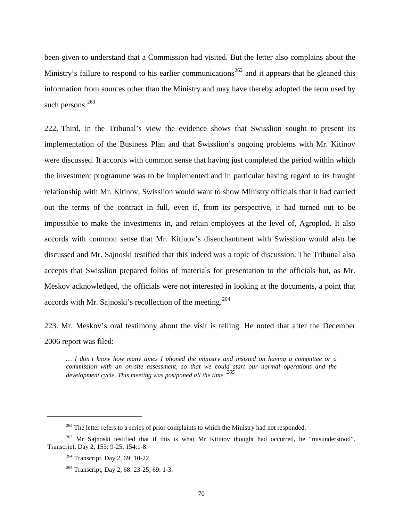been given to understand that a Commission had visited. But the letter also complains about the Ministry's failure to respond to his earlier communications<sup>[262](#page-72-0)</sup> and it appears that he gleaned this information from sources other than the Ministry and may have thereby adopted the term used by such persons.<sup>[263](#page-72-1)</sup>

222. Third, in the Tribunal's view the evidence shows that Swisslion sought to present its implementation of the Business Plan and that Swisslion's ongoing problems with Mr. Kitinov were discussed. It accords with common sense that having just completed the period within which the investment programme was to be implemented and in particular having regard to its fraught relationship with Mr. Kitinov, Swisslion would want to show Ministry officials that it had carried out the terms of the contract in full, even if, from its perspective, it had turned out to be impossible to make the investments in, and retain employees at the level of, Agroplod. It also accords with common sense that Mr. Kitinov's disenchantment with Swisslion would also be discussed and Mr. Sajnoski testified that this indeed was a topic of discussion. The Tribunal also accepts that Swisslion prepared folios of materials for presentation to the officials but, as Mr. Meskov acknowledged, the officials were not interested in looking at the documents, a point that accords with Mr. Sajnoski's recollection of the meeting.<sup>[264](#page-72-2)</sup>

223. Mr. Meskov's oral testimony about the visit is telling. He noted that after the December 2006 report was filed:

*… I don't know how many times I phoned the ministry and insisted on having a committee or a commission with an on-site assessment, so that we could start our normal operations and the development cycle. This meeting was postponed all the time. [265](#page-72-3)*

<sup>&</sup>lt;sup>262</sup> The letter refers to a series of prior complaints to which the Ministry had not responded.

<span id="page-72-3"></span><span id="page-72-2"></span><span id="page-72-1"></span><span id="page-72-0"></span><sup>&</sup>lt;sup>263</sup> Mr Sajnoski testified that if this is what Mr Kitinov thought had occurred, he "misunderstood". Transcript, Day 2, 153: 9-25, 154:1-8.

<sup>&</sup>lt;sup>264</sup> Transcript, Day 2, 69: 10-22.

<sup>&</sup>lt;sup>265</sup> Transcript, Day 2, 68: 23-25; 69: 1-3.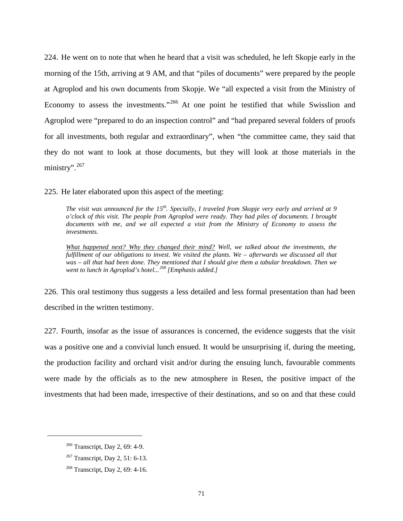224. He went on to note that when he heard that a visit was scheduled, he left Skopje early in the morning of the 15th, arriving at 9 AM, and that "piles of documents" were prepared by the people at Agroplod and his own documents from Skopje. We "all expected a visit from the Ministry of Economy to assess the investments."<sup>[266](#page-73-0)</sup> At one point he testified that while Swisslion and Agroplod were "prepared to do an inspection control" and "had prepared several folders of proofs for all investments, both regular and extraordinary", when "the committee came, they said that they do not want to look at those documents, but they will look at those materials in the ministry".<sup>[267](#page-73-1)</sup>

225. He later elaborated upon this aspect of the meeting:

*The visit was announced for the 15th. Specially, I traveled from Skopje very early and arrived at 9 o'clock of this visit. The people from Agroplod were ready. They had piles of documents. I brought documents with me, and we all expected a visit from the Ministry of Economy to assess the investments.*

*What happened next? Why they changed their mind? Well, we talked about the investments, the fulfillment of our obligations to invest. We visited the plants. We – afterwards we discussed all that was – all that had been done. They mentioned that I should give them a tabular breakdown. Then we went to lunch in Agroplod's hotel...[268](#page-73-2) [Emphasis added.]*

226. This oral testimony thus suggests a less detailed and less formal presentation than had been described in the written testimony.

227. Fourth, insofar as the issue of assurances is concerned, the evidence suggests that the visit was a positive one and a convivial lunch ensued. It would be unsurprising if, during the meeting, the production facility and orchard visit and/or during the ensuing lunch, favourable comments were made by the officials as to the new atmosphere in Resen, the positive impact of the investments that had been made, irrespective of their destinations, and so on and that these could

<span id="page-73-0"></span><sup>266</sup> Transcript, Day 2, 69: 4-9.

<span id="page-73-1"></span><sup>267</sup> Transcript, Day 2, 51: 6-13.

<span id="page-73-2"></span><sup>268</sup> Transcript, Day 2, 69: 4-16.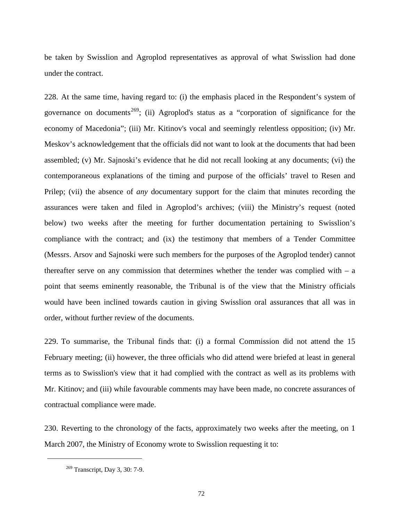be taken by Swisslion and Agroplod representatives as approval of what Swisslion had done under the contract.

228. At the same time, having regard to: (i) the emphasis placed in the Respondent's system of governance on documents<sup>[269](#page-74-0)</sup>; (ii) Agroplod's status as a "corporation of significance for the economy of Macedonia"; (iii) Mr. Kitinov's vocal and seemingly relentless opposition; (iv) Mr. Meskov's acknowledgement that the officials did not want to look at the documents that had been assembled; (v) Mr. Sajnoski's evidence that he did not recall looking at any documents; (vi) the contemporaneous explanations of the timing and purpose of the officials' travel to Resen and Prilep; (vii) the absence of *any* documentary support for the claim that minutes recording the assurances were taken and filed in Agroplod's archives; (viii) the Ministry's request (noted below) two weeks after the meeting for further documentation pertaining to Swisslion's compliance with the contract; and (ix) the testimony that members of a Tender Committee (Messrs. Arsov and Sajnoski were such members for the purposes of the Agroplod tender) cannot thereafter serve on any commission that determines whether the tender was complied with  $-$  a point that seems eminently reasonable, the Tribunal is of the view that the Ministry officials would have been inclined towards caution in giving Swisslion oral assurances that all was in order, without further review of the documents.

229. To summarise, the Tribunal finds that: (i) a formal Commission did not attend the 15 February meeting; (ii) however, the three officials who did attend were briefed at least in general terms as to Swisslion's view that it had complied with the contract as well as its problems with Mr. Kitinov; and (iii) while favourable comments may have been made, no concrete assurances of contractual compliance were made.

<span id="page-74-0"></span>230. Reverting to the chronology of the facts, approximately two weeks after the meeting, on 1 March 2007, the Ministry of Economy wrote to Swisslion requesting it to:

<sup>269</sup> Transcript, Day 3, 30: 7-9.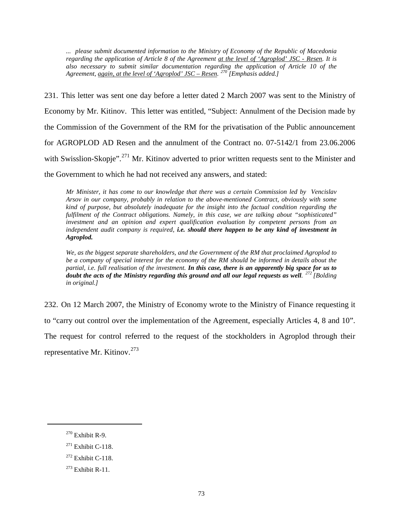*... please submit documented information to the Ministry of Economy of the Republic of Macedonia regarding the application of Article 8 of the Agreement at the level of 'Agroplod' JSC - Resen. It is also necessary to submit similar documentation regarding the application of Article 10 of the Agreement, again, at the level of 'Agroplod' JSC – Resen. [270](#page-75-0) [Emphasis added.]*

231. This letter was sent one day before a letter dated 2 March 2007 was sent to the Ministry of Economy by Mr. Kitinov. This letter was entitled, "Subject: Annulment of the Decision made by the Commission of the Government of the RM for the privatisation of the Public announcement for AGROPLOD AD Resen and the annulment of the Contract no. 07-5142/1 from 23.06.2006 with Swisslion-Skopje".<sup>[271](#page-75-1)</sup> Mr. Kitinov adverted to prior written requests sent to the Minister and the Government to which he had not received any answers, and stated:

*Mr Minister, it has come to our knowledge that there was a certain Commission led by Vencislav Arsov in our company, probably in relation to the above-mentioned Contract, obviously with some kind of purpose, but absolutely inadequate for the insight into the factual condition regarding the fulfilment of the Contract obligations. Namely, in this case, we are talking about "sophisticated" investment and an opinion and expert qualification evaluation by competent persons from an independent audit company is required, i.e. should there happen to be any kind of investment in Agroplod.* 

*We, as the biggest separate shareholders, and the Government of the RM that proclaimed Agroplod to be a company of special interest for the economy of the RM should be informed in details about the partial, i.e. full realisation of the investment. In this case, there is an apparently big space for us to doubt the acts of the Ministry regarding this ground and all our legal requests as well. [272](#page-75-2) [Bolding in original.]*

232. On 12 March 2007, the Ministry of Economy wrote to the Ministry of Finance requesting it to "carry out control over the implementation of the Agreement, especially Articles 4, 8 and 10". The request for control referred to the request of the stockholders in Agroplod through their representative Mr. Kitinov.<sup>[273](#page-75-3)</sup>

<span id="page-75-0"></span><sup>270</sup> Exhibit R-9.

<span id="page-75-1"></span> $271$  Exhibit C-118.

<span id="page-75-2"></span> $272$  Exhibit C-118.

<span id="page-75-3"></span> $273$  Exhibit R-11.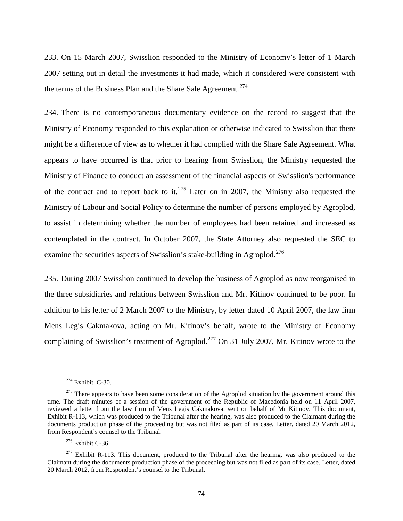233. On 15 March 2007, Swisslion responded to the Ministry of Economy's letter of 1 March 2007 setting out in detail the investments it had made, which it considered were consistent with the terms of the Business Plan and the Share Sale Agreement.<sup>[274](#page-76-0)</sup>

234. There is no contemporaneous documentary evidence on the record to suggest that the Ministry of Economy responded to this explanation or otherwise indicated to Swisslion that there might be a difference of view as to whether it had complied with the Share Sale Agreement. What appears to have occurred is that prior to hearing from Swisslion, the Ministry requested the Ministry of Finance to conduct an assessment of the financial aspects of Swisslion's performance of the contract and to report back to it.<sup>[275](#page-76-1)</sup> Later on in 2007, the Ministry also requested the Ministry of Labour and Social Policy to determine the number of persons employed by Agroplod, to assist in determining whether the number of employees had been retained and increased as contemplated in the contract. In October 2007, the State Attorney also requested the SEC to examine the securities aspects of Swisslion's stake-building in Agroplod.<sup>[276](#page-76-2)</sup>

235. During 2007 Swisslion continued to develop the business of Agroplod as now reorganised in the three subsidiaries and relations between Swisslion and Mr. Kitinov continued to be poor. In addition to his letter of 2 March 2007 to the Ministry, by letter dated 10 April 2007, the law firm Mens Legis Cakmakova, acting on Mr. Kitinov's behalf, wrote to the Ministry of Economy complaining of Swisslion's treatment of Agroplod.<sup>[277](#page-76-3)</sup> On 31 July 2007, Mr. Kitinov wrote to the

 $274$  Exhibit C-30.

<span id="page-76-1"></span><span id="page-76-0"></span> $275$  There appears to have been some consideration of the Agroplod situation by the government around this time. The draft minutes of a session of the government of the Republic of Macedonia held on 11 April 2007, reviewed a letter from the law firm of Mens Legis Cakmakova, sent on behalf of Mr Kitinov. This document, Exhibit R-113, which was produced to the Tribunal after the hearing, was also produced to the Claimant during the documents production phase of the proceeding but was not filed as part of its case. Letter, dated 20 March 2012, from Respondent's counsel to the Tribunal.

<sup>276</sup> Exhibit C-36.

<span id="page-76-3"></span><span id="page-76-2"></span> $277$  Exhibit R-113. This document, produced to the Tribunal after the hearing, was also produced to the Claimant during the documents production phase of the proceeding but was not filed as part of its case. Letter, dated 20 March 2012, from Respondent's counsel to the Tribunal.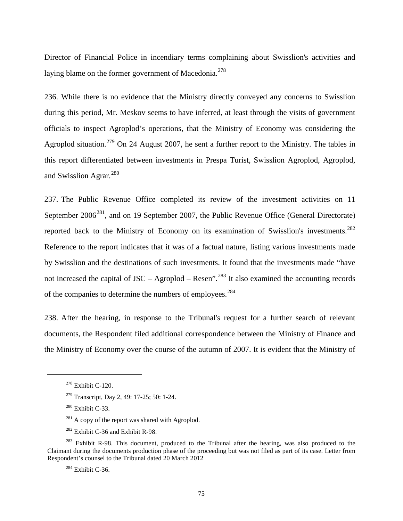Director of Financial Police in incendiary terms complaining about Swisslion's activities and laying blame on the former government of Macedonia.<sup>[278](#page-77-0)</sup>

236. While there is no evidence that the Ministry directly conveyed any concerns to Swisslion during this period, Mr. Meskov seems to have inferred, at least through the visits of government officials to inspect Agroplod's operations, that the Ministry of Economy was considering the Agroplod situation.<sup>[279](#page-77-1)</sup> On 24 August 2007, he sent a further report to the Ministry. The tables in this report differentiated between investments in Prespa Turist, Swisslion Agroplod, Agroplod, and Swisslion Agrar.<sup>[280](#page-77-2)</sup>

237. The Public Revenue Office completed its review of the investment activities on 11 September 2006<sup>[281](#page-77-3)</sup>, and on 19 September 2007, the Public Revenue Office (General Directorate) reported back to the Ministry of Economy on its examination of Swisslion's investments.<sup>[282](#page-77-4)</sup> Reference to the report indicates that it was of a factual nature, listing various investments made by Swisslion and the destinations of such investments. It found that the investments made "have not increased the capital of  $JSC - Agroplod - Resen$ <sup>[283](#page-77-5)</sup> It also examined the accounting records of the companies to determine the numbers of employees.<sup>[284](#page-77-6)</sup>

238. After the hearing, in response to the Tribunal's request for a further search of relevant documents, the Respondent filed additional correspondence between the Ministry of Finance and the Ministry of Economy over the course of the autumn of 2007. It is evident that the Ministry of

<span id="page-77-0"></span> $278$  Exhibit C-120.

<sup>279</sup> Transcript, Day 2, 49: 17-25; 50: 1-24.

<sup>&</sup>lt;sup>280</sup> Exhibit C-33.

 $281$  A copy of the report was shared with Agroplod.

<sup>&</sup>lt;sup>282</sup> Exhibit C-36 and Exhibit R-98.

<span id="page-77-6"></span><span id="page-77-5"></span><span id="page-77-4"></span><span id="page-77-3"></span><span id="page-77-2"></span><span id="page-77-1"></span><sup>&</sup>lt;sup>283</sup> Exhibit R-98. This document, produced to the Tribunal after the hearing, was also produced to the Claimant during the documents production phase of the proceeding but was not filed as part of its case. Letter from Respondent's counsel to the Tribunal dated 20 March 2012

<sup>284</sup> Exhibit C-36.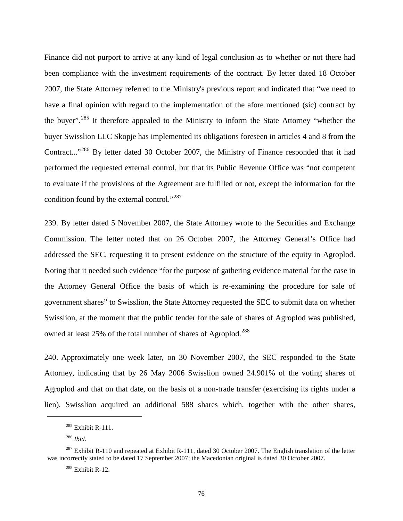Finance did not purport to arrive at any kind of legal conclusion as to whether or not there had been compliance with the investment requirements of the contract. By letter dated 18 October 2007, the State Attorney referred to the Ministry's previous report and indicated that "we need to have a final opinion with regard to the implementation of the afore mentioned (sic) contract by the buyer".<sup>[285](#page-78-0)</sup> It therefore appealed to the Ministry to inform the State Attorney "whether the buyer Swisslion LLC Skopje has implemented its obligations foreseen in articles 4 and 8 from the Contract..."[286](#page-78-1) By letter dated 30 October 2007, the Ministry of Finance responded that it had performed the requested external control, but that its Public Revenue Office was "not competent to evaluate if the provisions of the Agreement are fulfilled or not, except the information for the condition found by the external control."<sup>[287](#page-78-2)</sup>

239. By letter dated 5 November 2007, the State Attorney wrote to the Securities and Exchange Commission. The letter noted that on 26 October 2007, the Attorney General's Office had addressed the SEC, requesting it to present evidence on the structure of the equity in Agroplod. Noting that it needed such evidence "for the purpose of gathering evidence material for the case in the Attorney General Office the basis of which is re-examining the procedure for sale of government shares" to Swisslion, the State Attorney requested the SEC to submit data on whether Swisslion, at the moment that the public tender for the sale of shares of Agroplod was published, owned at least 25% of the total number of shares of Agroplod.<sup>[288](#page-78-3)</sup>

240. Approximately one week later, on 30 November 2007, the SEC responded to the State Attorney, indicating that by 26 May 2006 Swisslion owned 24.901% of the voting shares of Agroplod and that on that date, on the basis of a non-trade transfer (exercising its rights under a lien), Swisslion acquired an additional 588 shares which, together with the other shares,

 $285$  Exhibit R-111.

<sup>286</sup> *Ibid*.

<span id="page-78-3"></span><span id="page-78-2"></span><span id="page-78-1"></span><span id="page-78-0"></span><sup>&</sup>lt;sup>287</sup> Exhibit R-110 and repeated at Exhibit R-111, dated 30 October 2007. The English translation of the letter was incorrectly stated to be dated 17 September 2007; the Macedonian original is dated 30 October 2007.

<sup>288</sup> Exhibit R-12.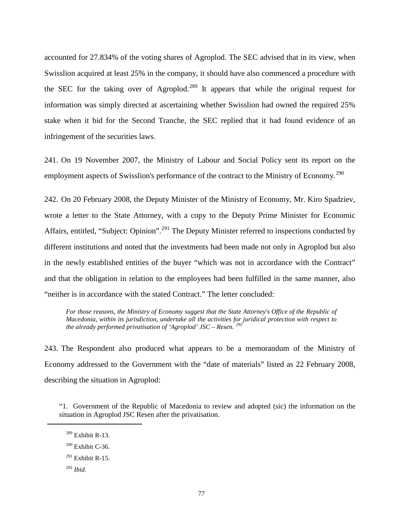accounted for 27.834% of the voting shares of Agroplod. The SEC advised that in its view, when Swisslion acquired at least 25% in the company, it should have also commenced a procedure with the SEC for the taking over of Agroplod.<sup>[289](#page-79-0)</sup> It appears that while the original request for information was simply directed at ascertaining whether Swisslion had owned the required 25% stake when it bid for the Second Tranche, the SEC replied that it had found evidence of an infringement of the securities laws.

241. On 19 November 2007, the Ministry of Labour and Social Policy sent its report on the employment aspects of Swisslion's performance of the contract to the Ministry of Economy.<sup>[290](#page-79-1)</sup>

242. On 20 February 2008, the Deputy Minister of the Ministry of Economy, Mr. Kiro Spadziev, wrote a letter to the State Attorney, with a copy to the Deputy Prime Minister for Economic Affairs, entitled, "Subject: Opinion".<sup>[291](#page-79-2)</sup> The Deputy Minister referred to inspections conducted by different institutions and noted that the investments had been made not only in Agroplod but also in the newly established entities of the buyer "which was not in accordance with the Contract" and that the obligation in relation to the employees had been fulfilled in the same manner, also "neither is in accordance with the stated Contract." The letter concluded:

For those reasons, the Ministry of Economy suggest that the State Attorney's Office of the Republic of *Macedonia, within its jurisdiction, undertake all the activities for juridical protection with respect to the already performed privatisation of 'Agroplod' JSC – Resen. [292](#page-79-3)*

243. The Respondent also produced what appears to be a memorandum of the Ministry of Economy addressed to the Government with the "date of materials" listed as 22 February 2008, describing the situation in Agroplod:

<span id="page-79-0"></span>"1. Government of the Republic of Macedonia to review and adopted (sic) the information on the situation in Agroplod JSC Resen after the privatisation.

- $289$  Exhibit R-13.
- <span id="page-79-2"></span><span id="page-79-1"></span> $290$  Exhibit C-36.
- $^{291}$  Exhibit R-15.
- <span id="page-79-3"></span><sup>292</sup> *Ibid.*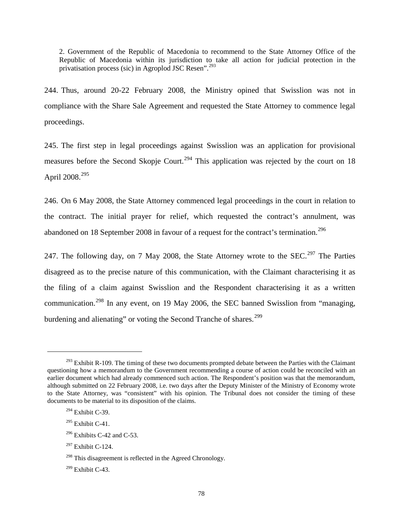2. Government of the Republic of Macedonia to recommend to the State Attorney Office of the Republic of Macedonia within its jurisdiction to take all action for judicial protection in the privatisation process (sic) in Agroplod JSC Resen".<sup>[293](#page-80-0)</sup>

244. Thus, around 20-22 February 2008, the Ministry opined that Swisslion was not in compliance with the Share Sale Agreement and requested the State Attorney to commence legal proceedings.

245. The first step in legal proceedings against Swisslion was an application for provisional measures before the Second Skopje Court.<sup>[294](#page-80-1)</sup> This application was rejected by the court on 18 April  $2008.<sup>295</sup>$  $2008.<sup>295</sup>$  $2008.<sup>295</sup>$ 

246. On 6 May 2008, the State Attorney commenced legal proceedings in the court in relation to the contract. The initial prayer for relief, which requested the contract's annulment, was abandoned on 18 September 2008 in favour of a request for the contract's termination.<sup>[296](#page-80-3)</sup>

247. The following day, on 7 May 2008, the State Attorney wrote to the SEC.<sup>[297](#page-80-4)</sup> The Parties disagreed as to the precise nature of this communication, with the Claimant characterising it as the filing of a claim against Swisslion and the Respondent characterising it as a written communication.<sup>[298](#page-80-5)</sup> In any event, on 19 May 2006, the SEC banned Swisslion from "managing, burdening and alienating" or voting the Second Tranche of shares.<sup>[299](#page-80-6)</sup>

<span id="page-80-1"></span> $294$  Exhibit C-39.

 $\overline{a}$ 

<span id="page-80-2"></span> $295$  Exhibit C-41.

<span id="page-80-0"></span> $^{293}$  Exhibit R-109. The timing of these two documents prompted debate between the Parties with the Claimant questioning how a memorandum to the Government recommending a course of action could be reconciled with an earlier document which had already commenced such action. The Respondent's position was that the memorandum, although submitted on 22 February 2008, i.e. two days after the Deputy Minister of the Ministry of Economy wrote to the State Attorney, was "consistent" with his opinion. The Tribunal does not consider the timing of these documents to be material to its disposition of the claims.

<span id="page-80-3"></span> $296$  Exhibits C-42 and C-53.

<span id="page-80-4"></span><sup>297</sup> Exhibit C-124.

<span id="page-80-5"></span><sup>&</sup>lt;sup>298</sup> This disagreement is reflected in the Agreed Chronology.

<span id="page-80-6"></span> $299$  Exhibit C-43.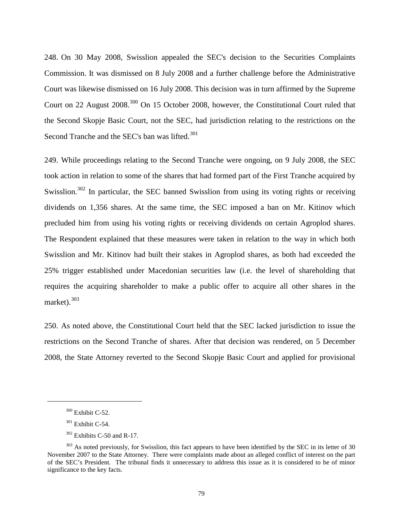248. On 30 May 2008, Swisslion appealed the SEC's decision to the Securities Complaints Commission. It was dismissed on 8 July 2008 and a further challenge before the Administrative Court was likewise dismissed on 16 July 2008. This decision was in turn affirmed by the Supreme Court on 22 August 2008.<sup>[300](#page-81-0)</sup> On 15 October 2008, however, the Constitutional Court ruled that the Second Skopje Basic Court, not the SEC, had jurisdiction relating to the restrictions on the Second Tranche and the SEC's ban was lifted.<sup>[301](#page-81-1)</sup>

249. While proceedings relating to the Second Tranche were ongoing, on 9 July 2008, the SEC took action in relation to some of the shares that had formed part of the First Tranche acquired by Swisslion.<sup>[302](#page-81-2)</sup> In particular, the SEC banned Swisslion from using its voting rights or receiving dividends on 1,356 shares. At the same time, the SEC imposed a ban on Mr. Kitinov which precluded him from using his voting rights or receiving dividends on certain Agroplod shares. The Respondent explained that these measures were taken in relation to the way in which both Swisslion and Mr. Kitinov had built their stakes in Agroplod shares, as both had exceeded the 25% trigger established under Macedonian securities law (i.e. the level of shareholding that requires the acquiring shareholder to make a public offer to acquire all other shares in the market). $303$ 

250. As noted above, the Constitutional Court held that the SEC lacked jurisdiction to issue the restrictions on the Second Tranche of shares. After that decision was rendered, on 5 December 2008, the State Attorney reverted to the Second Skopje Basic Court and applied for provisional

<sup>300</sup> Exhibit C-52.

 $301$  Exhibit C-54.

 $302$  Exhibits C-50 and R-17.

<span id="page-81-3"></span><span id="page-81-2"></span><span id="page-81-1"></span><span id="page-81-0"></span><sup>&</sup>lt;sup>303</sup> As noted previously, for Swisslion, this fact appears to have been identified by the SEC in its letter of 30 November 2007 to the State Attorney. There were complaints made about an alleged conflict of interest on the part of the SEC's President. The tribunal finds it unnecessary to address this issue as it is considered to be of minor significance to the key facts.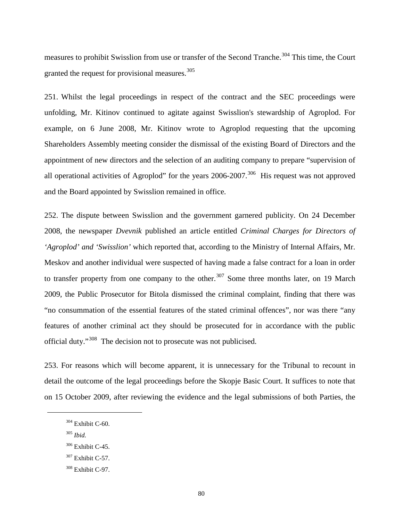measures to prohibit Swisslion from use or transfer of the Second Tranche.<sup>[304](#page-82-0)</sup> This time, the Court granted the request for provisional measures.<sup>[305](#page-82-1)</sup>

251. Whilst the legal proceedings in respect of the contract and the SEC proceedings were unfolding, Mr. Kitinov continued to agitate against Swisslion's stewardship of Agroplod. For example, on 6 June 2008, Mr. Kitinov wrote to Agroplod requesting that the upcoming Shareholders Assembly meeting consider the dismissal of the existing Board of Directors and the appointment of new directors and the selection of an auditing company to prepare "supervision of all operational activities of Agroplod" for the years  $2006-2007$ .<sup>[306](#page-82-2)</sup> His request was not approved and the Board appointed by Swisslion remained in office.

252. The dispute between Swisslion and the government garnered publicity. On 24 December 2008, the newspaper *Dvevnik* published an article entitled *Criminal Charges for Directors of 'Agroplod' and 'Swisslion'* which reported that, according to the Ministry of Internal Affairs, Mr. Meskov and another individual were suspected of having made a false contract for a loan in order to transfer property from one company to the other.<sup>[307](#page-82-3)</sup> Some three months later, on 19 March 2009, the Public Prosecutor for Bitola dismissed the criminal complaint, finding that there was "no consummation of the essential features of the stated criminal offences", nor was there "any features of another criminal act they should be prosecuted for in accordance with the public official duty."<sup>[308](#page-82-4)</sup> The decision not to prosecute was not publicised.

253. For reasons which will become apparent, it is unnecessary for the Tribunal to recount in detail the outcome of the legal proceedings before the Skopje Basic Court. It suffices to note that on 15 October 2009, after reviewing the evidence and the legal submissions of both Parties, the

<sup>305</sup> *Ibid.*

<span id="page-82-2"></span><span id="page-82-1"></span><span id="page-82-0"></span> $\overline{a}$ 

<span id="page-82-3"></span> $307$  Exhibit C-57.

 $304$  Exhibit C-60.

 $306$  Exhibit C-45.

<span id="page-82-4"></span><sup>308</sup> Exhibit C-97.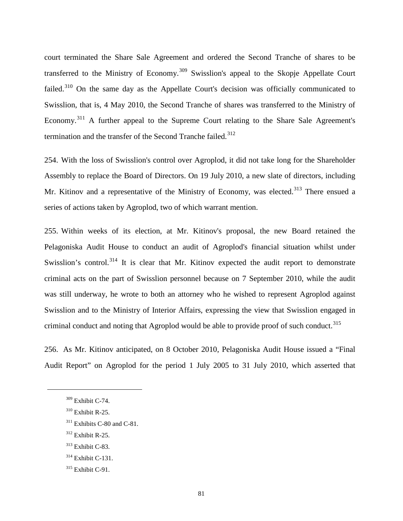court terminated the Share Sale Agreement and ordered the Second Tranche of shares to be transferred to the Ministry of Economy.<sup>[309](#page-83-0)</sup> Swisslion's appeal to the Skopje Appellate Court failed.<sup>[310](#page-83-1)</sup> On the same day as the Appellate Court's decision was officially communicated to Swisslion, that is, 4 May 2010, the Second Tranche of shares was transferred to the Ministry of Economy.<sup>[311](#page-83-2)</sup> A further appeal to the Supreme Court relating to the Share Sale Agreement's termination and the transfer of the Second Tranche failed.<sup>[312](#page-83-3)</sup>

254. With the loss of Swisslion's control over Agroplod, it did not take long for the Shareholder Assembly to replace the Board of Directors. On 19 July 2010, a new slate of directors, including Mr. Kitinov and a representative of the Ministry of Economy, was elected.<sup>[313](#page-83-4)</sup> There ensued a series of actions taken by Agroplod, two of which warrant mention.

255. Within weeks of its election, at Mr. Kitinov's proposal, the new Board retained the Pelagoniska Audit House to conduct an audit of Agroplod's financial situation whilst under Swisslion's control.<sup>[314](#page-83-5)</sup> It is clear that Mr. Kitinov expected the audit report to demonstrate criminal acts on the part of Swisslion personnel because on 7 September 2010, while the audit was still underway, he wrote to both an attorney who he wished to represent Agroplod against Swisslion and to the Ministry of Interior Affairs, expressing the view that Swisslion engaged in criminal conduct and noting that Agroplod would be able to provide proof of such conduct.<sup>[315](#page-83-6)</sup>

256. As Mr. Kitinov anticipated, on 8 October 2010, Pelagoniska Audit House issued a "Final Audit Report" on Agroplod for the period 1 July 2005 to 31 July 2010, which asserted that

<span id="page-83-2"></span><span id="page-83-1"></span><span id="page-83-0"></span> $\overline{a}$ 

<span id="page-83-5"></span> $314$  Exhibit C-131.

<sup>309</sup> Exhibit C-74.

 $310$  Exhibit R-25.

<sup>&</sup>lt;sup>311</sup> Exhibits C-80 and C-81.

<span id="page-83-3"></span><sup>312</sup> Exhibit R-25.

<span id="page-83-4"></span> $313$  Exhibit C-83.

<span id="page-83-6"></span><sup>315</sup> Exhibit C-91.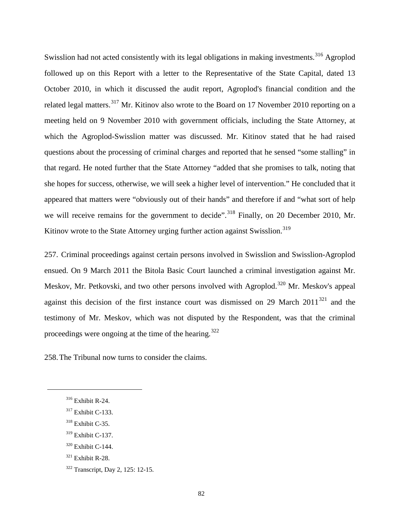Swisslion had not acted consistently with its legal obligations in making investments.<sup>[316](#page-84-0)</sup> Agroplod followed up on this Report with a letter to the Representative of the State Capital, dated 13 October 2010, in which it discussed the audit report, Agroplod's financial condition and the related legal matters.<sup>[317](#page-84-1)</sup> Mr. Kitinov also wrote to the Board on 17 November 2010 reporting on a meeting held on 9 November 2010 with government officials, including the State Attorney, at which the Agroplod-Swisslion matter was discussed. Mr. Kitinov stated that he had raised questions about the processing of criminal charges and reported that he sensed "some stalling" in that regard. He noted further that the State Attorney "added that she promises to talk, noting that she hopes for success, otherwise, we will seek a higher level of intervention." He concluded that it appeared that matters were "obviously out of their hands" and therefore if and "what sort of help we will receive remains for the government to decide".<sup>[318](#page-84-2)</sup> Finally, on 20 December 2010, Mr. Kitinov wrote to the State Attorney urging further action against Swisslion.<sup>[319](#page-84-3)</sup>

257. Criminal proceedings against certain persons involved in Swisslion and Swisslion-Agroplod ensued. On 9 March 2011 the Bitola Basic Court launched a criminal investigation against Mr. Meskov, Mr. Petkovski, and two other persons involved with Agroplod.<sup>[320](#page-84-4)</sup> Mr. Meskov's appeal against this decision of the first instance court was dismissed on 29 March  $2011^{321}$  $2011^{321}$  $2011^{321}$  and the testimony of Mr. Meskov, which was not disputed by the Respondent, was that the criminal proceedings were ongoing at the time of the hearing.<sup>[322](#page-84-6)</sup>

258.The Tribunal now turns to consider the claims.

<span id="page-84-2"></span><span id="page-84-1"></span><span id="page-84-0"></span> $\overline{a}$ 

<span id="page-84-3"></span><sup>319</sup> Exhibit C-137.

<sup>316</sup> Exhibit R-24.

<sup>317</sup> Exhibit C-133.

<sup>318</sup> Exhibit C-35.

<span id="page-84-4"></span><sup>320</sup> Exhibit C-144.

<span id="page-84-5"></span> $321$  Exhibit R-28.

<span id="page-84-6"></span><sup>322</sup> Transcript, Day 2, 125: 12-15.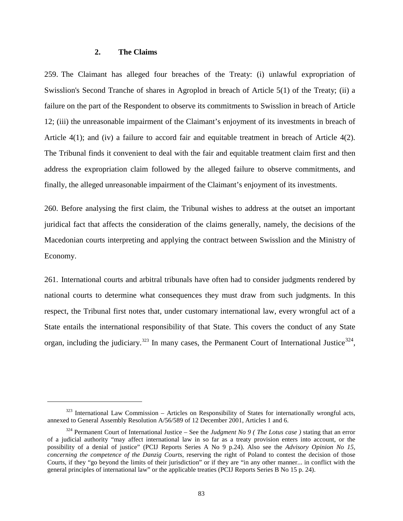#### **2. The Claims**

 $\overline{a}$ 

259. The Claimant has alleged four breaches of the Treaty: (i) unlawful expropriation of Swisslion's Second Tranche of shares in Agroplod in breach of Article 5(1) of the Treaty; (ii) a failure on the part of the Respondent to observe its commitments to Swisslion in breach of Article 12; (iii) the unreasonable impairment of the Claimant's enjoyment of its investments in breach of Article 4(1); and (iv) a failure to accord fair and equitable treatment in breach of Article 4(2). The Tribunal finds it convenient to deal with the fair and equitable treatment claim first and then address the expropriation claim followed by the alleged failure to observe commitments, and finally, the alleged unreasonable impairment of the Claimant's enjoyment of its investments.

260. Before analysing the first claim, the Tribunal wishes to address at the outset an important juridical fact that affects the consideration of the claims generally, namely, the decisions of the Macedonian courts interpreting and applying the contract between Swisslion and the Ministry of Economy.

261. International courts and arbitral tribunals have often had to consider judgments rendered by national courts to determine what consequences they must draw from such judgments. In this respect, the Tribunal first notes that, under customary international law, every wrongful act of a State entails the international responsibility of that State. This covers the conduct of any State organ, including the judiciary.<sup>[323](#page-85-0)</sup> In many cases, the Permanent Court of International Justice<sup>[324](#page-85-1)</sup>,

<span id="page-85-0"></span> $323$  International Law Commission – Articles on Responsibility of States for internationally wrongful acts, annexed to General Assembly Resolution A/56/589 of 12 December 2001, Articles 1 and 6.

<span id="page-85-1"></span><sup>324</sup> Permanent Court of International Justice – See the *Judgment No 9 ( The Lotus case )* stating that an error of a judicial authority "may affect international law in so far as a treaty provision enters into account, or the possibility of a denial of justice" (PCIJ Reports Series A No 9 p.24). Also see the *Advisory Opinion No 15, concerning the competence of the Danzig Courts*, reserving the right of Poland to contest the decision of those Courts, if they "go beyond the limits of their jurisdiction" or if they are "in any other manner... in conflict with the general principles of international law" or the applicable treaties (PCIJ Reports Series B No 15 p. 24).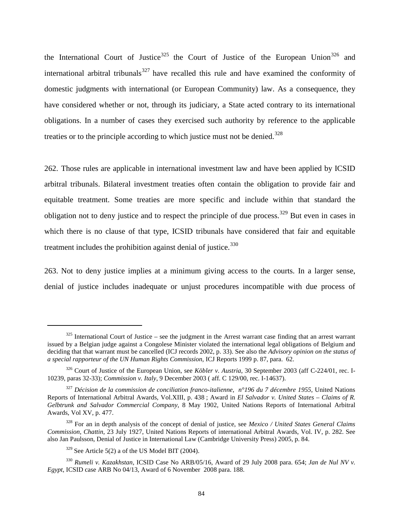the International Court of Justice<sup>[325](#page-86-0)</sup> the Court of Justice of the European Union<sup>[326](#page-86-1)</sup> and international arbitral tribunals $327$  have recalled this rule and have examined the conformity of domestic judgments with international (or European Community) law. As a consequence, they have considered whether or not, through its judiciary, a State acted contrary to its international obligations. In a number of cases they exercised such authority by reference to the applicable treaties or to the principle according to which justice must not be denied.<sup>[328](#page-86-3)</sup>

262. Those rules are applicable in international investment law and have been applied by ICSID arbitral tribunals. Bilateral investment treaties often contain the obligation to provide fair and equitable treatment. Some treaties are more specific and include within that standard the obligation not to deny justice and to respect the principle of due process.<sup>[329](#page-86-4)</sup> But even in cases in which there is no clause of that type, ICSID tribunals have considered that fair and equitable treatment includes the prohibition against denial of justice.<sup>[330](#page-86-5)</sup>

263. Not to deny justice implies at a minimum giving access to the courts. In a larger sense, denial of justice includes inadequate or unjust procedures incompatible with due process of

<span id="page-86-0"></span> $325$  International Court of Justice – see the judgment in the Arrest warrant case finding that an arrest warrant issued by a Belgian judge against a Congolese Minister violated the international legal obligations of Belgium and deciding that that warrant must be cancelled (ICJ records 2002, p. 33). See also the *Advisory opinion on the status of a special rapporteur of the UN Human Rights Commission*, ICJ Reports 1999 p. 87, para. 62.

<span id="page-86-1"></span><sup>&</sup>lt;sup>326</sup> Court of Justice of the European Union, see *Köbler v. Austria*, 30 September 2003 (aff C-224/01, rec. I-10239, paras 32-33); *Commission v. Italy*, 9 December 2003 ( aff. C 129/00, rec. I-14637).

<span id="page-86-2"></span><sup>327</sup> *Décision de la commission de conciliation franco-italienne, n°196 du 7 décembre 1955*, United Nations Reports of International Arbitral Awards, Vol.XIII, p. 438 ; Award in *El Salvador v. United States – Claims of R. Gelbtrunk and Salvador Commercial Company*, 8 May 1902, United Nations Reports of International Arbitral Awards, Vol XV, p. 477.

<span id="page-86-3"></span><sup>328</sup> For an in depth analysis of the concept of denial of justice, see *Mexico / United States General Claims Commission, Chattin*, 23 July 1927, United Nations Reports of international Arbitral Awards, Vol. IV, p. 282. See also Jan Paulsson, Denial of Justice in International Law (Cambridge University Press) 2005, p. 84.

 $329$  See Article 5(2) a of the US Model BIT (2004).

<span id="page-86-5"></span><span id="page-86-4"></span><sup>330</sup> *Rumeli v. Kazakhstan*, ICSID Case No ARB/05/16, Award of 29 July 2008 para. 654; *Jan de Nul NV v. Egypt*, ICSID case ARB No 04/13, Award of 6 November 2008 para. 188.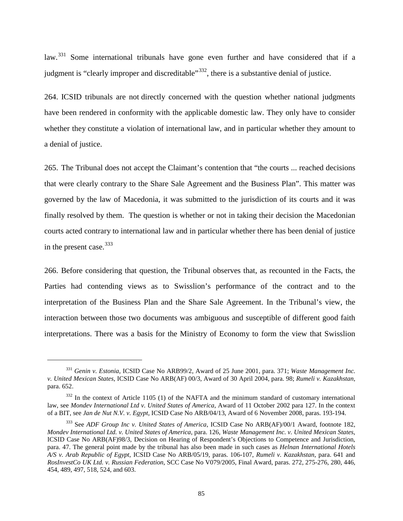law.<sup>[331](#page-87-0)</sup> Some international tribunals have gone even further and have considered that if a judgment is "clearly improper and discreditable"<sup>[332](#page-87-1)</sup>, there is a substantive denial of justice.

264. ICSID tribunals are not directly concerned with the question whether national judgments have been rendered in conformity with the applicable domestic law. They only have to consider whether they constitute a violation of international law, and in particular whether they amount to a denial of justice.

265. The Tribunal does not accept the Claimant's contention that "the courts ... reached decisions that were clearly contrary to the Share Sale Agreement and the Business Plan". This matter was governed by the law of Macedonia, it was submitted to the jurisdiction of its courts and it was finally resolved by them. The question is whether or not in taking their decision the Macedonian courts acted contrary to international law and in particular whether there has been denial of justice in the present case.<sup>[333](#page-87-2)</sup>

266. Before considering that question, the Tribunal observes that, as recounted in the Facts, the Parties had contending views as to Swisslion's performance of the contract and to the interpretation of the Business Plan and the Share Sale Agreement. In the Tribunal's view, the interaction between those two documents was ambiguous and susceptible of different good faith interpretations. There was a basis for the Ministry of Economy to form the view that Swisslion

<span id="page-87-0"></span><sup>331</sup> *Genin v. Estonia*, ICSID Case No ARB99/2, Award of 25 June 2001, para. 371; *Waste Management Inc. v. United Mexican States*, ICSID Case No ARB(AF) 00/3, Award of 30 April 2004, para. 98; *Rumeli v. Kazakhstan*, para. 652.

<span id="page-87-1"></span> $332$  In the context of Article 1105 (1) of the NAFTA and the minimum standard of customary international law, see *Mondev International Ltd v. United States of America*, Award of 11 October 2002 para 127. In the context of a BIT, see *Jan de Nut N.V. v. Egypt*, ICSID Case No ARB/04/13, Award of 6 November 2008, paras. 193-194.

<span id="page-87-2"></span><sup>333</sup> See *ADF Group Inc v. United States of America*, ICSID Case No ARB(AF)/00/1 Award, footnote 182, *Mondev International Ltd. v. United States of America*, para. 126, *Waste Management Inc. v. United Mexican States*, ICSID Case No ARB(AF)98/3, Decision on Hearing of Respondent's Objections to Competence and Jurisdiction, para. 47. The general point made by the tribunal has also been made in such cases as *Helnan International Hotels A/S v. Arab Republic of Egypt*, ICSID Case No ARB/05/19, paras. 106-107, *Rumeli v. Kazakhstan*, para. 641 and *RosInvestCo UK Ltd. v. Russian Federation*, SCC Case No V079/2005, Final Award, paras. 272, 275-276, 280, 446, 454, 489, 497, 518, 524, and 603.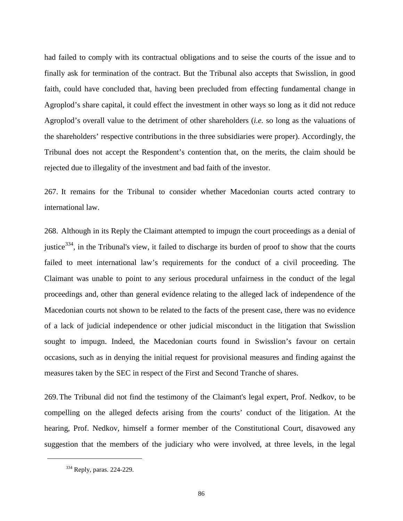had failed to comply with its contractual obligations and to seise the courts of the issue and to finally ask for termination of the contract. But the Tribunal also accepts that Swisslion, in good faith, could have concluded that, having been precluded from effecting fundamental change in Agroplod's share capital, it could effect the investment in other ways so long as it did not reduce Agroplod's overall value to the detriment of other shareholders (*i.e.* so long as the valuations of the shareholders' respective contributions in the three subsidiaries were proper). Accordingly, the Tribunal does not accept the Respondent's contention that, on the merits, the claim should be rejected due to illegality of the investment and bad faith of the investor.

267. It remains for the Tribunal to consider whether Macedonian courts acted contrary to international law.

268. Although in its Reply the Claimant attempted to impugn the court proceedings as a denial of justice<sup>[334](#page-88-0)</sup>, in the Tribunal's view, it failed to discharge its burden of proof to show that the courts failed to meet international law's requirements for the conduct of a civil proceeding. The Claimant was unable to point to any serious procedural unfairness in the conduct of the legal proceedings and, other than general evidence relating to the alleged lack of independence of the Macedonian courts not shown to be related to the facts of the present case, there was no evidence of a lack of judicial independence or other judicial misconduct in the litigation that Swisslion sought to impugn. Indeed, the Macedonian courts found in Swisslion's favour on certain occasions, such as in denying the initial request for provisional measures and finding against the measures taken by the SEC in respect of the First and Second Tranche of shares.

269.The Tribunal did not find the testimony of the Claimant's legal expert, Prof. Nedkov, to be compelling on the alleged defects arising from the courts' conduct of the litigation. At the hearing, Prof. Nedkov, himself a former member of the Constitutional Court, disavowed any suggestion that the members of the judiciary who were involved, at three levels, in the legal

<span id="page-88-0"></span><sup>&</sup>lt;sup>334</sup> Reply, paras. 224-229.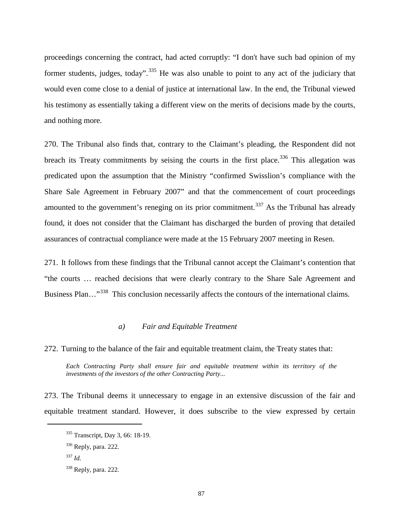proceedings concerning the contract, had acted corruptly: "I don't have such bad opinion of my former students, judges, today".<sup>[335](#page-89-0)</sup> He was also unable to point to any act of the judiciary that would even come close to a denial of justice at international law. In the end, the Tribunal viewed his testimony as essentially taking a different view on the merits of decisions made by the courts, and nothing more.

270. The Tribunal also finds that, contrary to the Claimant's pleading, the Respondent did not breach its Treaty commitments by seising the courts in the first place.<sup>[336](#page-89-1)</sup> This allegation was predicated upon the assumption that the Ministry "confirmed Swisslion's compliance with the Share Sale Agreement in February 2007" and that the commencement of court proceedings amounted to the government's reneging on its prior commitment.<sup>[337](#page-89-2)</sup> As the Tribunal has already found, it does not consider that the Claimant has discharged the burden of proving that detailed assurances of contractual compliance were made at the 15 February 2007 meeting in Resen.

271. It follows from these findings that the Tribunal cannot accept the Claimant's contention that "the courts … reached decisions that were clearly contrary to the Share Sale Agreement and Business Plan..."<sup>338</sup> This conclusion necessarily affects the contours of the international claims.

### *a) Fair and Equitable Treatment*

272. Turning to the balance of the fair and equitable treatment claim, the Treaty states that:

*Each Contracting Party shall ensure fair and equitable treatment within its territory of the investments of the investors of the other Contracting Party...*

<span id="page-89-0"></span>273. The Tribunal deems it unnecessary to engage in an extensive discussion of the fair and equitable treatment standard. However, it does subscribe to the view expressed by certain

<sup>335</sup> Transcript, Day 3, 66: 18-19.

<span id="page-89-1"></span><sup>336</sup> Reply, para. 222.

<span id="page-89-2"></span><sup>337</sup> *Id.*

<span id="page-89-3"></span><sup>338</sup> Reply, para. 222.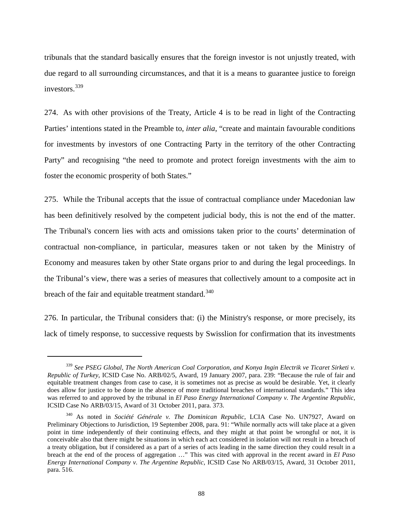tribunals that the standard basically ensures that the foreign investor is not unjustly treated, with due regard to all surrounding circumstances, and that it is a means to guarantee justice to foreign investors.<sup>[339](#page-90-0)</sup>

274. As with other provisions of the Treaty, Article 4 is to be read in light of the Contracting Parties' intentions stated in the Preamble to, *inter alia*, "create and maintain favourable conditions for investments by investors of one Contracting Party in the territory of the other Contracting Party" and recognising "the need to promote and protect foreign investments with the aim to foster the economic prosperity of both States."

275. While the Tribunal accepts that the issue of contractual compliance under Macedonian law has been definitively resolved by the competent judicial body, this is not the end of the matter. The Tribunal's concern lies with acts and omissions taken prior to the courts' determination of contractual non-compliance, in particular, measures taken or not taken by the Ministry of Economy and measures taken by other State organs prior to and during the legal proceedings. In the Tribunal's view, there was a series of measures that collectively amount to a composite act in breach of the fair and equitable treatment standard.<sup>[340](#page-90-1)</sup>

276. In particular, the Tribunal considers that: (i) the Ministry's response, or more precisely, its lack of timely response, to successive requests by Swisslion for confirmation that its investments

<span id="page-90-0"></span><sup>339</sup> *See PSEG Global, The North American Coal Corporation, and Konya Ingin Electrik ve Ticaret Sirketi v. Republic of Turkey*, ICSID Case No. ARB/02/5, Award, 19 January 2007, para. 239: "Because the rule of fair and equitable treatment changes from case to case, it is sometimes not as precise as would be desirable. Yet, it clearly does allow for justice to be done in the absence of more traditional breaches of international standards." This idea was referred to and approved by the tribunal in *El Paso Energy International Company v. The Argentine Republic*, ICSID Case No ARB/03/15, Award of 31 October 2011, para. 373.

<span id="page-90-1"></span><sup>340</sup> As noted in *Société Générale v. The Dominican Republic*, LCIA Case No. UN7927, Award on Preliminary Objections to Jurisdiction, 19 September 2008, para. 91: "While normally acts will take place at a given point in time independently of their continuing effects, and they might at that point be wrongful or not, it is conceivable also that there might be situations in which each act considered in isolation will not result in a breach of a treaty obligation, but if considered as a part of a series of acts leading in the same direction they could result in a breach at the end of the process of aggregation …" This was cited with approval in the recent award in *El Paso Energy International Company v. The Argentine Republic*, ICSID Case No ARB/03/15, Award, 31 October 2011, para. 516.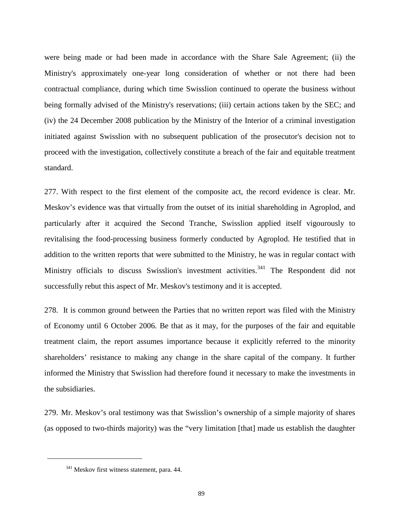were being made or had been made in accordance with the Share Sale Agreement; (ii) the Ministry's approximately one-year long consideration of whether or not there had been contractual compliance, during which time Swisslion continued to operate the business without being formally advised of the Ministry's reservations; (iii) certain actions taken by the SEC; and (iv) the 24 December 2008 publication by the Ministry of the Interior of a criminal investigation initiated against Swisslion with no subsequent publication of the prosecutor's decision not to proceed with the investigation, collectively constitute a breach of the fair and equitable treatment standard.

277. With respect to the first element of the composite act, the record evidence is clear. Mr. Meskov's evidence was that virtually from the outset of its initial shareholding in Agroplod, and particularly after it acquired the Second Tranche, Swisslion applied itself vigourously to revitalising the food-processing business formerly conducted by Agroplod. He testified that in addition to the written reports that were submitted to the Ministry, he was in regular contact with Ministry officials to discuss Swisslion's investment activities.<sup>[341](#page-91-0)</sup> The Respondent did not successfully rebut this aspect of Mr. Meskov's testimony and it is accepted.

278. It is common ground between the Parties that no written report was filed with the Ministry of Economy until 6 October 2006. Be that as it may, for the purposes of the fair and equitable treatment claim, the report assumes importance because it explicitly referred to the minority shareholders' resistance to making any change in the share capital of the company. It further informed the Ministry that Swisslion had therefore found it necessary to make the investments in the subsidiaries.

279. Mr. Meskov's oral testimony was that Swisslion's ownership of a simple majority of shares (as opposed to two-thirds majority) was the "very limitation [that] made us establish the daughter

<span id="page-91-0"></span><sup>&</sup>lt;sup>341</sup> Meskov first witness statement, para. 44.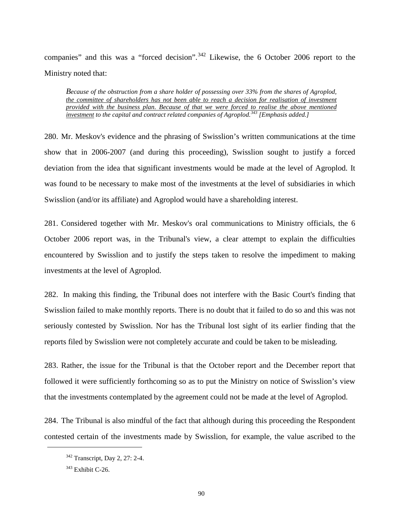companies" and this was a "forced decision".<sup>[342](#page-92-0)</sup> Likewise, the 6 October 2006 report to the Ministry noted that:

*Because of the obstruction from a share holder of possessing over 33% from the shares of Agroplod, the committee of shareholders has not been able to reach a decision for realisation of investment provided with the business plan. Because of that we were forced to realise the above mentioned investment to the capital and contract related companies of Agroplod. [343](#page-92-1) [Emphasis added.]* 

280. Mr. Meskov's evidence and the phrasing of Swisslion's written communications at the time show that in 2006-2007 (and during this proceeding), Swisslion sought to justify a forced deviation from the idea that significant investments would be made at the level of Agroplod. It was found to be necessary to make most of the investments at the level of subsidiaries in which Swisslion (and/or its affiliate) and Agroplod would have a shareholding interest.

281. Considered together with Mr. Meskov's oral communications to Ministry officials, the 6 October 2006 report was, in the Tribunal's view, a clear attempt to explain the difficulties encountered by Swisslion and to justify the steps taken to resolve the impediment to making investments at the level of Agroplod.

282. In making this finding, the Tribunal does not interfere with the Basic Court's finding that Swisslion failed to make monthly reports. There is no doubt that it failed to do so and this was not seriously contested by Swisslion. Nor has the Tribunal lost sight of its earlier finding that the reports filed by Swisslion were not completely accurate and could be taken to be misleading.

283. Rather, the issue for the Tribunal is that the October report and the December report that followed it were sufficiently forthcoming so as to put the Ministry on notice of Swisslion's view that the investments contemplated by the agreement could not be made at the level of Agroplod.

<span id="page-92-0"></span>284. The Tribunal is also mindful of the fact that although during this proceeding the Respondent contested certain of the investments made by Swisslion, for example, the value ascribed to the

<sup>342</sup> Transcript, Day 2, 27: 2-4.

<span id="page-92-1"></span><sup>&</sup>lt;sup>343</sup> Exhibit C-26.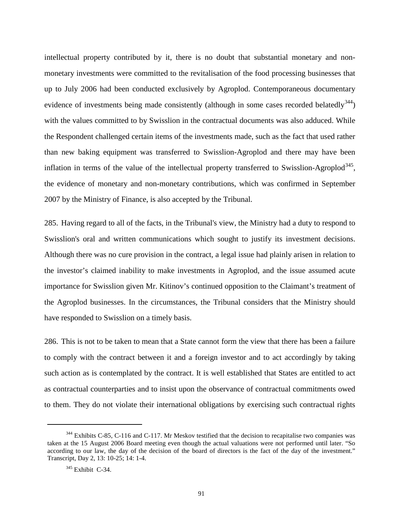intellectual property contributed by it, there is no doubt that substantial monetary and nonmonetary investments were committed to the revitalisation of the food processing businesses that up to July 2006 had been conducted exclusively by Agroplod. Contemporaneous documentary evidence of investments being made consistently (although in some cases recorded belatedly<sup>[344](#page-93-0)</sup>) with the values committed to by Swisslion in the contractual documents was also adduced. While the Respondent challenged certain items of the investments made, such as the fact that used rather than new baking equipment was transferred to Swisslion-Agroplod and there may have been inflation in terms of the value of the intellectual property transferred to Swisslion-Agroplod<sup>[345](#page-93-1)</sup>, the evidence of monetary and non-monetary contributions, which was confirmed in September 2007 by the Ministry of Finance, is also accepted by the Tribunal.

285. Having regard to all of the facts, in the Tribunal's view, the Ministry had a duty to respond to Swisslion's oral and written communications which sought to justify its investment decisions. Although there was no cure provision in the contract, a legal issue had plainly arisen in relation to the investor's claimed inability to make investments in Agroplod, and the issue assumed acute importance for Swisslion given Mr. Kitinov's continued opposition to the Claimant's treatment of the Agroplod businesses. In the circumstances, the Tribunal considers that the Ministry should have responded to Swisslion on a timely basis.

286. This is not to be taken to mean that a State cannot form the view that there has been a failure to comply with the contract between it and a foreign investor and to act accordingly by taking such action as is contemplated by the contract. It is well established that States are entitled to act as contractual counterparties and to insist upon the observance of contractual commitments owed to them. They do not violate their international obligations by exercising such contractual rights

<span id="page-93-1"></span><span id="page-93-0"></span><sup>&</sup>lt;sup>344</sup> Exhibits C-85, C-116 and C-117. Mr Meskov testified that the decision to recapitalise two companies was taken at the 15 August 2006 Board meeting even though the actual valuations were not performed until later. "So according to our law, the day of the decision of the board of directors is the fact of the day of the investment." Transcript, Day 2, 13: 10-25; 14: 1-4.

<sup>345</sup> Exhibit C-34.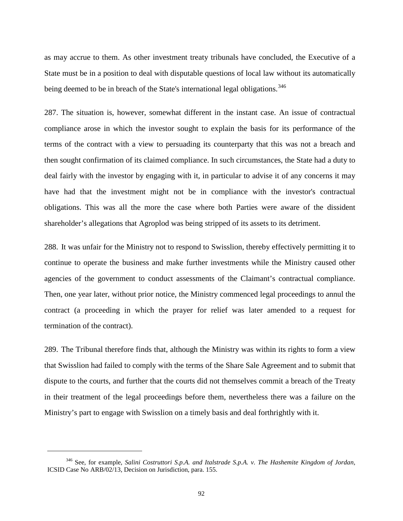as may accrue to them. As other investment treaty tribunals have concluded, the Executive of a State must be in a position to deal with disputable questions of local law without its automatically being deemed to be in breach of the State's international legal obligations.<sup>[346](#page-94-0)</sup>

287. The situation is, however, somewhat different in the instant case. An issue of contractual compliance arose in which the investor sought to explain the basis for its performance of the terms of the contract with a view to persuading its counterparty that this was not a breach and then sought confirmation of its claimed compliance. In such circumstances, the State had a duty to deal fairly with the investor by engaging with it, in particular to advise it of any concerns it may have had that the investment might not be in compliance with the investor's contractual obligations. This was all the more the case where both Parties were aware of the dissident shareholder's allegations that Agroplod was being stripped of its assets to its detriment.

288. It was unfair for the Ministry not to respond to Swisslion, thereby effectively permitting it to continue to operate the business and make further investments while the Ministry caused other agencies of the government to conduct assessments of the Claimant's contractual compliance. Then, one year later, without prior notice, the Ministry commenced legal proceedings to annul the contract (a proceeding in which the prayer for relief was later amended to a request for termination of the contract).

289. The Tribunal therefore finds that, although the Ministry was within its rights to form a view that Swisslion had failed to comply with the terms of the Share Sale Agreement and to submit that dispute to the courts, and further that the courts did not themselves commit a breach of the Treaty in their treatment of the legal proceedings before them, nevertheless there was a failure on the Ministry's part to engage with Swisslion on a timely basis and deal forthrightly with it.

<span id="page-94-0"></span><sup>346</sup> See, for example, *Salini Costruttori S.p.A. and Italstrade S.p.A. v. The Hashemite Kingdom of Jordan*, ICSID Case No ARB/02/13, Decision on Jurisdiction, para. 155.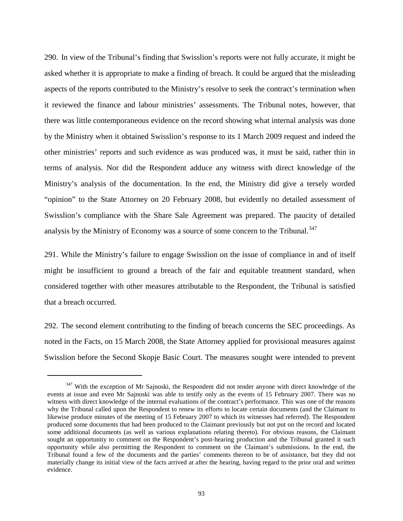290. In view of the Tribunal's finding that Swisslion's reports were not fully accurate, it might be asked whether it is appropriate to make a finding of breach. It could be argued that the misleading aspects of the reports contributed to the Ministry's resolve to seek the contract's termination when it reviewed the finance and labour ministries' assessments. The Tribunal notes, however, that there was little contemporaneous evidence on the record showing what internal analysis was done by the Ministry when it obtained Swisslion's response to its 1 March 2009 request and indeed the other ministries' reports and such evidence as was produced was, it must be said, rather thin in terms of analysis. Nor did the Respondent adduce any witness with direct knowledge of the Ministry's analysis of the documentation. In the end, the Ministry did give a tersely worded "opinion" to the State Attorney on 20 February 2008, but evidently no detailed assessment of Swisslion's compliance with the Share Sale Agreement was prepared. The paucity of detailed analysis by the Ministry of Economy was a source of some concern to the Tribunal.<sup>[347](#page-95-0)</sup>

291. While the Ministry's failure to engage Swisslion on the issue of compliance in and of itself might be insufficient to ground a breach of the fair and equitable treatment standard, when considered together with other measures attributable to the Respondent, the Tribunal is satisfied that a breach occurred.

292. The second element contributing to the finding of breach concerns the SEC proceedings. As noted in the Facts, on 15 March 2008, the State Attorney applied for provisional measures against Swisslion before the Second Skopje Basic Court. The measures sought were intended to prevent

<span id="page-95-0"></span> $347$  With the exception of Mr Sajnoski, the Respondent did not tender anyone with direct knowledge of the events at issue and even Mr Sajnoski was able to testify only as the events of 15 February 2007. There was no witness with direct knowledge of the internal evaluations of the contract's performance. This was one of the reasons why the Tribunal called upon the Respondent to renew its efforts to locate certain documents (and the Claimant to likewise produce minutes of the meeting of 15 February 2007 to which its witnesses had referred). The Respondent produced some documents that had been produced to the Claimant previously but not put on the record and located some additional documents (as well as various explanations relating thereto). For obvious reasons, the Claimant sought an opportunity to comment on the Respondent's post-hearing production and the Tribunal granted it such opportunity while also permitting the Respondent to comment on the Claimant's submissions. In the end, the Tribunal found a few of the documents and the parties' comments thereon to be of assistance, but they did not materially change its initial view of the facts arrived at after the hearing, having regard to the prior oral and written evidence.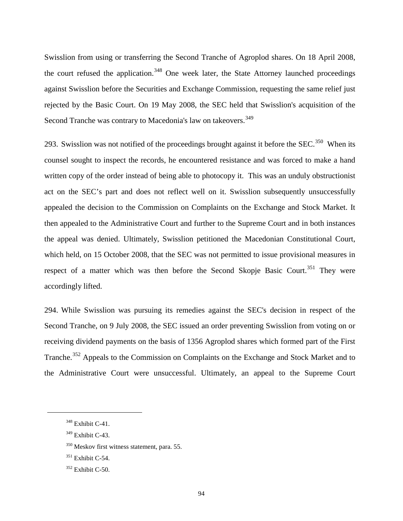Swisslion from using or transferring the Second Tranche of Agroplod shares. On 18 April 2008, the court refused the application.<sup>[348](#page-96-0)</sup> One week later, the State Attorney launched proceedings against Swisslion before the Securities and Exchange Commission, requesting the same relief just rejected by the Basic Court. On 19 May 2008, the SEC held that Swisslion's acquisition of the Second Tranche was contrary to Macedonia's law on takeovers.<sup>[349](#page-96-1)</sup>

293. Swisslion was not notified of the proceedings brought against it before the SEC.<sup>[350](#page-96-2)</sup> When its counsel sought to inspect the records, he encountered resistance and was forced to make a hand written copy of the order instead of being able to photocopy it. This was an unduly obstructionist act on the SEC's part and does not reflect well on it. Swisslion subsequently unsuccessfully appealed the decision to the Commission on Complaints on the Exchange and Stock Market. It then appealed to the Administrative Court and further to the Supreme Court and in both instances the appeal was denied. Ultimately, Swisslion petitioned the Macedonian Constitutional Court, which held, on 15 October 2008, that the SEC was not permitted to issue provisional measures in respect of a matter which was then before the Second Skopje Basic Court.<sup>[351](#page-96-3)</sup> They were accordingly lifted.

294. While Swisslion was pursuing its remedies against the SEC's decision in respect of the Second Tranche, on 9 July 2008, the SEC issued an order preventing Swisslion from voting on or receiving dividend payments on the basis of 1356 Agroplod shares which formed part of the First Tranche.<sup>[352](#page-96-4)</sup> Appeals to the Commission on Complaints on the Exchange and Stock Market and to the Administrative Court were unsuccessful. Ultimately, an appeal to the Supreme Court

<span id="page-96-0"></span><sup>348</sup> Exhibit C-41.

<span id="page-96-1"></span><sup>349</sup> Exhibit C-43.

<span id="page-96-2"></span><sup>350</sup> Meskov first witness statement, para. 55.

<span id="page-96-3"></span> $351$  Exhibit C-54.

<span id="page-96-4"></span><sup>352</sup> Exhibit C-50.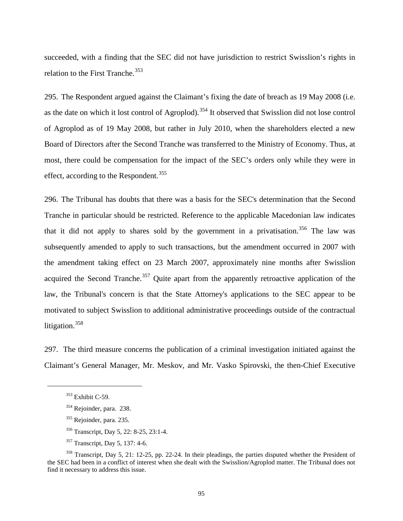succeeded, with a finding that the SEC did not have jurisdiction to restrict Swisslion's rights in relation to the First Tranche.<sup>[353](#page-97-0)</sup>

295. The Respondent argued against the Claimant's fixing the date of breach as 19 May 2008 (i.e. as the date on which it lost control of Agroplod).<sup>[354](#page-97-1)</sup> It observed that Swisslion did not lose control of Agroplod as of 19 May 2008, but rather in July 2010, when the shareholders elected a new Board of Directors after the Second Tranche was transferred to the Ministry of Economy. Thus, at most, there could be compensation for the impact of the SEC's orders only while they were in effect, according to the Respondent.<sup>[355](#page-97-2)</sup>

296. The Tribunal has doubts that there was a basis for the SEC's determination that the Second Tranche in particular should be restricted. Reference to the applicable Macedonian law indicates that it did not apply to shares sold by the government in a privatisation.<sup>[356](#page-97-3)</sup> The law was subsequently amended to apply to such transactions, but the amendment occurred in 2007 with the amendment taking effect on 23 March 2007, approximately nine months after Swisslion acquired the Second Tranche.<sup>[357](#page-97-4)</sup> Quite apart from the apparently retroactive application of the law, the Tribunal's concern is that the State Attorney's applications to the SEC appear to be motivated to subject Swisslion to additional administrative proceedings outside of the contractual litigation.<sup>[358](#page-97-5)</sup>

<span id="page-97-0"></span>297. The third measure concerns the publication of a criminal investigation initiated against the Claimant's General Manager, Mr. Meskov, and Mr. Vasko Spirovski, the then-Chief Executive

- <sup>355</sup> Rejoinder, para. 235.
- <sup>356</sup> Transcript, Day 5, 22: 8-25, 23:1-4.
- <sup>357</sup> Transcript, Day 5, 137: 4-6.

<sup>&</sup>lt;sup>353</sup> Exhibit C-59.

<sup>354</sup> Rejoinder, para. 238.

<span id="page-97-5"></span><span id="page-97-4"></span><span id="page-97-3"></span><span id="page-97-2"></span><span id="page-97-1"></span><sup>&</sup>lt;sup>358</sup> Transcript, Day 5, 21: 12-25, pp. 22-24. In their pleadings, the parties disputed whether the President of the SEC had been in a conflict of interest when she dealt with the Swisslion/Agroplod matter. The Tribunal does not find it necessary to address this issue.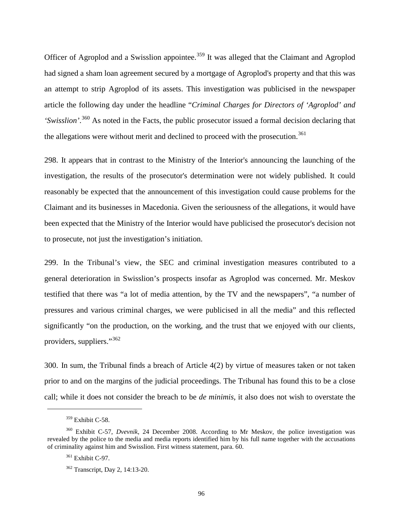Officer of Agroplod and a Swisslion appointee.<sup>[359](#page-98-0)</sup> It was alleged that the Claimant and Agroplod had signed a sham loan agreement secured by a mortgage of Agroplod's property and that this was an attempt to strip Agroplod of its assets. This investigation was publicised in the newspaper article the following day under the headline "*Criminal Charges for Directors of 'Agroplod' and*  'Swisslion'.<sup>[360](#page-98-1)</sup> As noted in the Facts, the public prosecutor issued a formal decision declaring that the allegations were without merit and declined to proceed with the prosecution.<sup>[361](#page-98-2)</sup>

298. It appears that in contrast to the Ministry of the Interior's announcing the launching of the investigation, the results of the prosecutor's determination were not widely published. It could reasonably be expected that the announcement of this investigation could cause problems for the Claimant and its businesses in Macedonia. Given the seriousness of the allegations, it would have been expected that the Ministry of the Interior would have publicised the prosecutor's decision not to prosecute, not just the investigation's initiation.

299. In the Tribunal's view, the SEC and criminal investigation measures contributed to a general deterioration in Swisslion's prospects insofar as Agroplod was concerned. Mr. Meskov testified that there was "a lot of media attention, by the TV and the newspapers", "a number of pressures and various criminal charges, we were publicised in all the media" and this reflected significantly "on the production, on the working, and the trust that we enjoyed with our clients, providers, suppliers."<sup>[362](#page-98-3)</sup>

300. In sum, the Tribunal finds a breach of Article 4(2) by virtue of measures taken or not taken prior to and on the margins of the judicial proceedings. The Tribunal has found this to be a close call; while it does not consider the breach to be *de minimis*, it also does not wish to overstate the

<sup>359</sup> Exhibit C-58.

<span id="page-98-3"></span><span id="page-98-2"></span><span id="page-98-1"></span><span id="page-98-0"></span><sup>360</sup> Exhibit C-57, *Dvevnik*, 24 December 2008. According to Mr Meskov, the police investigation was revealed by the police to the media and media reports identified him by his full name together with the accusations of criminality against him and Swisslion. First witness statement, para. 60.

 $361$  Exhibit C-97.

<sup>362</sup> Transcript, Day 2, 14:13-20.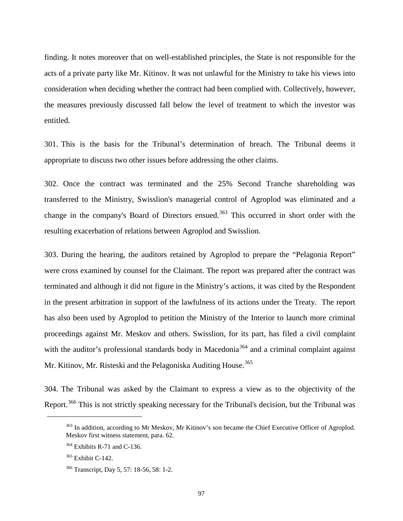finding. It notes moreover that on well-established principles, the State is not responsible for the acts of a private party like Mr. Kitinov. It was not unlawful for the Ministry to take his views into consideration when deciding whether the contract had been complied with. Collectively, however, the measures previously discussed fall below the level of treatment to which the investor was entitled.

301. This is the basis for the Tribunal's determination of breach. The Tribunal deems it appropriate to discuss two other issues before addressing the other claims.

302. Once the contract was terminated and the 25% Second Tranche shareholding was transferred to the Ministry, Swisslion's managerial control of Agroplod was eliminated and a change in the company's Board of Directors ensued.<sup>[363](#page-99-0)</sup> This occurred in short order with the resulting exacerbation of relations between Agroplod and Swisslion.

303. During the hearing, the auditors retained by Agroplod to prepare the "Pelagonia Report" were cross examined by counsel for the Claimant. The report was prepared after the contract was terminated and although it did not figure in the Ministry's actions, it was cited by the Respondent in the present arbitration in support of the lawfulness of its actions under the Treaty. The report has also been used by Agroplod to petition the Ministry of the Interior to launch more criminal proceedings against Mr. Meskov and others. Swisslion, for its part, has filed a civil complaint with the auditor's professional standards body in Macedonia<sup>[364](#page-99-1)</sup> and a criminal complaint against Mr. Kitinov, Mr. Risteski and the Pelagoniska Auditing House.<sup>[365](#page-99-2)</sup>

<span id="page-99-0"></span>304. The Tribunal was asked by the Claimant to express a view as to the objectivity of the Report.<sup>[366](#page-99-3)</sup> This is not strictly speaking necessary for the Tribunal's decision, but the Tribunal was

<sup>&</sup>lt;sup>363</sup> In addition, according to Mr Meskov, Mr Kitinov's son became the Chief Executive Officer of Agroplod. Meskov first witness statement, para. 62.

<span id="page-99-1"></span> $364$  Exhibits R-71 and C-136.

<span id="page-99-2"></span> $365$  Exhibit C-142.

<span id="page-99-3"></span><sup>366</sup> Transcript, Day 5, 57: 18-56, 58: 1-2.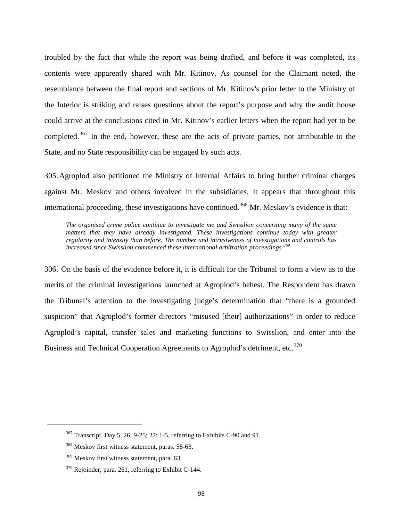troubled by the fact that while the report was being drafted, and before it was completed, its contents were apparently shared with Mr. Kitinov. As counsel for the Claimant noted, the resemblance between the final report and sections of Mr. Kitinov's prior letter to the Ministry of the Interior is striking and raises questions about the report's purpose and why the audit house could arrive at the conclusions cited in Mr. Kitinov's earlier letters when the report had yet to be completed.<sup>[367](#page-100-0)</sup> In the end, however, these are the acts of private parties, not attributable to the State, and no State responsibility can be engaged by such acts.

305.Agroplod also petitioned the Ministry of Internal Affairs to bring further criminal charges against Mr. Meskov and others involved in the subsidiaries. It appears that throughout this international proceeding, these investigations have continued.<sup>[368](#page-100-1)</sup> Mr. Meskov's evidence is that:

*The organised crime police continue to investigate me and Swisslion concerning many of the same matters that they have already investigated. These investigations continue today with greater regularity and intensity than before. The number and intrusiveness of investigations and controls has increased since Swisslion commenced these international arbitration proceedings. [369](#page-100-2)*

306. On the basis of the evidence before it, it is difficult for the Tribunal to form a view as to the merits of the criminal investigations launched at Agroplod's behest. The Respondent has drawn the Tribunal's attention to the investigating judge's determination that "there is a grounded suspicion" that Agroplod's former directors "misused [their] authorizations" in order to reduce Agroplod's capital, transfer sales and marketing functions to Swisslion, and enter into the Business and Technical Cooperation Agreements to Agroplod's detriment, etc.<sup>[370](#page-100-3)</sup>

<span id="page-100-0"></span><sup>367</sup> Transcript, Day 5, 26: 9-25; 27: 1-5, referring to Exhibits C-90 and 91.

<span id="page-100-1"></span><sup>368</sup> Meskov first witness statement, paras. 58-63.

<span id="page-100-2"></span><sup>&</sup>lt;sup>369</sup> Meskov first witness statement, para. 63.

<span id="page-100-3"></span><sup>&</sup>lt;sup>370</sup> Rejoinder, para. 261, referring to Exhibit C-144.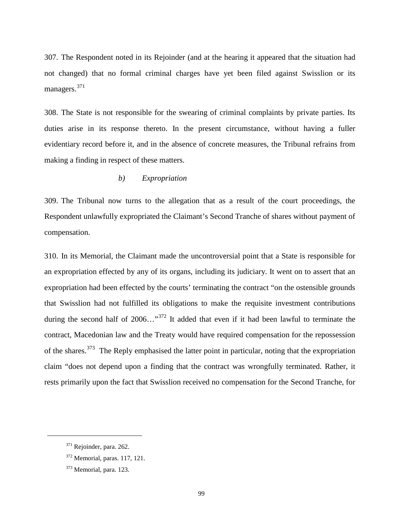307. The Respondent noted in its Rejoinder (and at the hearing it appeared that the situation had not changed) that no formal criminal charges have yet been filed against Swisslion or its managers.<sup>[371](#page-101-0)</sup>

308. The State is not responsible for the swearing of criminal complaints by private parties. Its duties arise in its response thereto. In the present circumstance, without having a fuller evidentiary record before it, and in the absence of concrete measures, the Tribunal refrains from making a finding in respect of these matters.

# *b) Expropriation*

309. The Tribunal now turns to the allegation that as a result of the court proceedings, the Respondent unlawfully expropriated the Claimant's Second Tranche of shares without payment of compensation.

310. In its Memorial, the Claimant made the uncontroversial point that a State is responsible for an expropriation effected by any of its organs, including its judiciary. It went on to assert that an expropriation had been effected by the courts' terminating the contract "on the ostensible grounds that Swisslion had not fulfilled its obligations to make the requisite investment contributions during the second half of  $2006...$ <sup>[372](#page-101-1)</sup> It added that even if it had been lawful to terminate the contract, Macedonian law and the Treaty would have required compensation for the repossession of the shares.<sup>[373](#page-101-2)</sup> The Reply emphasised the latter point in particular, noting that the expropriation claim "does not depend upon a finding that the contract was wrongfully terminated. Rather, it rests primarily upon the fact that Swisslion received no compensation for the Second Tranche, for

<span id="page-101-0"></span><sup>371</sup> Rejoinder, para. 262.

<span id="page-101-1"></span><sup>372</sup> Memorial, paras. 117, 121.

<span id="page-101-2"></span><sup>&</sup>lt;sup>373</sup> Memorial, para. 123.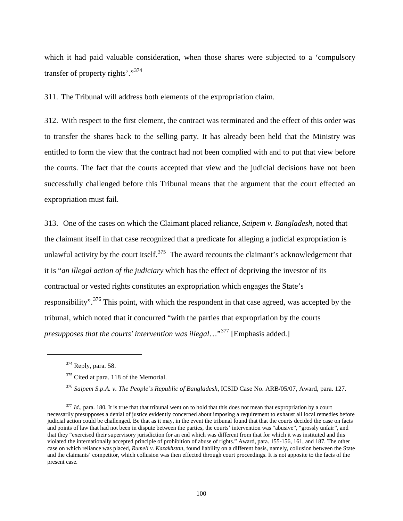which it had paid valuable consideration, when those shares were subjected to a 'compulsory transfer of property rights'."<sup>[374](#page-102-0)</sup>

311. The Tribunal will address both elements of the expropriation claim.

312. With respect to the first element, the contract was terminated and the effect of this order was to transfer the shares back to the selling party. It has already been held that the Ministry was entitled to form the view that the contract had not been complied with and to put that view before the courts. The fact that the courts accepted that view and the judicial decisions have not been successfully challenged before this Tribunal means that the argument that the court effected an expropriation must fail.

313. One of the cases on which the Claimant placed reliance, *Saipem v. Bangladesh,* noted that the *c*laimant itself in that case recognized that a predicate for alleging a judicial expropriation is unlawful activity by the court itself.<sup>[375](#page-102-1)</sup> The award recounts the claimant's acknowledgement that it is "*an illegal action of the judiciary* which has the effect of depriving the investor of its contractual or vested rights constitutes an expropriation which engages the State's responsibility".<sup>[376](#page-102-2)</sup> This point, with which the respondent in that case agreed, was accepted by the tribunal, which noted that it concurred "with the parties that expropriation by the courts presupposes that the courts' intervention was illegal..."<sup>[377](#page-102-3)</sup> [Emphasis added.]

<span id="page-102-1"></span><span id="page-102-0"></span> $\ddot{\phantom{a}}$ 

<sup>&</sup>lt;sup>374</sup> Reply, para. 58.

<sup>375</sup> Cited at para. 118 of the Memorial.

<sup>376</sup> *Saipem S.p.A. v. The People's Republic of Bangladesh*, ICSID Case No. ARB/05/07, Award, para. 127.

<span id="page-102-3"></span><span id="page-102-2"></span><sup>&</sup>lt;sup>377</sup> *Id.*, para. 180. It is true that that tribunal went on to hold that this does not mean that expropriation by a court necessarily presupposes a denial of justice evidently concerned about imposing a requirement to exhaust all local remedies before judicial action could be challenged. Be that as it may, in the event the tribunal found that that the courts decided the case on facts and points of law that had not been in dispute between the parties, the courts' intervention was "abusive", "grossly unfair", and that they "exercised their supervisory jurisdiction for an end which was different from that for which it was instituted and this violated the internationally accepted principle of prohibition of abuse of rights." Award, para. 155-156, 161, and 187. The other case on which reliance was placed, *Rumeli v. Kazakhstan*, found liability on a different basis, namely, collusion between the State and the claimants' competitor, which collusion was then effected through court proceedings. It is not apposite to the facts of the present case.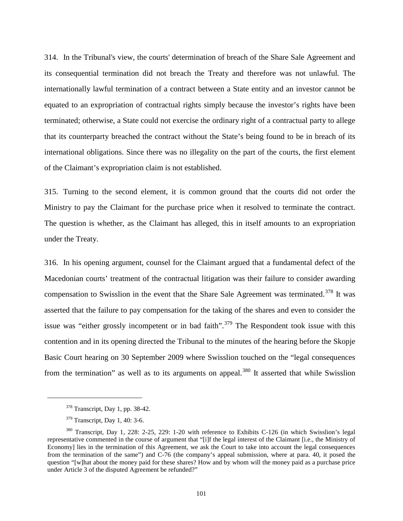314. In the Tribunal's view, the courts' determination of breach of the Share Sale Agreement and its consequential termination did not breach the Treaty and therefore was not unlawful*.* The internationally lawful termination of a contract between a State entity and an investor cannot be equated to an expropriation of contractual rights simply because the investor's rights have been terminated; otherwise, a State could not exercise the ordinary right of a contractual party to allege that its counterparty breached the contract without the State's being found to be in breach of its international obligations. Since there was no illegality on the part of the courts, the first element of the Claimant's expropriation claim is not established.

315. Turning to the second element, it is common ground that the courts did not order the Ministry to pay the Claimant for the purchase price when it resolved to terminate the contract. The question is whether, as the Claimant has alleged, this in itself amounts to an expropriation under the Treaty.

316. In his opening argument, counsel for the Claimant argued that a fundamental defect of the Macedonian courts' treatment of the contractual litigation was their failure to consider awarding compensation to Swisslion in the event that the Share Sale Agreement was terminated.<sup>[378](#page-103-0)</sup> It was asserted that the failure to pay compensation for the taking of the shares and even to consider the issue was "either grossly incompetent or in bad faith".<sup>[379](#page-103-1)</sup> The Respondent took issue with this contention and in its opening directed the Tribunal to the minutes of the hearing before the Skopje Basic Court hearing on 30 September 2009 where Swisslion touched on the "legal consequences from the termination" as well as to its arguments on appeal.<sup>[380](#page-103-2)</sup> It asserted that while Swisslion

<sup>378</sup> Transcript, Day 1, pp. 38-42.

<sup>379</sup> Transcript, Day 1, 40: 3-6.

<span id="page-103-2"></span><span id="page-103-1"></span><span id="page-103-0"></span><sup>380</sup> Transcript, Day 1, 228: 2-25, 229: 1-20 with reference to Exhibits C-126 (in which Swisslion's legal representative commented in the course of argument that "[i]f the legal interest of the Claimant [i.e., the Ministry of Economy] lies in the termination of this Agreement, we ask the Court to take into account the legal consequences from the termination of the same") and C-76 (the company's appeal submission, where at para. 40, it posed the question "[w]hat about the money paid for these shares? How and by whom will the money paid as a purchase price under Article 3 of the disputed Agreement be refunded?"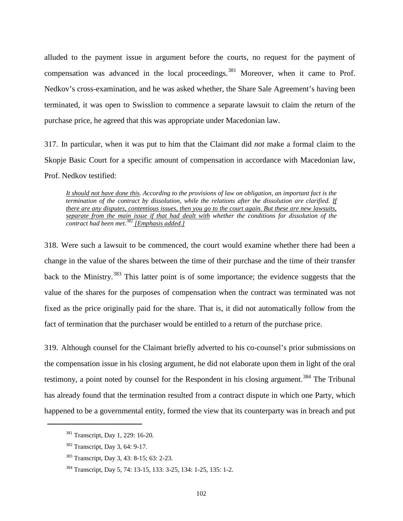alluded to the payment issue in argument before the courts, no request for the payment of compensation was advanced in the local proceedings.<sup>[381](#page-104-0)</sup> Moreover, when it came to Prof. Nedkov's cross-examination, and he was asked whether, the Share Sale Agreement's having been terminated, it was open to Swisslion to commence a separate lawsuit to claim the return of the purchase price, he agreed that this was appropriate under Macedonian law.

317. In particular, when it was put to him that the Claimant did *not* make a formal claim to the Skopje Basic Court for a specific amount of compensation in accordance with Macedonian law, Prof. Nedkov testified:

*It should not have done this. According to the provisions of law on obligation, an important fact is the termination of the contract by dissolution, while the relations after the dissolution are clarified. If there are any disputes, contentious issues, then you go to the court again. But these are new lawsuits, separate from the main issue if that had dealt with whether the conditions for dissolution of the contract had been met.[382](#page-104-1) [Emphasis added.]*

318. Were such a lawsuit to be commenced, the court would examine whether there had been a change in the value of the shares between the time of their purchase and the time of their transfer back to the Ministry.<sup>[383](#page-104-2)</sup> This latter point is of some importance; the evidence suggests that the value of the shares for the purposes of compensation when the contract was terminated was not fixed as the price originally paid for the share. That is, it did not automatically follow from the fact of termination that the purchaser would be entitled to a return of the purchase price.

319. Although counsel for the Claimant briefly adverted to his co-counsel's prior submissions on the compensation issue in his closing argument, he did not elaborate upon them in light of the oral testimony, a point noted by counsel for the Respondent in his closing argument.<sup>[384](#page-104-3)</sup> The Tribunal has already found that the termination resulted from a contract dispute in which one Party, which happened to be a governmental entity, formed the view that its counterparty was in breach and put

<sup>381</sup> Transcript, Day 1, 229: 16-20.

<span id="page-104-1"></span><span id="page-104-0"></span><sup>382</sup> Transcript, Day 3, 64: 9-17.

<span id="page-104-2"></span><sup>383</sup> Transcript, Day 3, 43: 8-15; 63: 2-23.

<span id="page-104-3"></span><sup>384</sup> Transcript, Day 5, 74: 13-15, 133: 3-25, 134: 1-25, 135: 1-2.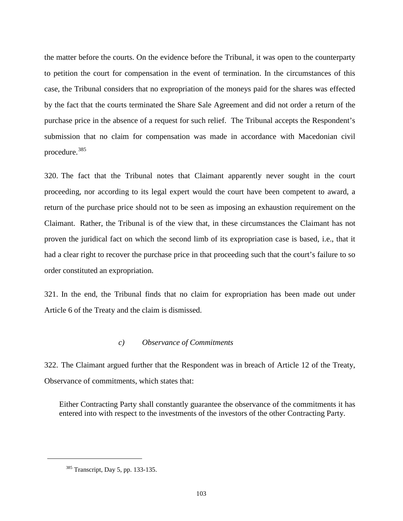the matter before the courts. On the evidence before the Tribunal, it was open to the counterparty to petition the court for compensation in the event of termination. In the circumstances of this case, the Tribunal considers that no expropriation of the moneys paid for the shares was effected by the fact that the courts terminated the Share Sale Agreement and did not order a return of the purchase price in the absence of a request for such relief. The Tribunal accepts the Respondent's submission that no claim for compensation was made in accordance with Macedonian civil procedure.<sup>[385](#page-105-0)</sup>

320. The fact that the Tribunal notes that Claimant apparently never sought in the court proceeding, nor according to its legal expert would the court have been competent to award, a return of the purchase price should not to be seen as imposing an exhaustion requirement on the Claimant. Rather, the Tribunal is of the view that, in these circumstances the Claimant has not proven the juridical fact on which the second limb of its expropriation case is based, i.e., that it had a clear right to recover the purchase price in that proceeding such that the court's failure to so order constituted an expropriation.

321. In the end, the Tribunal finds that no claim for expropriation has been made out under Article 6 of the Treaty and the claim is dismissed.

## *c) Observance of Commitments*

322. The Claimant argued further that the Respondent was in breach of Article 12 of the Treaty, Observance of commitments, which states that:

Either Contracting Party shall constantly guarantee the observance of the commitments it has entered into with respect to the investments of the investors of the other Contracting Party.

<span id="page-105-0"></span> $\ddot{\phantom{a}}$ 

<sup>385</sup> Transcript, Day 5, pp. 133-135.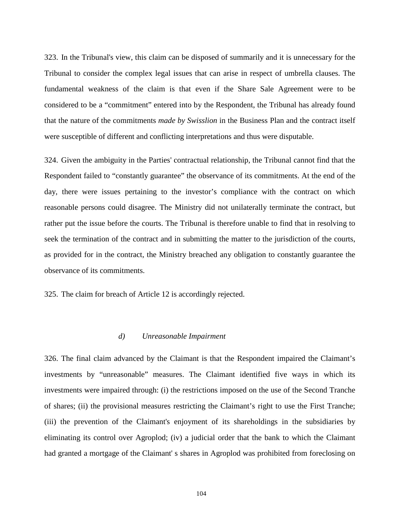323. In the Tribunal's view, this claim can be disposed of summarily and it is unnecessary for the Tribunal to consider the complex legal issues that can arise in respect of umbrella clauses. The fundamental weakness of the claim is that even if the Share Sale Agreement were to be considered to be a "commitment" entered into by the Respondent, the Tribunal has already found that the nature of the commitments *made by Swisslion* in the Business Plan and the contract itself were susceptible of different and conflicting interpretations and thus were disputable.

324. Given the ambiguity in the Parties' contractual relationship, the Tribunal cannot find that the Respondent failed to "constantly guarantee" the observance of its commitments. At the end of the day, there were issues pertaining to the investor's compliance with the contract on which reasonable persons could disagree. The Ministry did not unilaterally terminate the contract, but rather put the issue before the courts. The Tribunal is therefore unable to find that in resolving to seek the termination of the contract and in submitting the matter to the jurisdiction of the courts, as provided for in the contract, the Ministry breached any obligation to constantly guarantee the observance of its commitments.

325. The claim for breach of Article 12 is accordingly rejected.

### *d) Unreasonable Impairment*

326. The final claim advanced by the Claimant is that the Respondent impaired the Claimant's investments by "unreasonable" measures. The Claimant identified five ways in which its investments were impaired through: (i) the restrictions imposed on the use of the Second Tranche of shares; (ii) the provisional measures restricting the Claimant's right to use the First Tranche; (iii) the prevention of the Claimant's enjoyment of its shareholdings in the subsidiaries by eliminating its control over Agroplod; (iv) a judicial order that the bank to which the Claimant had granted a mortgage of the Claimant' s shares in Agroplod was prohibited from foreclosing on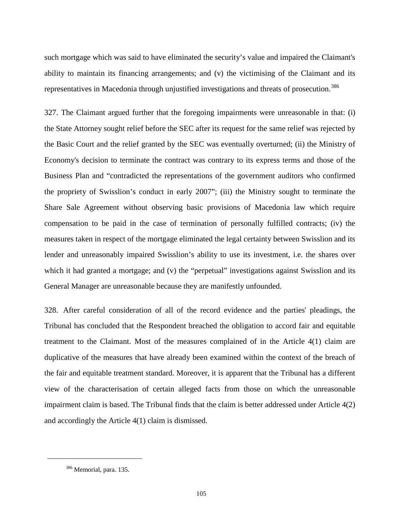such mortgage which was said to have eliminated the security's value and impaired the Claimant's ability to maintain its financing arrangements; and (v) the victimising of the Claimant and its representatives in Macedonia through unjustified investigations and threats of prosecution.<sup>[386](#page-107-0)</sup>

327. The Claimant argued further that the foregoing impairments were unreasonable in that: (i) the State Attorney sought relief before the SEC after its request for the same relief was rejected by the Basic Court and the relief granted by the SEC was eventually overturned; (ii) the Ministry of Economy's decision to terminate the contract was contrary to its express terms and those of the Business Plan and "contradicted the representations of the government auditors who confirmed the propriety of Swisslion's conduct in early 2007"; (iii) the Ministry sought to terminate the Share Sale Agreement without observing basic provisions of Macedonia law which require compensation to be paid in the case of termination of personally fulfilled contracts; (iv) the measures taken in respect of the mortgage eliminated the legal certainty between Swisslion and its lender and unreasonably impaired Swisslion's ability to use its investment, i.e. the shares over which it had granted a mortgage; and (v) the "perpetual" investigations against Swisslion and its General Manager are unreasonable because they are manifestly unfounded.

328. After careful consideration of all of the record evidence and the parties' pleadings, the Tribunal has concluded that the Respondent breached the obligation to accord fair and equitable treatment to the Claimant. Most of the measures complained of in the Article 4(1) claim are duplicative of the measures that have already been examined within the context of the breach of the fair and equitable treatment standard. Moreover, it is apparent that the Tribunal has a different view of the characterisation of certain alleged facts from those on which the unreasonable impairment claim is based. The Tribunal finds that the claim is better addressed under Article 4(2) and accordingly the Article 4(1) claim is dismissed.

<span id="page-107-0"></span> $\ddot{\phantom{a}}$ 

<sup>386</sup> Memorial, para. 135.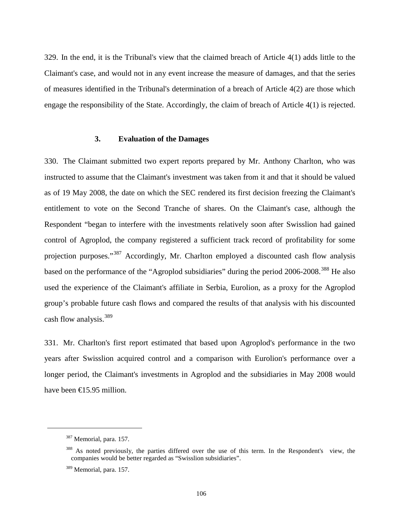329. In the end, it is the Tribunal's view that the claimed breach of Article 4(1) adds little to the Claimant's case, and would not in any event increase the measure of damages, and that the series of measures identified in the Tribunal's determination of a breach of Article 4(2) are those which engage the responsibility of the State. Accordingly, the claim of breach of Article 4(1) is rejected.

## **3. Evaluation of the Damages**

330. The Claimant submitted two expert reports prepared by Mr. Anthony Charlton, who was instructed to assume that the Claimant's investment was taken from it and that it should be valued as of 19 May 2008, the date on which the SEC rendered its first decision freezing the Claimant's entitlement to vote on the Second Tranche of shares. On the Claimant's case, although the Respondent "began to interfere with the investments relatively soon after Swisslion had gained control of Agroplod, the company registered a sufficient track record of profitability for some projection purposes."<sup>[387](#page-108-0)</sup> Accordingly, Mr. Charlton employed a discounted cash flow analysis based on the performance of the "Agroplod subsidiaries" during the period 2006-2008.<sup>[388](#page-108-1)</sup> He also used the experience of the Claimant's affiliate in Serbia, Eurolion, as a proxy for the Agroplod group's probable future cash flows and compared the results of that analysis with his discounted cash flow analysis.<sup>[389](#page-108-2)</sup>

331. Mr. Charlton's first report estimated that based upon Agroplod's performance in the two years after Swisslion acquired control and a comparison with Eurolion's performance over a longer period, the Claimant's investments in Agroplod and the subsidiaries in May 2008 would have been  $\bigoplus$  5.95 million.

<span id="page-108-0"></span><sup>&</sup>lt;sup>387</sup> Memorial, para. 157.

<span id="page-108-1"></span><sup>&</sup>lt;sup>388</sup> As noted previously, the parties differed over the use of this term. In the Respondent's view, the companies would be better regarded as "Swisslion subsidiaries".

<span id="page-108-2"></span><sup>&</sup>lt;sup>389</sup> Memorial, para. 157.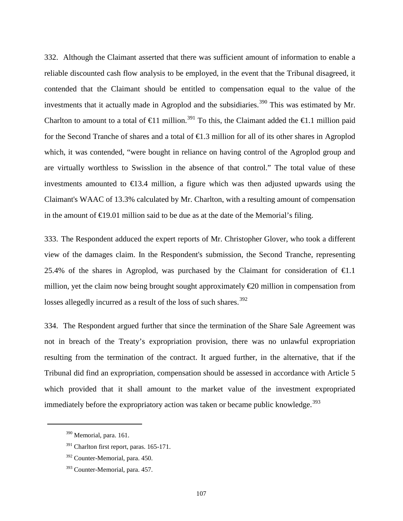332. Although the Claimant asserted that there was sufficient amount of information to enable a reliable discounted cash flow analysis to be employed, in the event that the Tribunal disagreed, it contended that the Claimant should be entitled to compensation equal to the value of the investments that it actually made in Agroplod and the subsidiaries.<sup>[390](#page-109-0)</sup> This was estimated by Mr. Charlton to amount to a total of  $\epsilon 1$  million.<sup>[391](#page-109-1)</sup> To this, the Claimant added the  $\epsilon 1$ .1 million paid for the Second Tranche of shares and a total of €1.3 million for all of its other shares in Agroplod which, it was contended, "were bought in reliance on having control of the Agroplod group and are virtually worthless to Swisslion in the absence of that control." The total value of these investments amounted to  $\epsilon$ 13.4 million, a figure which was then adjusted upwards using the Claimant's WAAC of 13.3% calculated by Mr. Charlton, with a resulting amount of compensation in the amount of  $E$ 19.01 million said to be due as at the date of the Memorial's filing.

333. The Respondent adduced the expert reports of Mr. Christopher Glover, who took a different view of the damages claim. In the Respondent's submission, the Second Tranche, representing 25.4% of the shares in Agroplod, was purchased by the Claimant for consideration of  $\epsilon 1.1$ million, yet the claim now being brought sought approximately  $\epsilon$  equals 20 million in compensation from losses allegedly incurred as a result of the loss of such shares.<sup>[392](#page-109-2)</sup>

334. The Respondent argued further that since the termination of the Share Sale Agreement was not in breach of the Treaty's expropriation provision, there was no unlawful expropriation resulting from the termination of the contract. It argued further, in the alternative, that if the Tribunal did find an expropriation, compensation should be assessed in accordance with Article 5 which provided that it shall amount to the market value of the investment expropriated immediately before the expropriatory action was taken or became public knowledge.<sup>[393](#page-109-3)</sup>

<span id="page-109-0"></span><sup>&</sup>lt;sup>390</sup> Memorial, para. 161.

<span id="page-109-1"></span><sup>&</sup>lt;sup>391</sup> Charlton first report, paras. 165-171.

<span id="page-109-2"></span><sup>392</sup> Counter-Memorial, para. 450.

<span id="page-109-3"></span><sup>393</sup> Counter-Memorial, para. 457.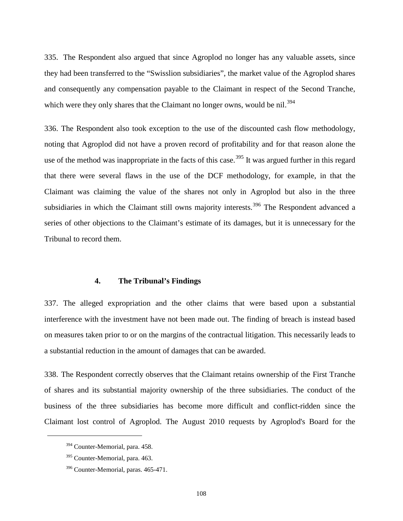335. The Respondent also argued that since Agroplod no longer has any valuable assets, since they had been transferred to the "Swisslion subsidiaries", the market value of the Agroplod shares and consequently any compensation payable to the Claimant in respect of the Second Tranche, which were they only shares that the Claimant no longer owns, would be nil.<sup>[394](#page-110-0)</sup>

336. The Respondent also took exception to the use of the discounted cash flow methodology, noting that Agroplod did not have a proven record of profitability and for that reason alone the use of the method was inappropriate in the facts of this case.<sup>[395](#page-110-1)</sup> It was argued further in this regard that there were several flaws in the use of the DCF methodology, for example, in that the Claimant was claiming the value of the shares not only in Agroplod but also in the three subsidiaries in which the Claimant still owns majority interests.<sup>[396](#page-110-2)</sup> The Respondent advanced a series of other objections to the Claimant's estimate of its damages, but it is unnecessary for the Tribunal to record them.

## **4. The Tribunal's Findings**

337. The alleged expropriation and the other claims that were based upon a substantial interference with the investment have not been made out. The finding of breach is instead based on measures taken prior to or on the margins of the contractual litigation. This necessarily leads to a substantial reduction in the amount of damages that can be awarded.

338. The Respondent correctly observes that the Claimant retains ownership of the First Tranche of shares and its substantial majority ownership of the three subsidiaries. The conduct of the business of the three subsidiaries has become more difficult and conflict-ridden since the Claimant lost control of Agroplod. The August 2010 requests by Agroplod's Board for the

<span id="page-110-0"></span><sup>394</sup> Counter-Memorial, para. 458.

<span id="page-110-1"></span><sup>395</sup> Counter-Memorial, para. 463.

<span id="page-110-2"></span><sup>&</sup>lt;sup>396</sup> Counter-Memorial, paras. 465-471.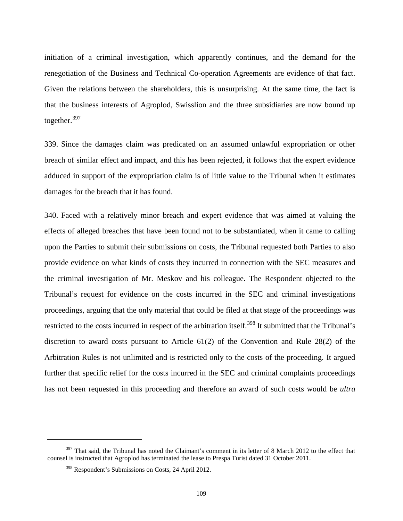initiation of a criminal investigation, which apparently continues, and the demand for the renegotiation of the Business and Technical Co-operation Agreements are evidence of that fact. Given the relations between the shareholders, this is unsurprising. At the same time, the fact is that the business interests of Agroplod, Swisslion and the three subsidiaries are now bound up together.<sup>[397](#page-111-0)</sup>

339. Since the damages claim was predicated on an assumed unlawful expropriation or other breach of similar effect and impact, and this has been rejected, it follows that the expert evidence adduced in support of the expropriation claim is of little value to the Tribunal when it estimates damages for the breach that it has found.

340. Faced with a relatively minor breach and expert evidence that was aimed at valuing the effects of alleged breaches that have been found not to be substantiated, when it came to calling upon the Parties to submit their submissions on costs, the Tribunal requested both Parties to also provide evidence on what kinds of costs they incurred in connection with the SEC measures and the criminal investigation of Mr. Meskov and his colleague. The Respondent objected to the Tribunal's request for evidence on the costs incurred in the SEC and criminal investigations proceedings, arguing that the only material that could be filed at that stage of the proceedings was restricted to the costs incurred in respect of the arbitration itself.<sup>[398](#page-111-1)</sup> It submitted that the Tribunal's discretion to award costs pursuant to Article 61(2) of the Convention and Rule 28(2) of the Arbitration Rules is not unlimited and is restricted only to the costs of the proceeding. It argued further that specific relief for the costs incurred in the SEC and criminal complaints proceedings has not been requested in this proceeding and therefore an award of such costs would be *ultra* 

<span id="page-111-1"></span><span id="page-111-0"></span><sup>&</sup>lt;sup>397</sup> That said, the Tribunal has noted the Claimant's comment in its letter of 8 March 2012 to the effect that counsel is instructed that Agroplod has terminated the lease to Prespa Turist dated 31 October 2011.

<sup>398</sup> Respondent's Submissions on Costs, 24 April 2012.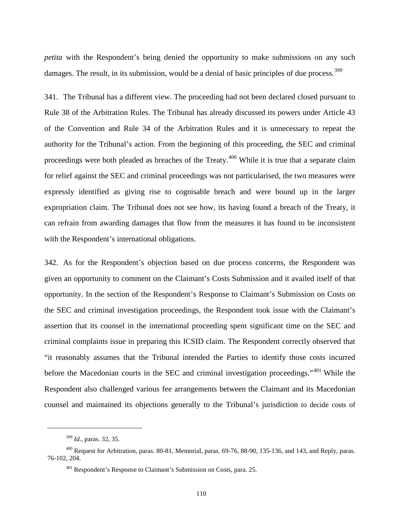*petita* with the Respondent's being denied the opportunity to make submissions on any such damages. The result, in its submission, would be a denial of basic principles of due process.<sup>[399](#page-112-0)</sup>

341. The Tribunal has a different view. The proceeding had not been declared closed pursuant to Rule 38 of the Arbitration Rules. The Tribunal has already discussed its powers under Article 43 of the Convention and Rule 34 of the Arbitration Rules and it is unnecessary to repeat the authority for the Tribunal's action. From the beginning of this proceeding, the SEC and criminal proceedings were both pleaded as breaches of the Treaty.<sup>[400](#page-112-1)</sup> While it is true that a separate claim for relief against the SEC and criminal proceedings was not particularised, the two measures were expressly identified as giving rise to cognisable breach and were bound up in the larger expropriation claim. The Tribunal does not see how, its having found a breach of the Treaty, it can refrain from awarding damages that flow from the measures it has found to be inconsistent with the Respondent's international obligations.

342. As for the Respondent's objection based on due process concerns, the Respondent was given an opportunity to comment on the Claimant's Costs Submission and it availed itself of that opportunity. In the section of the Respondent's Response to Claimant's Submission on Costs on the SEC and criminal investigation proceedings, the Respondent took issue with the Claimant's assertion that its counsel in the international proceeding spent significant time on the SEC and criminal complaints issue in preparing this ICSID claim. The Respondent correctly observed that "it reasonably assumes that the Tribunal intended the Parties to identify those costs incurred before the Macedonian courts in the SEC and criminal investigation proceedings."<sup>[401](#page-112-2)</sup> While the Respondent also challenged various fee arrangements between the Claimant and its Macedonian counsel and maintained its objections generally to the Tribunal's jurisdiction to decide costs of

<sup>399</sup> *Id*., paras. 32, 35.

<span id="page-112-2"></span><span id="page-112-1"></span><span id="page-112-0"></span><sup>400</sup> Request for Arbitration, paras. 80-81, Memorial, paras. 69-76, 88-90, 135-136, and 143, and Reply, paras. 76-102, 204.

<sup>401</sup> Respondent's Response to Claimant's Submission on Costs, para. 25.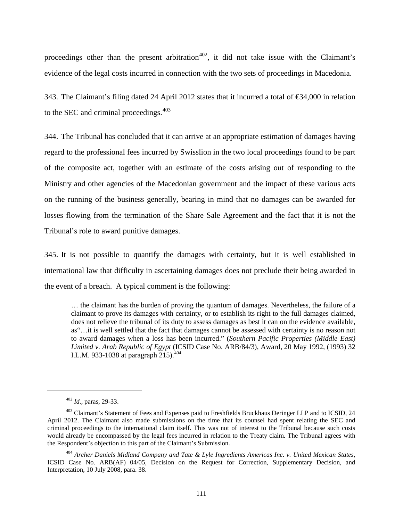proceedings other than the present arbitration<sup> $402$ </sup>, it did not take issue with the Claimant's evidence of the legal costs incurred in connection with the two sets of proceedings in Macedonia.

343. The Claimant's filing dated 24 April 2012 states that it incurred a total of €34,000 in relation to the SEC and criminal proceedings.<sup>[403](#page-113-1)</sup>

344. The Tribunal has concluded that it can arrive at an appropriate estimation of damages having regard to the professional fees incurred by Swisslion in the two local proceedings found to be part of the composite act, together with an estimate of the costs arising out of responding to the Ministry and other agencies of the Macedonian government and the impact of these various acts on the running of the business generally, bearing in mind that no damages can be awarded for losses flowing from the termination of the Share Sale Agreement and the fact that it is not the Tribunal's role to award punitive damages.

345. It is not possible to quantify the damages with certainty, but it is well established in international law that difficulty in ascertaining damages does not preclude their being awarded in the event of a breach. A typical comment is the following:

… the claimant has the burden of proving the quantum of damages. Nevertheless, the failure of a claimant to prove its damages with certainty, or to establish its right to the full damages claimed, does not relieve the tribunal of its duty to assess damages as best it can on the evidence available, as"…it is well settled that the fact that damages cannot be assessed with certainty is no reason not to award damages when a loss has been incurred." (*Southern Pacific Properties (Middle East) Limited v. Arab Republic of Egypt* (ICSID Case No. ARB/84/3), Award, 20 May 1992, (1993) 32 I.L.M. 933-1038 at paragraph 215).<sup>[404](#page-113-2)</sup>

<sup>402</sup> *Id*., paras, 29-33.

<span id="page-113-1"></span><span id="page-113-0"></span><sup>&</sup>lt;sup>403</sup> Claimant's Statement of Fees and Expenses paid to Freshfields Bruckhaus Deringer LLP and to ICSID, 24 April 2012. The Claimant also made submissions on the time that its counsel had spent relating the SEC and criminal proceedings to the international claim itself. This was not of interest to the Tribunal because such costs would already be encompassed by the legal fees incurred in relation to the Treaty claim. The Tribunal agrees with the Respondent's objection to this part of the Claimant's Submission.

<span id="page-113-2"></span><sup>404</sup> *Archer Daniels Midland Company and Tate & Lyle Ingredients Americas Inc. v. United Mexican States*, ICSID Case No. ARB(AF) 04/05, Decision on the Request for Correction, Supplementary Decision, and Interpretation, 10 July 2008, para. 38.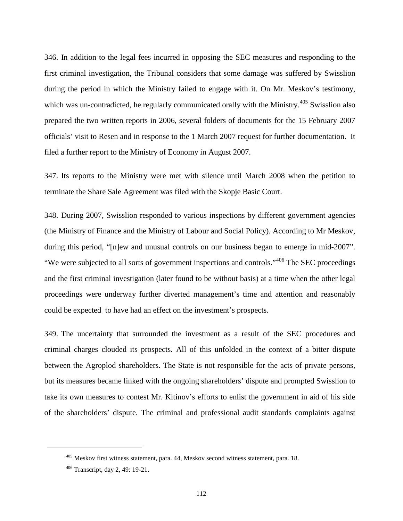346. In addition to the legal fees incurred in opposing the SEC measures and responding to the first criminal investigation, the Tribunal considers that some damage was suffered by Swisslion during the period in which the Ministry failed to engage with it. On Mr. Meskov's testimony, which was un-contradicted, he regularly communicated orally with the Ministry.<sup>[405](#page-114-0)</sup> Swisslion also prepared the two written reports in 2006, several folders of documents for the 15 February 2007 officials' visit to Resen and in response to the 1 March 2007 request for further documentation. It filed a further report to the Ministry of Economy in August 2007.

347. Its reports to the Ministry were met with silence until March 2008 when the petition to terminate the Share Sale Agreement was filed with the Skopje Basic Court.

348. During 2007, Swisslion responded to various inspections by different government agencies (the Ministry of Finance and the Ministry of Labour and Social Policy). According to Mr Meskov, during this period, "[n]ew and unusual controls on our business began to emerge in mid-2007". "We were subjected to all sorts of government inspections and controls."<sup>[406](#page-114-1)</sup> The SEC proceedings and the first criminal investigation (later found to be without basis) at a time when the other legal proceedings were underway further diverted management's time and attention and reasonably could be expected to have had an effect on the investment's prospects.

349. The uncertainty that surrounded the investment as a result of the SEC procedures and criminal charges clouded its prospects. All of this unfolded in the context of a bitter dispute between the Agroplod shareholders. The State is not responsible for the acts of private persons, but its measures became linked with the ongoing shareholders' dispute and prompted Swisslion to take its own measures to contest Mr. Kitinov's efforts to enlist the government in aid of his side of the shareholders' dispute. The criminal and professional audit standards complaints against

<span id="page-114-0"></span><sup>&</sup>lt;sup>405</sup> Meskov first witness statement, para. 44, Meskov second witness statement, para. 18.

<span id="page-114-1"></span><sup>406</sup> Transcript, day 2, 49: 19-21.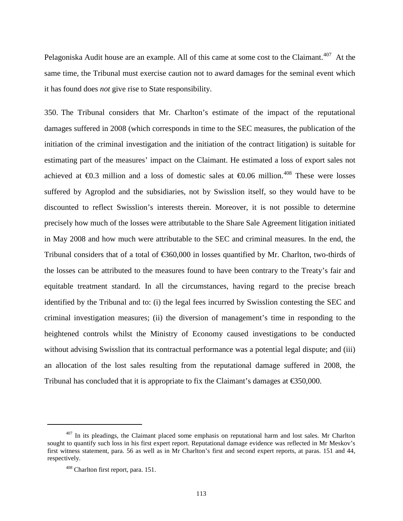Pelagoniska Audit house are an example. All of this came at some cost to the Claimant.<sup>[407](#page-115-0)</sup> At the same time, the Tribunal must exercise caution not to award damages for the seminal event which it has found does *not* give rise to State responsibility.

350. The Tribunal considers that Mr. Charlton's estimate of the impact of the reputational damages suffered in 2008 (which corresponds in time to the SEC measures, the publication of the initiation of the criminal investigation and the initiation of the contract litigation) is suitable for estimating part of the measures' impact on the Claimant. He estimated a loss of export sales not achieved at  $\epsilon$ 0.3 million and a loss of domestic sales at  $\epsilon$ 0.06 million.<sup>[408](#page-115-1)</sup> These were losses suffered by Agroplod and the subsidiaries, not by Swisslion itself, so they would have to be discounted to reflect Swisslion's interests therein. Moreover, it is not possible to determine precisely how much of the losses were attributable to the Share Sale Agreement litigation initiated in May 2008 and how much were attributable to the SEC and criminal measures. In the end, the Tribunal considers that of a total of €360,000 in losses quantified by Mr. Charlton, two-thirds of the losses can be attributed to the measures found to have been contrary to the Treaty's fair and equitable treatment standard. In all the circumstances, having regard to the precise breach identified by the Tribunal and to: (i) the legal fees incurred by Swisslion contesting the SEC and criminal investigation measures; (ii) the diversion of management's time in responding to the heightened controls whilst the Ministry of Economy caused investigations to be conducted without advising Swisslion that its contractual performance was a potential legal dispute; and (iii) an allocation of the lost sales resulting from the reputational damage suffered in 2008, the Tribunal has concluded that it is appropriate to fix the Claimant's damages at  $\epsilon$ \$50,000.

<span id="page-115-1"></span><span id="page-115-0"></span> $407$  In its pleadings, the Claimant placed some emphasis on reputational harm and lost sales. Mr Charlton sought to quantify such loss in his first expert report. Reputational damage evidence was reflected in Mr Meskov's first witness statement, para. 56 as well as in Mr Charlton's first and second expert reports, at paras. 151 and 44, respectively.

<sup>408</sup> Charlton first report, para. 151.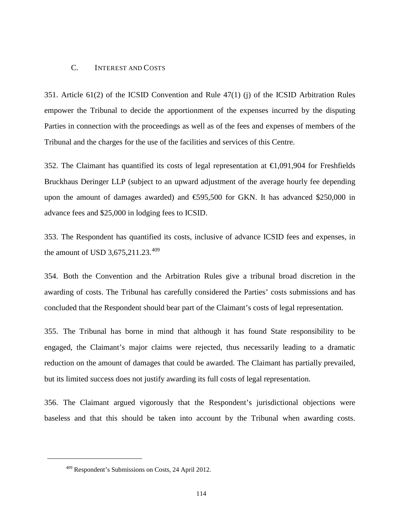## C. INTEREST AND COSTS

351. Article 61(2) of the ICSID Convention and Rule 47(1) (j) of the ICSID Arbitration Rules empower the Tribunal to decide the apportionment of the expenses incurred by the disputing Parties in connection with the proceedings as well as of the fees and expenses of members of the Tribunal and the charges for the use of the facilities and services of this Centre.

352. The Claimant has quantified its costs of legal representation at  $\bigoplus$ , 091, 904 for Freshfields Bruckhaus Deringer LLP (subject to an upward adjustment of the average hourly fee depending upon the amount of damages awarded) and  $\text{\textsterling}55,500$  for GKN. It has advanced \$250,000 in advance fees and \$25,000 in lodging fees to ICSID.

353. The Respondent has quantified its costs, inclusive of advance ICSID fees and expenses, in the amount of USD 3,675,211.23.<sup>[409](#page-116-0)</sup>

354. Both the Convention and the Arbitration Rules give a tribunal broad discretion in the awarding of costs. The Tribunal has carefully considered the Parties' costs submissions and has concluded that the Respondent should bear part of the Claimant's costs of legal representation.

355. The Tribunal has borne in mind that although it has found State responsibility to be engaged, the Claimant's major claims were rejected, thus necessarily leading to a dramatic reduction on the amount of damages that could be awarded. The Claimant has partially prevailed, but its limited success does not justify awarding its full costs of legal representation.

356. The Claimant argued vigorously that the Respondent's jurisdictional objections were baseless and that this should be taken into account by the Tribunal when awarding costs.

<span id="page-116-0"></span><sup>409</sup> Respondent's Submissions on Costs, 24 April 2012.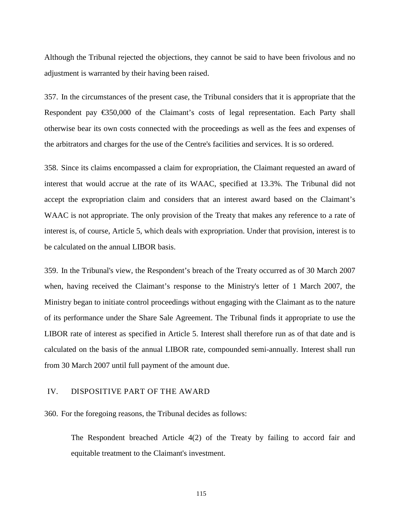Although the Tribunal rejected the objections, they cannot be said to have been frivolous and no adjustment is warranted by their having been raised.

357. In the circumstances of the present case, the Tribunal considers that it is appropriate that the Respondent pay  $\epsilon$  50,000 of the Claimant's costs of legal representation. Each Party shall otherwise bear its own costs connected with the proceedings as well as the fees and expenses of the arbitrators and charges for the use of the Centre's facilities and services. It is so ordered.

358. Since its claims encompassed a claim for expropriation, the Claimant requested an award of interest that would accrue at the rate of its WAAC, specified at 13.3%. The Tribunal did not accept the expropriation claim and considers that an interest award based on the Claimant's WAAC is not appropriate. The only provision of the Treaty that makes any reference to a rate of interest is, of course, Article 5, which deals with expropriation. Under that provision, interest is to be calculated on the annual LIBOR basis.

359. In the Tribunal's view, the Respondent's breach of the Treaty occurred as of 30 March 2007 when, having received the Claimant's response to the Ministry's letter of 1 March 2007, the Ministry began to initiate control proceedings without engaging with the Claimant as to the nature of its performance under the Share Sale Agreement. The Tribunal finds it appropriate to use the LIBOR rate of interest as specified in Article 5. Interest shall therefore run as of that date and is calculated on the basis of the annual LIBOR rate, compounded semi-annually. Interest shall run from 30 March 2007 until full payment of the amount due.

## IV. DISPOSITIVE PART OF THE AWARD

360. For the foregoing reasons, the Tribunal decides as follows:

The Respondent breached Article 4(2) of the Treaty by failing to accord fair and equitable treatment to the Claimant's investment.